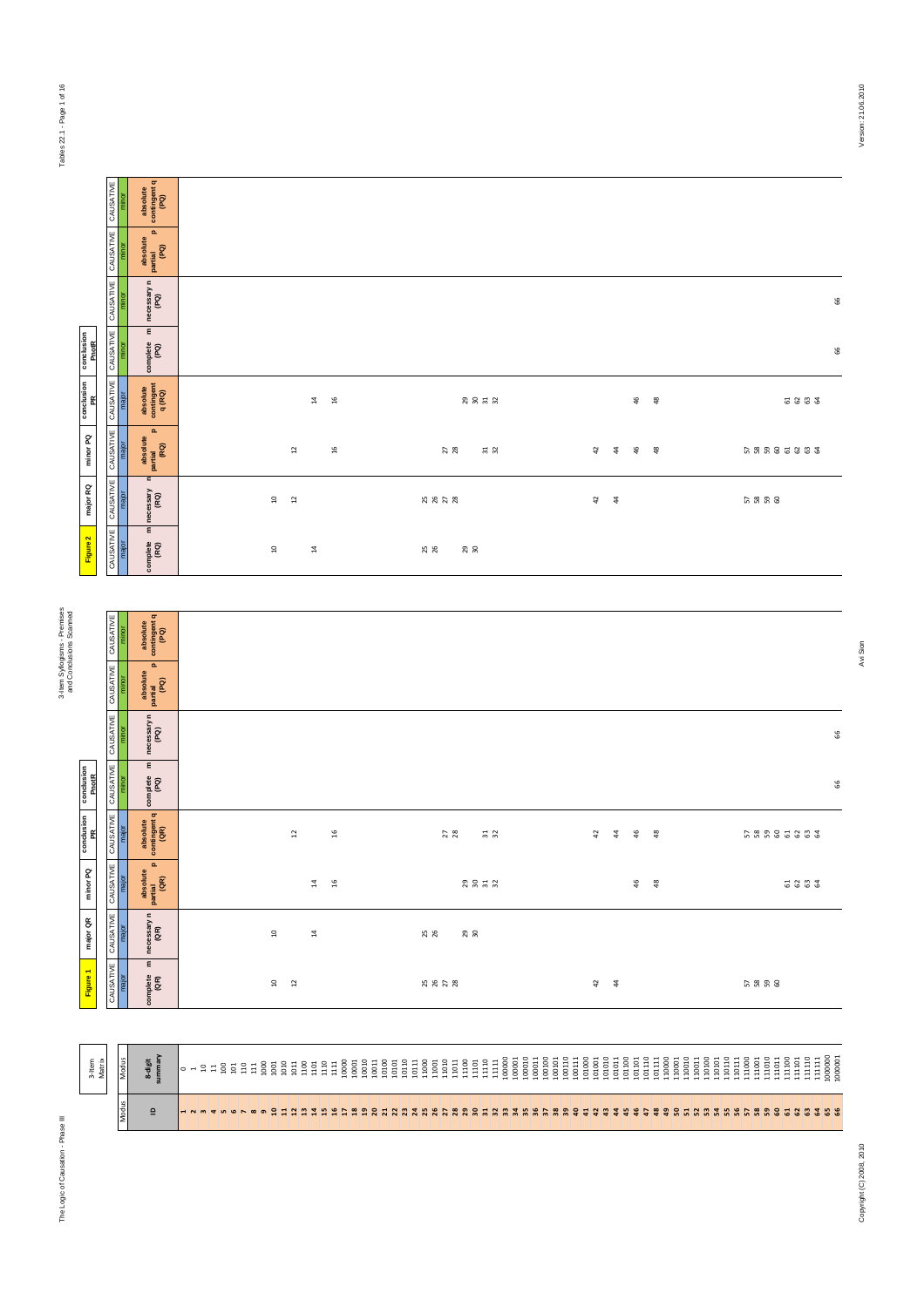The Logic of Causation - Phase III 3-Item Syllogisms - Premises

Tables 22.1 - Page 1 of 16

Tables 22.1 - Page 1 of 16

|                     |                     | absolute<br>contingent q<br>(PQ)                                                           |                                    |                 |                      |          |                             |        |               |    |               |                                                                                 |          |      |
|---------------------|---------------------|--------------------------------------------------------------------------------------------|------------------------------------|-----------------|----------------------|----------|-----------------------------|--------|---------------|----|---------------|---------------------------------------------------------------------------------|----------|------|
|                     | CAUSATIVE CAUSATIVE | $\mathbf{a}$<br>absolute<br>partial<br>(PQ)                                                |                                    |                 |                      |          |                             |        |               |    |               |                                                                                 |          |      |
|                     | CAUSATIVE           | necessary n<br>(PQ)                                                                        |                                    |                 |                      |          |                             |        |               |    |               |                                                                                 |          |      |
| conclusion<br>PnotR | CAUSATIVE           | $\mathsf E$<br>complete<br>(PQ)                                                            |                                    |                 |                      |          |                             |        |               |    |               |                                                                                 |          |      |
| conclusion<br>PR    | CAUSATIVE           | absolute<br>contingent<br>q(RQ)<br>major                                                   |                                    |                 | $16$<br>$\Xi$        |          | 29232                       |        |               | 46 | $\frac{8}{3}$ |                                                                                 |          | 6262 |
| minor PQ            | CAUSATIVE           | $\mathbf{a}$<br>absolute<br>partial<br>(RQ)                                                |                                    | $\overline{12}$ | ٩f                   | 27       | <b>H</b> 25                 | $4\,$  | $\ddot{a}$    | 46 | - ≌           |                                                                                 | 58885883 |      |
| major RQ            | CAUSATIVE           | $\mathbf{r}$<br>necessary<br>(RQ)<br>major                                                 | $\ensuremath{\mathsf{1}\,}\xspace$ | $\overline{12}$ |                      | 25 25 28 |                             | $42$   | $\frac{4}{3}$ |    |               |                                                                                 | 5838     |      |
| Figure 2            | CAUSATIVE           | $\mathsf E$<br>complete<br>(RQ)                                                            | $\overline{10}$                    |                 | $\overline{14}$      | 25       | 29                          |        |               |    |               |                                                                                 |          |      |
|                     |                     |                                                                                            |                                    |                 |                      |          |                             |        |               |    |               |                                                                                 |          |      |
|                     | CAUSATIVE           | absolute<br>contingent q<br>(PQ)                                                           |                                    |                 |                      |          |                             |        |               |    |               |                                                                                 |          |      |
|                     | CAUSATIVE           | $\mathbf{a}$<br>absolute<br>partial<br>(PQ)<br>minor                                       |                                    |                 |                      |          |                             |        |               |    |               |                                                                                 |          |      |
|                     | CAUSATIVE           | necessary n $(PQ)$                                                                         |                                    |                 |                      |          |                             |        |               |    |               |                                                                                 |          |      |
| conclusion<br>PnotR | CAUSATIVE           | $\mathbf{E}% _{0}\left( \mathbf{1}_{1},\mathbf{1}_{2}\right)$<br>minor<br>complete<br>(PQ) |                                    |                 |                      |          |                             |        |               |    |               |                                                                                 |          |      |
| a conclusion        | <b>VE</b> CAUSATIVE | absolute<br>contingent q<br>(GR)                                                           |                                    | 12              | 16                   | 27<br>28 | $\frac{1}{3}$ $\frac{1}{2}$ | 42     | $\ddot{4}$    | 46 | 48            |                                                                                 | 68885883 |      |
| minor PQ            | CAUSATIVE<br>major  | $\overline{\phantom{a}}$<br>absolute<br>partial  <br>(QR)                                  |                                    |                 | 16<br>$\overline{4}$ |          | 23 23 23                    |        |               | 46 | - 83          |                                                                                 |          | 5333 |
| major QR            | CAUSATIVE           | necessary n<br>(QR)<br>major                                                               | $\mathfrak{a}$                     |                 | $\overline{14}$      | 25<br>26 | 29                          |        |               |    |               |                                                                                 |          |      |
| Figure 1            | CAUSATIVE           | $\mathsf E$<br>complete<br>(QR)                                                            | $\Xi$                              | $\overline{12}$ |                      | 5 5 5 8  |                             | $42\,$ | ्य            |    |               |                                                                                 | 5 8 8 8  |      |
|                     |                     |                                                                                            |                                    |                 |                      |          |                             |        |               |    |               |                                                                                 |          |      |
| 3-Item<br>Matrix    |                     | 8-digit<br>summary<br>Modus                                                                |                                    |                 |                      |          |                             |        |               |    |               | $\begin{array}{c} \tt 110100 \\ \tt 110110 \\ \tt 110110 \end{array}$<br>110011 | 110111   |      |
|                     |                     | dodus<br>$\mathbf{\underline{o}}$                                                          |                                    |                 |                      |          |                             |        |               |    |               |                                                                                 |          |      |
|                     |                     |                                                                                            |                                    |                 |                      |          |                             |        |               |    |               |                                                                                 |          |      |

|                                           | absol<br>contin<br>q(R                                             |                                    | $\mathbf{a}$<br>$\frac{6}{16}$ |          | 8858                          |                             |                  | $\frac{6}{4}$                                                                                                                                                                                                                                                     | $\frac{8}{4}$ |                                                                                                                                                                                                                                                                            | 2222                                                                                                                                                       |    |
|-------------------------------------------|--------------------------------------------------------------------|------------------------------------|--------------------------------|----------|-------------------------------|-----------------------------|------------------|-------------------------------------------------------------------------------------------------------------------------------------------------------------------------------------------------------------------------------------------------------------------|---------------|----------------------------------------------------------------------------------------------------------------------------------------------------------------------------------------------------------------------------------------------------------------------------|------------------------------------------------------------------------------------------------------------------------------------------------------------|----|
|                                           | $\mathbf{a}$<br>absolute<br>partial<br>(RQ)                        | $\mathbf{r}$                       | $\frac{16}{2}$                 |          | $\overline{2}$ $\overline{8}$ |                             | $\overline{a}$   | $\frac{6}{5}$<br>$\ddot{a}$                                                                                                                                                                                                                                       | - ≌           |                                                                                                                                                                                                                                                                            | 58885883                                                                                                                                                   |    |
|                                           | $\epsilon$<br>necessary<br>(RQ)                                    | $\overline{a}$<br>12               |                                |          | 25 25 28                      |                             | 42               | $\frac{4}{3}$                                                                                                                                                                                                                                                     |               |                                                                                                                                                                                                                                                                            | 5858                                                                                                                                                       |    |
|                                           | $\mathbf{E}% _{0}\left( \mathbf{1}_{1}\right)$<br>complete<br>(RQ) | $\ensuremath{\mathsf{1}\,}\xspace$ | $\Xi$                          | 25<br>26 | 29                            |                             |                  |                                                                                                                                                                                                                                                                   |               |                                                                                                                                                                                                                                                                            |                                                                                                                                                            |    |
|                                           |                                                                    |                                    |                                |          |                               |                             |                  |                                                                                                                                                                                                                                                                   |               |                                                                                                                                                                                                                                                                            |                                                                                                                                                            |    |
| CAUSATIVE CAUSATIVE<br>minor <b>minor</b> | absolute<br>contingent q<br>(PQ)                                   |                                    |                                |          |                               |                             |                  |                                                                                                                                                                                                                                                                   |               |                                                                                                                                                                                                                                                                            |                                                                                                                                                            |    |
|                                           | A<br>absolute<br>partial<br>(PQ)                                   |                                    |                                |          |                               |                             |                  |                                                                                                                                                                                                                                                                   |               |                                                                                                                                                                                                                                                                            |                                                                                                                                                            |    |
| CAUSATIVE CAUSATIVE CAUSATIVE CAUSATIVE   | $n$ ecessary n $(PQ)$                                              |                                    |                                |          |                               |                             |                  |                                                                                                                                                                                                                                                                   |               |                                                                                                                                                                                                                                                                            |                                                                                                                                                            | 99 |
|                                           | $\pmb{\epsilon}$<br>complete<br>(PQ)                               |                                    |                                |          |                               |                             |                  |                                                                                                                                                                                                                                                                   |               |                                                                                                                                                                                                                                                                            |                                                                                                                                                            | 99 |
|                                           | absolute<br>contingent q<br>(QR)                                   | $\overline{12}$                    | $\frac{6}{16}$                 |          | $27$                          | $\frac{1}{2}$ $\frac{1}{2}$ | 42               | $\ddot{4}$<br>46                                                                                                                                                                                                                                                  | $\frac{8}{4}$ |                                                                                                                                                                                                                                                                            | 5 8 8 8 5 6 6 5 6                                                                                                                                          |    |
|                                           | $\mathbf{a}$<br>absolute<br>partial<br>(QR)                        |                                    | 16<br>$\sharp$                 |          | 23 23 23                      |                             |                  | $46$                                                                                                                                                                                                                                                              | $\frac{8}{4}$ |                                                                                                                                                                                                                                                                            | 5333                                                                                                                                                       |    |
| CAUSATIVE CAUSATIVE<br>major major        | necessary n<br>(QR)                                                | $\overline{a}$                     | $\sharp$                       | 25<br>26 | 29                            |                             |                  |                                                                                                                                                                                                                                                                   |               |                                                                                                                                                                                                                                                                            |                                                                                                                                                            |    |
|                                           | $\mathbf{r}$<br>complete<br>(QR)                                   | $\overline{a}$<br>$\overline{12}$  |                                |          | 2828                          |                             | $42$             | $\ddot{4}$                                                                                                                                                                                                                                                        |               |                                                                                                                                                                                                                                                                            | 5888                                                                                                                                                       |    |
|                                           |                                                                    |                                    |                                |          |                               |                             |                  |                                                                                                                                                                                                                                                                   |               |                                                                                                                                                                                                                                                                            |                                                                                                                                                            |    |
|                                           | summary<br>Modus<br>8-digit                                        |                                    |                                |          |                               |                             | 100110<br>100111 | $\begin{tabular}{c} \bf 0.0000 & 0.00000 & 0.00000 & 0.00000 & 0.00000 & 0.00000 & 0.00000 & 0.00000 & 0.00000 & 0.00000 & 0.00000 & 0.00000 & 0.00000 & 0.00000 & 0.00000 & 0.00000 & 0.00000 & 0.00000 & 0.00000 & 0.00000 & 0.00000 & 0.00000 & 0.00000 & 0.0$ | 101111        | $\begin{tabular}{c} 0.00000 & 0.00000 & 0.00000 \\ 0.00000 & 0.000000 \\ 0.00000 & 0.00000 \\ 0.00000 & 0.00000 \\ 0.00000 & 0.00000 \\ 0.00000 & 0.00000 \\ 0.00000 & 0.00000 \\ 0.00000 & 0.00000 \\ 0.00000 & 0.00000 \\ 0.00000 & 0.00000 \\ 0.00000 & 0.00000 \\ 0.0$ | $\begin{tabular}{c} 111100 \\ 111101 \\ 111111 \\ 111111 \\ 111111 \\ 1100000 \\ 1000000 \\ 1000001 \end{tabular}$<br>111000<br>111010<br>111001<br>111011 |    |
| Modus                                     | $\mathbf{\underline{o}}$                                           |                                    |                                |          |                               |                             |                  |                                                                                                                                                                                                                                                                   |               |                                                                                                                                                                                                                                                                            |                                                                                                                                                            |    |

3-Item Syllogisms - Premises<br>and Conclusions Scanned and Conclusions Scanned

Avi Sion

66

 $\mathfrak s$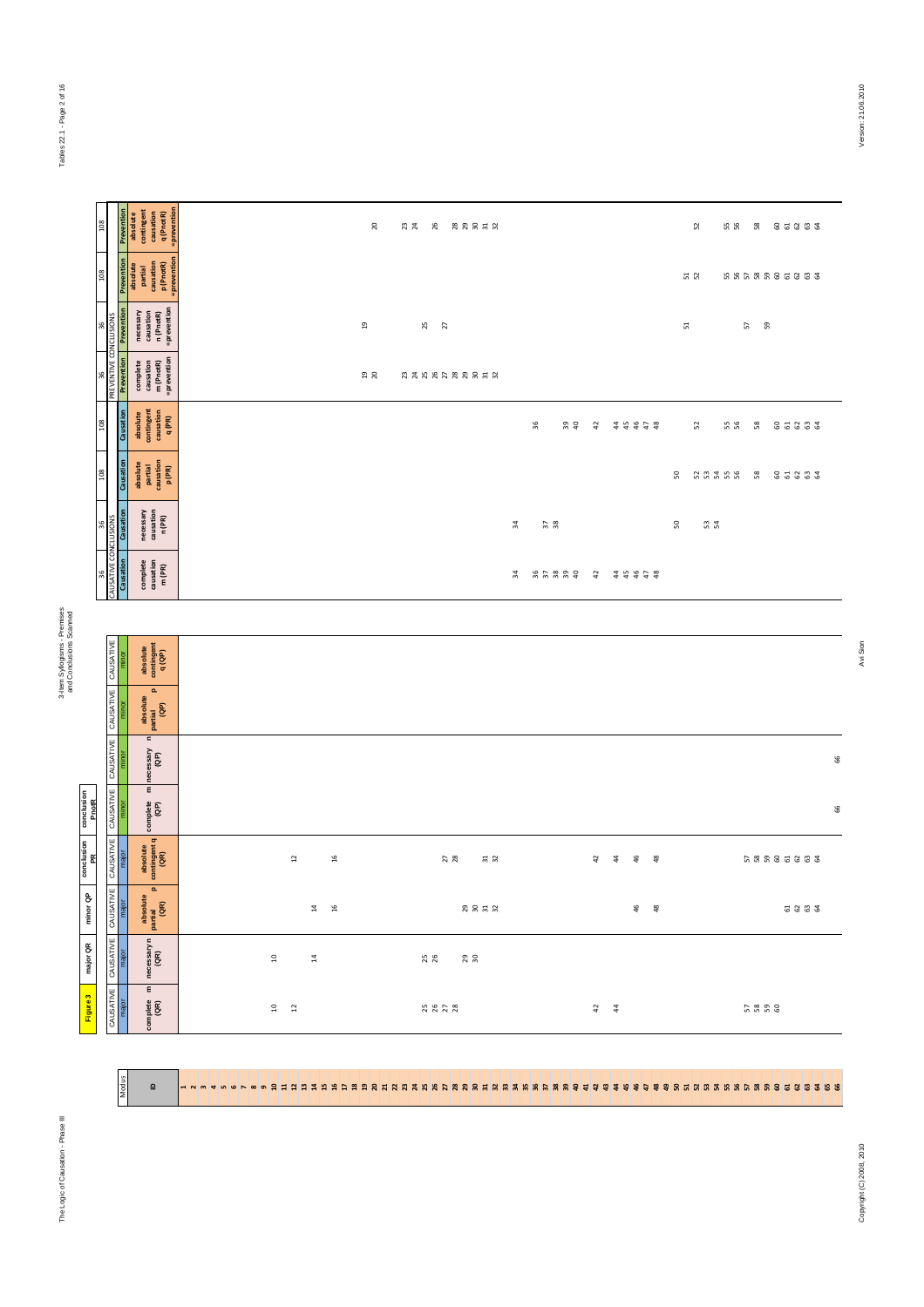Modus

**E** Bun Bi<mark>H</mark>

 $\overline{a}$ 

3-Item Syllogisms - Premises<br>and Conclusions Scanned and Conclusions Scanned

| ۵<br>۰<br>$\circ$<br>Ν<br>Ф<br>ð<br>ā<br>22<br>'n |  |
|---------------------------------------------------|--|
|                                                   |  |

| 80                                                            |                                    |            | Prevention<br>absolute<br>contingent<br>causation<br>q (PnotR)<br>= prevention      |       |                                              |                               |    | 20             | 23<br>26              | 83853    |               |               |               |                                       |            |          |    | 52        | 55    | 58       | និឌីឌីឌី   |      |        |
|---------------------------------------------------------------|------------------------------------|------------|-------------------------------------------------------------------------------------|-------|----------------------------------------------|-------------------------------|----|----------------|-----------------------|----------|---------------|---------------|---------------|---------------------------------------|------------|----------|----|-----------|-------|----------|------------|------|--------|
| 8                                                             |                                    | Prevention | absolute<br>partial<br>causation<br>p (PnotR)<br>=prevention                        |       |                                              |                               |    |                |                       |          |               |               |               |                                       |            |          |    | 51        |       |          | 5558885888 |      |        |
| $\frac{6}{2}$                                                 | <b>CONCLUSIONS</b>                 | Prevention | =prevention<br>necessary<br>causation<br>n (PnotR)                                  |       |                                              |                               |    | $\overline{a}$ | 25<br>$\overline{27}$ |          |               |               |               |                                       |            |          |    | 51        |       | 59<br>57 |            |      |        |
|                                                               | 96<br>PREVENTIVE (                 | Prevention | complete<br>causation<br>m (PnotR)<br>=prevention                                   |       |                                              |                               |    | $19$ $20$      | 2322222525            |          |               |               |               |                                       |            |          |    |           |       |          |            |      |        |
|                                                               |                                    | Causation  | absolute<br>contingent<br>causation<br>q (PR)                                       |       |                                              |                               |    |                |                       |          |               |               | 36<br>39      | 42                                    |            | 48828    |    | 52        | 55 56 | 58       | 85883      |      |        |
| $^{8}$                                                        |                                    | Causation  | absolute<br>partial<br>causation<br>p (PR)                                          |       |                                              |                               |    |                |                       |          |               |               |               |                                       |            |          | 50 |           | 55555 | 58       | 82333      |      |        |
| 36                                                            |                                    | Causation  | necessary<br>causation<br>n (PR)                                                    |       |                                              |                               |    |                |                       |          |               | 볶             | $\frac{2}{3}$ |                                       |            |          | S  | <b>32</b> |       |          |            |      |        |
| $\rm 96$                                                      | SATIV                              | Causation  | $\begin{array}{c} \text{complete} \\ \text{causation} \\ \text{m (PR)} \end{array}$ |       |                                              |                               |    |                |                       |          |               | $\frac{4}{3}$ |               |                                       |            |          |    |           |       |          |            |      |        |
|                                                               |                                    |            |                                                                                     |       |                                              |                               |    |                |                       |          |               |               |               |                                       |            |          |    |           |       |          |            |      |        |
|                                                               | CAUSATIVE                          | minor      | absolute<br>contingent<br>q(QP)                                                     |       |                                              |                               |    |                |                       |          |               |               |               |                                       |            |          |    |           |       |          |            |      |        |
|                                                               | CAUSATIVE                          | minor      | $\mathbf{a}$<br>absolute<br> <br>  partial<br>  (GP)                                |       |                                              |                               |    |                |                       |          |               |               |               |                                       |            |          |    |           |       |          |            |      |        |
|                                                               | <b>CAUSATIVE</b>                   | minor      | $\epsilon$<br>necessary<br>(QP)                                                     |       |                                              |                               |    |                |                       |          |               |               |               |                                       |            |          |    |           |       |          |            |      | $66\,$ |
| conclusion<br>PnotR                                           | CAUSATIVE                          | minor      | $\pmb{\epsilon}$<br>complete<br>(QP)                                                |       |                                              |                               |    |                |                       |          |               |               |               |                                       |            |          |    |           |       |          |            |      | 66     |
| conclusion<br>PR                                              | ш<br>CAUSATIV                      | major      | absolute<br>contingent q<br>(QR)                                                    |       | $\overline{12}$                              |                               | 16 |                |                       | 27<br>28 | $\frac{1}{2}$ |               |               | $\overline{a}$                        | $\ddot{a}$ | 46<br>48 |    |           |       |          |            |      |        |
| $\overset{\mathtt{a}}{\mathtt{\sigma}}$<br>minor <sup>1</sup> | <b>NTIVE</b><br>CAUSA <sup>T</sup> |            | $\mathbf{a}$<br>absolute<br>partial<br>(GR)                                         |       |                                              | $\frac{4}{9}$ = $\frac{6}{9}$ |    |                |                       |          | 2823          |               |               |                                       |            | 46       |    |           |       |          |            | 2222 |        |
| major QR                                                      | CAUSATIVE                          | major      | necessary n<br>(QR)                                                                 | $\Xi$ |                                              | $\ddot{a}$                    |    |                | 25                    | 29       |               |               |               |                                       |            |          |    |           |       |          |            |      |        |
| Figure 3                                                      | CAUSATIVE                          | major      | $\epsilon$<br>$\frac{1}{\sqrt{2}}$                                                  |       | $\begin{matrix} 1 & 0 \\ 0 & 1 \end{matrix}$ |                               |    |                | 250222                |          |               |               |               | $\begin{array}{cc} 4 & 4 \end{array}$ |            |          |    |           |       | 5838     |            |      |        |

1 2 3 4 5 6 7 8 9 10 11 12 13 14 15 16 17 18 19 20 21 22 23 24 25 26 27 28 29 30 31 32 33 34 35 36 37 38 39 40 41 42 43 44 45 46 47 48 49 50 51 52 53 54 55 56 57 58 59 60 61 62 63 64 65 66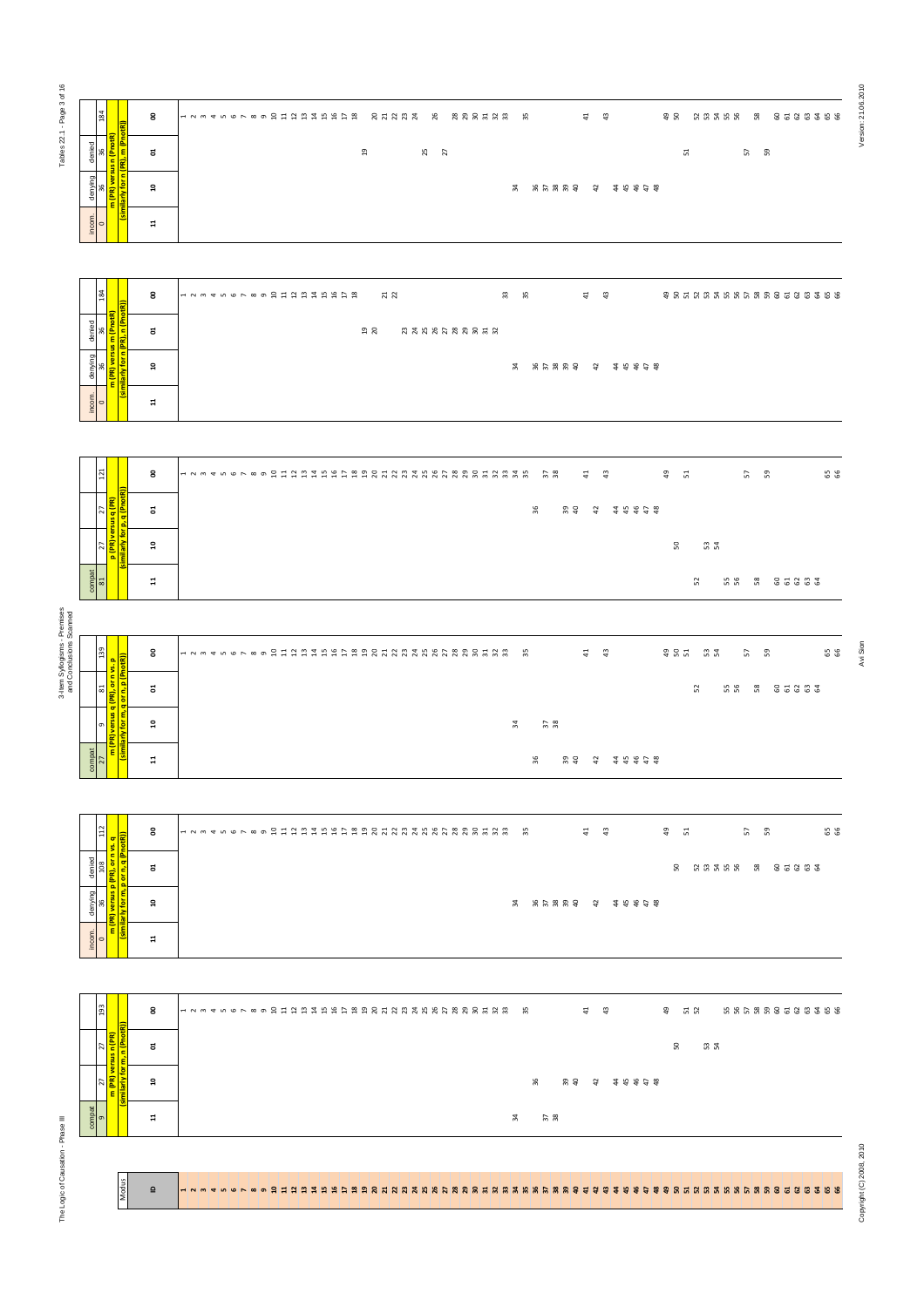| Tables 22.1 - Page 3 of 16                              | 184                                                                                     | 8            | 12345678901231やおおおお 2 おひだ 2 おおおまおお お<br>$41$ $43$   | <b>38 88288 8 8888888</b>             | Version: 21.06.2010      |
|---------------------------------------------------------|-----------------------------------------------------------------------------------------|--------------|-----------------------------------------------------|---------------------------------------|--------------------------|
|                                                         | 36<br><mark>1 (PnotR)</mark><br>denied<br>g                                             | ៵            | $^{2}$<br>25<br>27                                  | 57<br>59<br>51                        |                          |
|                                                         | denying<br>36<br>ε                                                                      | ន            | ੜ                                                   |                                       |                          |
|                                                         | $rac{1}{\sqrt{2}}$                                                                      | $\mathbf{a}$ |                                                     |                                       |                          |
|                                                         |                                                                                         |              |                                                     |                                       |                          |
|                                                         | <sup>184</sup>                                                                          | 8            | 123456789われた扫れおおわね<br>21<br><u>უ ო</u><br>$41$ $43$ | # 5 5 5 6 7 5 6 6 6 6 6 6 6 6 6 6 6 7 |                          |
|                                                         | $\frac{36}{1}$<br>denied                                                                | ៵            | ង ឌ                                                 |                                       |                          |
|                                                         | 36<br><mark>(PR) vers</mark><br>denying                                                 | $\mathbf{a}$ |                                                     |                                       |                          |
|                                                         | $rac{1}{\sqrt{2}}$                                                                      | $\mathbf{a}$ |                                                     |                                       |                          |
|                                                         |                                                                                         |              |                                                     |                                       |                          |
|                                                         | 121                                                                                     | 8            | $41$ $43$                                           | $49$ 51<br>65<br>57<br>59             |                          |
|                                                         | 27<br><mark>rsus q (Pl</mark><br>σ                                                      | ៩            | 36<br>$30^{\circ}$<br>4 48448                       |                                       |                          |
|                                                         | $\frac{27}{\frac{(\text{PR})\text{ver}}{\ddot{\text{ver}}}}$<br>$\overline{\mathbf{a}}$ | ្ព           |                                                     | 50<br>53                              |                          |
|                                                         | $rac{1}{\sqrt{2}}$                                                                      | H            |                                                     | 52<br>68 8 8 8 8 8 8 8                |                          |
|                                                         |                                                                                         |              |                                                     |                                       |                          |
| 3-Item Syllogisms - Premises<br>and Conclusions Scanned |                                                                                         | 8            | <b>이 국 국 국</b>                                      | 99<br>\$85 \$7<br><u>ភ ន</u>          | Avi Sion                 |
|                                                         | 81   139<br><mark>(PR), or n vs. p</mark><br>3 or n, p (PnotR))<br>e <sub>c</sub>       | ៵            |                                                     | 5 5 5 5 5 6 5 6 7<br>52               |                          |
|                                                         | ಕ<br>o<br>P <mark>versus q</mark>                                                       | ្ព           | $\frac{2}{3}$<br>¥                                  |                                       |                          |
|                                                         | $\begin{array}{r}\n\text{compact} \\ \hline\n27 \\ \hline\n\end{array}$                 | $\Xi$        | 36<br><b>% さ は は は は は は は</b>                      |                                       |                          |
|                                                         |                                                                                         |              |                                                     |                                       |                          |
|                                                         | $\frac{1}{\frac{1}{2}}$                                                                 | 8            | $\frac{4}{4}$ $\frac{3}{4}$                         | $49$ 51<br>65<br>57 59                |                          |
|                                                         | 108<br><mark>PR), or n</mark><br>denied<br>$\sigma$<br>orn,                             | ៵            |                                                     | <b>8 23356 2 35355</b>                |                          |
|                                                         | o.<br><mark>d sns.av (ଧ</mark><br>denying<br>ε                                          | ្ព           |                                                     |                                       |                          |
|                                                         | incom.                                                                                  | $\Xi$        |                                                     |                                       |                          |
|                                                         |                                                                                         |              |                                                     |                                       |                          |
|                                                         | 193                                                                                     | 8            | $41$ $43$                                           | 43 52<br>666886688888                 |                          |
|                                                         | $\frac{27}{n}$<br><mark>្ងន្ល</mark>                                                    | ៩            |                                                     | 50<br>ជ ដ                             |                          |
|                                                         | 27<br><mark>(PR) ver</mark>                                                             | ្ព           | 36                                                  |                                       |                          |
|                                                         | $\frac{1}{9}$                                                                           | $\Xi$        | $\frac{2}{3}$<br>ਨ੍ਹ                                |                                       |                          |
| The Logic of Causation - Phase III                      |                                                                                         |              |                                                     |                                       |                          |
|                                                         | Modus                                                                                   | $\mathbf{r}$ |                                                     |                                       | Copyright (C) 2008, 2010 |
|                                                         |                                                                                         |              |                                                     |                                       |                          |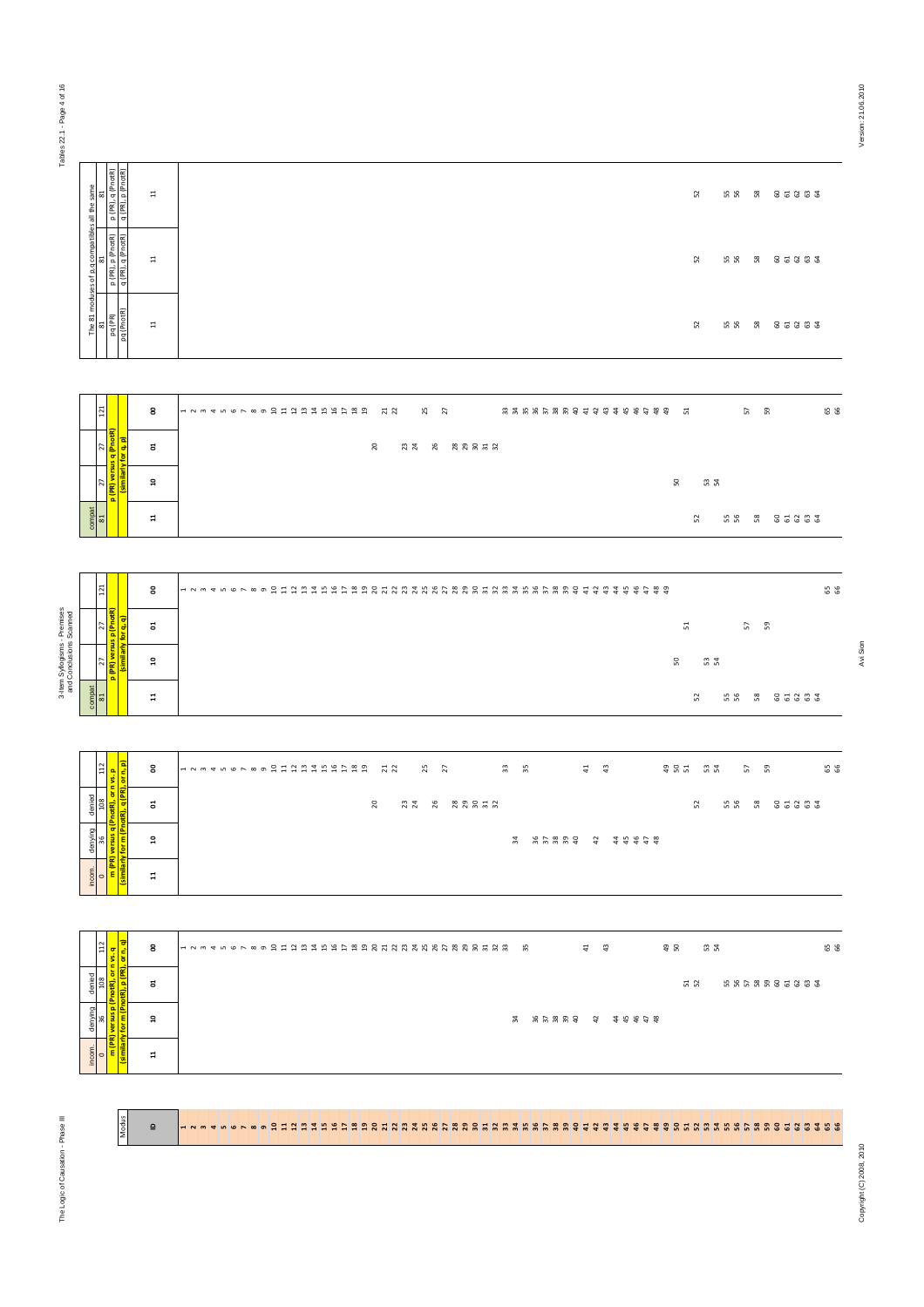pq (PR) p (PR), p (PnotR) p (PR), q (PnotR) pq (PnotR) q (PR), q (PnotR) q (PR), p (PnotR)

 $\Xi$ 

p (PR) Version: 21.06.2010

Avi Sion

| $\overline{121}$ |                      | 8              |  |  |  |  |  |  |         |          |  |  |  |  |  |  |  |  | ******************* |    |               | <u>ត ន</u> |            | 5 S |
|------------------|----------------------|----------------|--|--|--|--|--|--|---------|----------|--|--|--|--|--|--|--|--|---------------------|----|---------------|------------|------------|-----|
|                  | 層<br>E               | 5              |  |  |  |  |  |  | $^{50}$ | AA XAARA |  |  |  |  |  |  |  |  |                     |    |               |            |            |     |
|                  | $\frac{1}{\sqrt{2}}$ | ្ព             |  |  |  |  |  |  |         |          |  |  |  |  |  |  |  |  | S.                  |    | ದಿ. ವೆ.<br>ವಿ |            |            |     |
| $\frac{1}{81}$   |                      | $\overline{a}$ |  |  |  |  |  |  |         |          |  |  |  |  |  |  |  |  |                     | S. |               |            | RR R ST883 |     |

|                                                         |                                        | <br>  p (PR), q (<br>  q (PR), p (                                                                    | 류                                       | 52<br>55 56 56 56 56                                         |
|---------------------------------------------------------|----------------------------------------|-------------------------------------------------------------------------------------------------------|-----------------------------------------|--------------------------------------------------------------|
|                                                         | moduses of p,q compatibles all the san | p (PR), p (PnotR)<br>q (PR), q (PnotR)<br>2                                                           | $\Xi$                                   | 52<br>66 66666                                               |
|                                                         | The 81                                 | pq (PR)<br>pq (PnotR)<br>5                                                                            | $\Xi$                                   | 52<br>5 5 5 5 5 6 5 6 7 8                                    |
|                                                         |                                        |                                                                                                       |                                         |                                                              |
|                                                         |                                        | $121\,$                                                                                               | 8<br>ຮ                                  | 8 S<br>R NA R R R R R R R                                    |
|                                                         |                                        |                                                                                                       | ្ព                                      | 50 53                                                        |
|                                                         | compat                                 | 81                                                                                                    | $\overline{a}$                          | RR R 85883<br>52                                             |
|                                                         |                                        |                                                                                                       |                                         |                                                              |
|                                                         |                                        | 121                                                                                                   | 8                                       | 123456789mmmmmmmmmmmmmmmmあああああるあれるあれるああるものはないのものものもの<br>88   |
|                                                         |                                        | 27<br><mark>S p (PnotR)</mark><br>for q, q)                                                           | ៩                                       | 51<br>57                                                     |
| 3-Item Syllogisms - Premises<br>and Conclusions Scanned |                                        | <sup>47</sup><br><mark>(PR) versus j</mark><br><b>Inilarly</b><br>$\overline{\Omega}$                 | $\mathbf{a}$                            | <u>ន ពង</u>                                                  |
|                                                         | $\frac{\text{compat}}{\text{81}}$      | $\mathbf{a}$                                                                                          | m<br>$\overline{a}$                     | 52<br><b>66 86666</b>                                        |
|                                                         |                                        |                                                                                                       |                                         |                                                              |
|                                                         |                                        |                                                                                                       | 8                                       |                                                              |
|                                                         | denied                                 | 36   108   112<br><mark>1) versus q (PnotR), or n vs. p<br/>ly for m (PnotR), q (PR), or n, p)</mark> | ដ                                       | <b>N</b> RR 8 85883                                          |
|                                                         | denying                                |                                                                                                       | ្ព                                      |                                                              |
|                                                         | incom.                                 | similarly<br>$\overline{\phantom{0}}$                                                                 | $\Xi$                                   |                                                              |
|                                                         |                                        | $\blacksquare$<br>- 12                                                                                |                                         |                                                              |
|                                                         |                                        | 112                                                                                                   | $\overline{\text{or n}, \text{q}}$<br>8 | $\frac{4}{4}$ $\frac{3}{4}$<br>98<br><u>ន ។</u><br><b>SS</b> |
|                                                         | denied                                 | versus p (PnotR), or n vs. q<br>for m (PnotR), p (PR), or n,<br>108                                   | ៩                                       | 52<br>6666666666                                             |
|                                                         | denying                                | 36                                                                                                    | $\mathbf{a}$                            |                                                              |
|                                                         | incom.                                 | similarly<br>Similarly<br>$\circ$                                                                     | $\Xi$                                   |                                                              |
|                                                         |                                        |                                                                                                       |                                         |                                                              |
|                                                         |                                        | Modus                                                                                                 | $\mathbf{\underline{o}}$                |                                                              |
| The Logic of Causation - Phase III                      |                                        |                                                                                                       |                                         |                                                              |
|                                                         |                                        |                                                                                                       |                                         |                                                              |
|                                                         |                                        |                                                                                                       |                                         |                                                              |

|                                                                                                                                                                   | 8     |  |  |  |  |  |  |  | 9 1 2 3 1 1 2 4 5 6 7 8 9 |   | $\frac{21}{22}$ |    | 25 |  |       | 33 SS         |       | $\frac{4}{4}$ $\frac{3}{4}$ |       |  | \$ 8 2 | <b>32</b> |     | 57   | 59 |       | 55 |
|-------------------------------------------------------------------------------------------------------------------------------------------------------------------|-------|--|--|--|--|--|--|--|---------------------------|---|-----------------|----|----|--|-------|---------------|-------|-----------------------------|-------|--|--------|-----------|-----|------|----|-------|----|
|                                                                                                                                                                   | ៩     |  |  |  |  |  |  |  |                           | g |                 | 23 | 26 |  | 88852 |               |       |                             |       |  |        | 52        | ង ង | - 88 |    | 85883 |    |
| incom.   denying   denied  <br>  0   36   108   112<br>  <mark>(similarly for m (Pnotfl), q (PR), or n, p)</mark><br>  Camilarly for m (Pnotfl), q (PR), or n, p) | ្ព    |  |  |  |  |  |  |  |                           |   |                 |    |    |  |       | $\frac{4}{3}$ | ***** | $\frac{2}{3}$               | 48828 |  |        |           |     |      |    |       |    |
| $rac{1}{2}$                                                                                                                                                       | $\Xi$ |  |  |  |  |  |  |  |                           |   |                 |    |    |  |       |               |       |                             |       |  |        |           |     |      |    |       |    |

| $112\,$                                               |                                                                                                | 8              |                    |  |  |  |  |  |  |          | $\frac{21}{22}$ |    | 25 | $\overline{27}$ |       |  | $\frac{3}{2}$ | 55            |  |       | $\overline{4}$ |                | 43 |       | 98 | 51  |    | <b>32</b> |    | 57 | 59 |            |  | 65 |
|-------------------------------------------------------|------------------------------------------------------------------------------------------------|----------------|--------------------|--|--|--|--|--|--|----------|-----------------|----|----|-----------------|-------|--|---------------|---------------|--|-------|----------------|----------------|----|-------|----|-----|----|-----------|----|----|----|------------|--|----|
| $\frac{\text{denied}}{108}$                           |                                                                                                | ã              |                    |  |  |  |  |  |  | $\Omega$ |                 | 23 |    | 26              | 88853 |  |               |               |  |       |                |                |    |       |    |     | 52 |           | 55 | 58 |    | 85333      |  |    |
| denying<br>96                                         | m <mark>(PR) versus q (PnotR), or n vs. p</mark><br>(similarly for m (PnotR), q (PR), or n, p) | $\mathbf{a}$   |                    |  |  |  |  |  |  |          |                 |    |    |                 |       |  |               | $\frac{4}{3}$ |  | ***** |                | $\frac{2}{3}$  |    | 25455 |    |     |    |           |    |    |    |            |  |    |
| incom.<br>$\sim$                                      |                                                                                                | $\mathbf{1}$   |                    |  |  |  |  |  |  |          |                 |    |    |                 |       |  |               |               |  |       |                |                |    |       |    |     |    |           |    |    |    |            |  |    |
|                                                       |                                                                                                |                |                    |  |  |  |  |  |  |          |                 |    |    |                 |       |  |               |               |  |       |                |                |    |       |    |     |    |           |    |    |    |            |  |    |
| $112$                                                 |                                                                                                | g              | <b>HNM THOL WO</b> |  |  |  |  |  |  |          |                 |    |    |                 |       |  |               | 55            |  |       | $\overline{4}$ |                | 43 |       | 49 |     |    | 53        |    |    |    |            |  | 65 |
| $\begin{array}{c}\n\text{denied} \\ 108\n\end{array}$ | m (PR) versus p (PnotR), or n vs. q<br>(similarly for m (PnotR), p (PR), or n, q)              | ៩              |                    |  |  |  |  |  |  |          |                 |    |    |                 |       |  |               |               |  |       |                |                |    |       |    | ដ ដ |    |           |    |    |    | 6668885888 |  |    |
| denying<br>36                                         |                                                                                                | $\mathbf{a}$   |                    |  |  |  |  |  |  |          |                 |    |    |                 |       |  |               | $\frac{4}{3}$ |  | ***** |                | $\overline{a}$ |    | 25458 |    |     |    |           |    |    |    |            |  |    |
| incom.<br>$\sim$                                      |                                                                                                | $\overline{a}$ |                    |  |  |  |  |  |  |          |                 |    |    |                 |       |  |               |               |  |       |                |                |    |       |    |     |    |           |    |    |    |            |  |    |

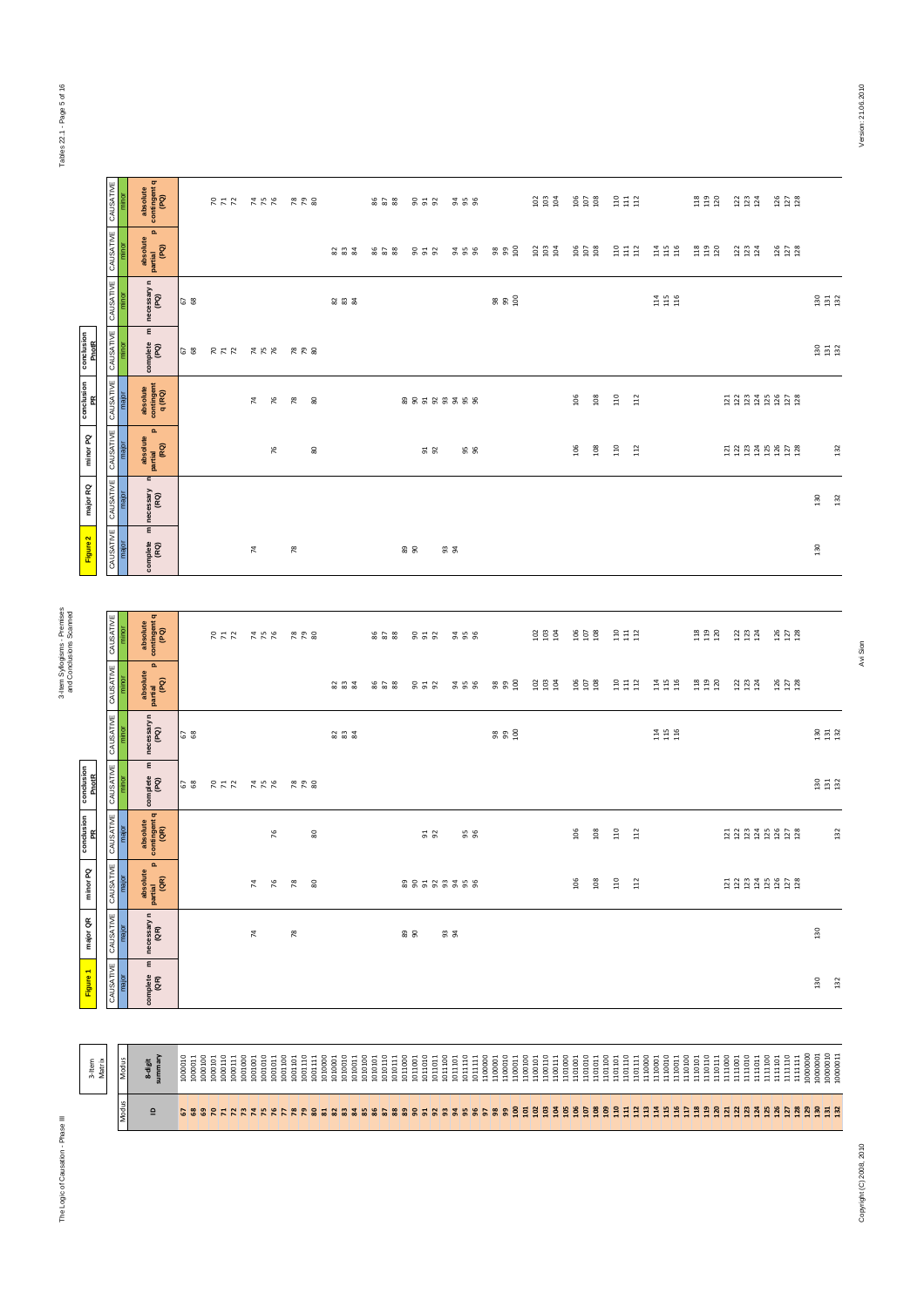|                     | CAUSATIVE           | minor | absolute<br>contingent q<br>(PQ)                     |                                                                                                                                                                                                             |     |     |                |               | RAR XKR RRS   |                    |                               |                    | 828                          |                    | 952                | <b>2258</b>        |                              |                    |                    | $\frac{2}{3}$ $\frac{3}{9}$ $\frac{3}{9}$     |         |                      | $\frac{105}{108}$                                |                    | <b>SES</b>                                       |                                                  | <b>E E E</b>                                  | 23.24                                          | 126<br>127<br>128             |                    |                                                              |     |
|---------------------|---------------------|-------|------------------------------------------------------|-------------------------------------------------------------------------------------------------------------------------------------------------------------------------------------------------------------|-----|-----|----------------|---------------|---------------|--------------------|-------------------------------|--------------------|------------------------------|--------------------|--------------------|--------------------|------------------------------|--------------------|--------------------|-----------------------------------------------|---------|----------------------|--------------------------------------------------|--------------------|--------------------------------------------------|--------------------------------------------------|-----------------------------------------------|------------------------------------------------|-------------------------------|--------------------|--------------------------------------------------------------|-----|
|                     | CAUSATIVE           | minor | $\mathbf{a}$<br>absolute<br>partial<br>(PQ)          |                                                                                                                                                                                                             |     |     |                |               |               |                    | 23 23                         |                    | 86 58                        |                    | នគន                | ន ន ន              |                              | 8880               |                    | $\begin{array}{c} 23 \\ 23 \\ 34 \end{array}$ |         |                      | $\begin{array}{c} 106 \\ 107 \\ 108 \end{array}$ |                    | $\begin{array}{c} 110 \\ 111 \\ 112 \end{array}$ | $\begin{array}{c} 114 \\ 115 \\ 116 \end{array}$ | 118<br>119<br>120                             | $123$<br>$123$<br>$124$                        | 126<br>127<br>128             |                    |                                                              |     |
|                     | CAUSATIVE           | minor | necessary n<br>(PQ)                                  | 67                                                                                                                                                                                                          |     |     |                |               |               |                    | 232                           |                    |                              |                    |                    |                    |                              | 8880               |                    |                                               |         |                      |                                                  |                    |                                                  | $\begin{array}{c} 14 \\ 115 \\ 116 \end{array}$  |                                               |                                                |                               |                    | $\begin{array}{c} 30 \\ 131 \\ 132 \end{array}$              |     |
| conclusion<br>PnotR | ¥,<br>CAUSATI'      | minor | $\pmb{\epsilon}$<br>complete<br>(PQ)                 | <b>G</b> 8                                                                                                                                                                                                  |     |     |                |               | RAK XKK RRS   |                    |                               |                    |                              |                    |                    |                    |                              |                    |                    |                                               |         |                      |                                                  |                    |                                                  |                                                  |                                               |                                                |                               |                    | $130$<br>$131$<br>$132$                                      |     |
| conclusion<br>PR    | <b>ISAT</b><br>ह    | major | absolute<br>contingent<br>q(RQ)                      |                                                                                                                                                                                                             |     |     | 74             | $\frac{1}{2}$ | $\frac{8}{2}$ | 80                 |                               |                    |                              |                    | <b>88588358</b>    |                    |                              |                    |                    |                                               |         | 106                  | 108                                              | $110$              | $\frac{1}{2}$                                    |                                                  |                                               | 23332828                                       |                               |                    |                                                              |     |
| minor PQ            |                     | major | $\mathbf{a}$<br>absolute<br> <br>  partial<br>  (RQ) |                                                                                                                                                                                                             |     |     |                | 76            |               | 80                 |                               |                    |                              |                    | 52                 |                    | 56                           |                    |                    |                                               |         | 106                  | 108                                              | $110\,$            | $\frac{1}{2}$                                    |                                                  |                                               | H 2 2 3 4 5 5 6 7 2 3                          |                               |                    |                                                              | 132 |
| major RQ            |                     | 흐     | n<br>necessary<br>(RQ)                               |                                                                                                                                                                                                             |     |     |                |               |               |                    |                               |                    |                              |                    |                    |                    |                              |                    |                    |                                               |         |                      |                                                  |                    |                                                  |                                                  |                                               |                                                |                               |                    | 130                                                          | 132 |
| Figure 2            | <b>TASL</b>         | major | $\pmb{\epsilon}$<br>complete<br>(RQ)                 |                                                                                                                                                                                                             |     |     | 74             |               | $78$          |                    |                               |                    |                              | <b>88</b>          |                    | 5 \$               |                              |                    |                    |                                               |         |                      |                                                  |                    |                                                  |                                                  |                                               |                                                |                               |                    | 130                                                          |     |
|                     |                     |       |                                                      |                                                                                                                                                                                                             |     |     |                |               |               |                    |                               |                    |                              |                    |                    |                    |                              |                    |                    |                                               |         |                      |                                                  |                    |                                                  |                                                  |                                               |                                                |                               |                    |                                                              |     |
|                     | CAUSATIVE           | minor | absolute<br>contingent q<br>(PQ)                     |                                                                                                                                                                                                             |     | 772 |                | 74 R          | 780           |                    |                               |                    | <b>828</b>                   |                    | <b>SSS</b>         | <b>358</b>         |                              |                    |                    | ទី ទី                                         |         |                      | $\frac{16}{10}$                                  |                    | 313                                              |                                                  | $\begin{array}{c} 13 \\ 11 \\ 20 \end{array}$ | $\begin{array}{c} 23 \\ 23 \\ 124 \end{array}$ | $126$<br>$127$<br>$128$       |                    |                                                              |     |
|                     | CAUSATIVE           | minor | $\mathbf{a}$<br>absolute<br>partial<br>(PQ)          |                                                                                                                                                                                                             |     |     |                |               |               |                    | 232                           |                    | 8588                         |                    | 952                |                    | <b>34 56</b>                 | 9.90               |                    | $102$<br>$103$<br>$104$                       |         |                      | $\begin{array}{c} 106 \\ 107 \\ 108 \end{array}$ |                    | $\begin{array}{c} 111 \\ 112 \end{array}$        | $\begin{array}{c} 114 \\ 115 \\ 116 \end{array}$ | $\begin{array}{c} 13 \\ 13 \\ 20 \end{array}$ | 12<br>12<br>12<br>12<br>1                      | 126<br>127<br>128             |                    |                                                              |     |
|                     | CAUSATIVE           | minor | necessary n $(PQ)$                                   | 67                                                                                                                                                                                                          |     |     |                |               |               |                    | 232                           |                    |                              |                    |                    |                    |                              | 8880               |                    |                                               |         |                      |                                                  |                    |                                                  | $\begin{array}{c} 14 \\ 11 \\ 1 \end{array}$     |                                               |                                                |                               |                    | $\begin{array}{c} 36 \\ 21 \\ 32 \end{array}$                |     |
| conclusion<br>PnotR | CAUSAT              | minor | $\pmb{\epsilon}$<br>complete<br>(PQ)                 | 67                                                                                                                                                                                                          | 777 |     | <b>77.76</b>   |               | ೯೭ ೫          |                    |                               |                    |                              |                    |                    |                    |                              |                    |                    |                                               |         |                      |                                                  |                    |                                                  |                                                  |                                               |                                                |                               |                    | $130$<br>$131$<br>$132$                                      |     |
| conclusion<br>PR    | CAUSATI<br>major    |       | absolute<br>contingent q<br>(QR)                     |                                                                                                                                                                                                             |     |     |                | 76            |               | 80                 |                               |                    |                              |                    | $\frac{5}{9}$      |                    | 56                           |                    |                    |                                               |         | $\frac{6}{2}$        | 108                                              | $\frac{1}{2}$      | 112                                              |                                                  |                                               | E 2 2 3 4 5 5 6 7 8                            |                               |                    |                                                              | 132 |
| minor PQ            | E<br>CAUSAT         | major | $\mathbf{a}$<br>absolute<br>partial<br>(QR)          |                                                                                                                                                                                                             |     |     | 4              | 76            | $78$          | 80                 |                               |                    |                              |                    | 88588388           |                    |                              |                    |                    |                                               |         | 106                  | 108                                              | 110                | 112                                              |                                                  |                                               | <b>NNNNNNNN</b>                                |                               |                    |                                                              |     |
| major QR            | <b>JSATIVE</b><br>ड | major | $n$ ecessary n $(QR)$                                |                                                                                                                                                                                                             |     |     | $\overline{7}$ |               | 78            |                    |                               |                    |                              | <b>89</b>          |                    | 5 5                |                              |                    |                    |                                               |         |                      |                                                  |                    |                                                  |                                                  |                                               |                                                |                               |                    | 130                                                          |     |
| Figure 1            | CAUSATIVE           | major | $\mathsf E$<br>complete<br>(QR)                      |                                                                                                                                                                                                             |     |     |                |               |               |                    |                               |                    |                              |                    |                    |                    |                              |                    |                    |                                               |         |                      |                                                  |                    |                                                  |                                                  |                                               |                                                |                               |                    | 130                                                          | 132 |
|                     |                     |       |                                                      |                                                                                                                                                                                                             |     |     |                |               |               |                    |                               |                    |                              |                    |                    |                    |                              |                    |                    |                                               |         |                      |                                                  |                    |                                                  |                                                  |                                               |                                                |                               |                    |                                                              |     |
| 3-Item<br>Matrix    |                     | Modus | summary<br>8-digit                                   | $\begin{tabular}{l} 1000010 \\ 1000011 \\ 100010 \\ 100010 \\ 100011 \\ 100011 \\ 100011 \\ 100000 \\ 100000 \\ 1000101 \\ 1001010 \\ 1001011 \\ 1001101 \\ 1001101 \\ 1001101 \\ 1001100 \\ \end{tabular}$ |     |     |                |               | 1001101       | 1001110<br>1001111 | 1010000<br>1010010<br>1010001 | 1010100<br>1010011 | 1010110<br>101011<br>1010101 | 1011000<br>1011001 | 1011010<br>1011011 | 1011100<br>1011101 | 1011110<br>1100000<br>101111 | 1100010<br>1100001 | 1100100<br>1100011 | 1100110<br>1100101                            | 1100111 | $1101001$<br>1101000 | 1101011                                          | 1101100<br>1101101 | 1101110                                          |                                                  |                                               |                                                | 1111110<br>1111100<br>1111101 | 1000000<br>1111111 | $\begin{array}{c} 1000001 \\ 1000010 \\ 1000001 \end{array}$ |     |
|                     |                     | Modus | $\mathbf{\underline{o}}$                             |                                                                                                                                                                                                             |     |     |                |               |               |                    |                               |                    |                              |                    |                    |                    |                              |                    |                    |                                               |         |                      |                                                  |                    |                                                  |                                                  |                                               |                                                |                               |                    |                                                              |     |

|                                                                   | 1000010                                                         |
|-------------------------------------------------------------------|-----------------------------------------------------------------|
|                                                                   | 000011                                                          |
|                                                                   | 0001                                                            |
|                                                                   | Ξ<br>g<br>Ō                                                     |
|                                                                   | 0001                                                            |
|                                                                   | goo                                                             |
|                                                                   |                                                                 |
|                                                                   | 5<br>g                                                          |
|                                                                   | 001010<br>g                                                     |
|                                                                   | ġ                                                               |
|                                                                   | 5<br>0011                                                       |
|                                                                   | 음<br>$\overline{5}$                                             |
|                                                                   | g                                                               |
|                                                                   | 010001<br>010000                                                |
|                                                                   | 0100                                                            |
|                                                                   | $\circ$                                                         |
|                                                                   | ឪ<br>$\mathbf{H}$<br>C                                          |
| 688 R F F F F F F F F R & 5 3 3 3 3 3 3 3 3 3 4 5 7 8 7 8 7 8 8 9 | 5<br>$\frac{5}{2}$<br>ā<br>ö                                    |
|                                                                   | ö                                                               |
|                                                                   | 011000                                                          |
|                                                                   | 1001<br>S.                                                      |
|                                                                   | $\circ$<br>$\circ$                                              |
|                                                                   | 1100<br>품                                                       |
|                                                                   | 1101<br>5                                                       |
|                                                                   | 음                                                               |
|                                                                   | 급<br>Ë<br>5                                                     |
|                                                                   | 100000                                                          |
|                                                                   | 100001<br>$\circ$                                               |
| $rac{8}{100}$                                                     | 100011                                                          |
| $\frac{5}{2}$                                                     | 8<br>1001                                                       |
| ē                                                                 | 5<br>1001                                                       |
| ö                                                                 | 1001                                                            |
| g                                                                 | 100111                                                          |
| ă                                                                 | 101000                                                          |
| ă                                                                 | g<br>ğ<br>g                                                     |
| 2                                                                 | 101011                                                          |
| ò                                                                 | 101100                                                          |
|                                                                   | $\Xi$<br>ġ                                                      |
|                                                                   | 101110                                                          |
|                                                                   | $\Xi$<br>8<br>1011<br>$\overline{5}$                            |
|                                                                   | 1000                                                            |
|                                                                   | 10011<br>10010                                                  |
|                                                                   | 8<br>$\overline{5}$                                             |
|                                                                   |                                                                 |
|                                                                   | 10110                                                           |
|                                                                   | $\overline{5}$                                                  |
|                                                                   |                                                                 |
|                                                                   | 1010                                                            |
|                                                                   | 1011                                                            |
|                                                                   |                                                                 |
|                                                                   |                                                                 |
|                                                                   | ⊣<br>H<br>$\blacksquare$<br>$\overline{ }$                      |
|                                                                   | 8<br>$\bar{ }$                                                  |
|                                                                   | 8<br>ō<br>ō<br>8<br>$\mathbf{H}$                                |
| $\frac{1}{2}$                                                     | $\begin{array}{c} \text{1000001} \\ \text{1000001} \end{array}$ |
|                                                                   |                                                                 |

Avi Sion

Copyright (C) 2010, 2110 Avi Sion Party Copyright (C) 2010, 21.07.09.2010 Avi Sion 2010, 2010, 2010, 2010, 2010, 2010, 2010, 2010, 2010, 2010, 2010, 2010, 2010, 2010, 2010, 2010, 2010, 2010, 2010, 2010, 2010, 2010, 2010, 2 Copyright (C) 2008, 2010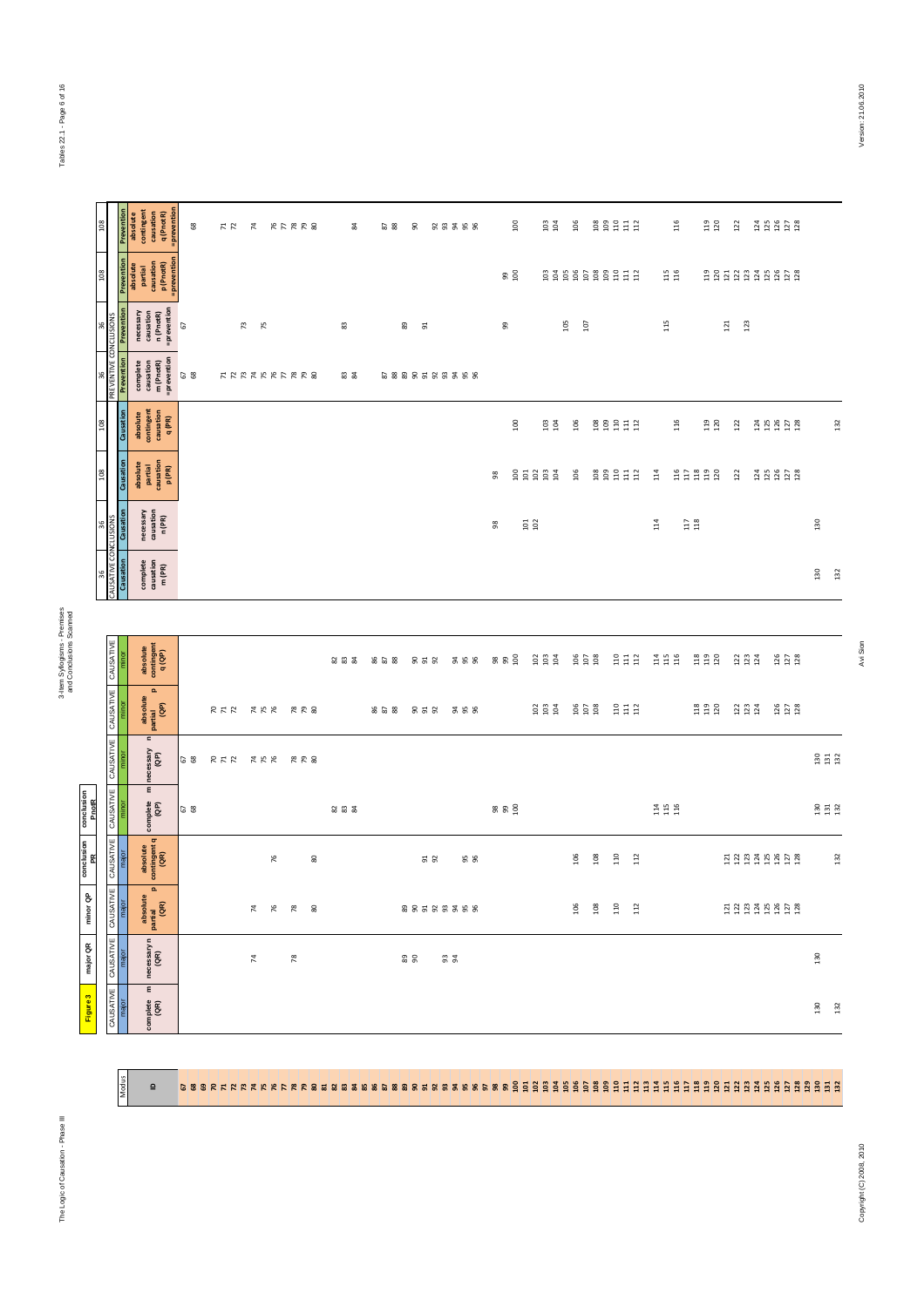Modus  $\overline{a}$ 

3-Item Syllogisms - Premises<br>and Conclusions Scanned and Conclusions Scanned

Figure 3

| $^{108}$                          |            | Prevention<br>absolute<br>contingent<br>causation<br>q (PnotR)<br>=prevention       | $_{68}$ | 72  | $\overline{7}$       | $RPRR$ 8       | $\approx$ | $\frac{2}{8}$ | g                   | 55558      |              | $\frac{8}{1}$ | $103$<br>$104$                            | $\frac{8}{106}$                                  |     |                                               |                                                | 116        | 119<br>120                                    | 122                     | 124<br>125<br>127<br>128         |                                                  |     |
|-----------------------------------|------------|-------------------------------------------------------------------------------------|---------|-----|----------------------|----------------|-----------|---------------|---------------------|------------|--------------|---------------|-------------------------------------------|--------------------------------------------------|-----|-----------------------------------------------|------------------------------------------------|------------|-----------------------------------------------|-------------------------|----------------------------------|--------------------------------------------------|-----|
| $\frac{8}{108}$                   |            | Prevention<br>absolute<br>partial<br>causation<br>p (PnotR)<br>=prevention          |         |     |                      |                |           |               |                     |            |              | $\frac{9}{2}$ |                                           |                                                  |     | 8388888888                                    |                                                | 115<br>116 |                                               |                         | <b>BBBBBBBBBB</b>                |                                                  |     |
| 56                                | Prevention | necessary<br>causation<br>n (PnotR)<br>= prevention                                 | 67      |     | $\mathbb{R}^2$<br>75 |                | 83        |               | 89<br>51            |            | 99           |               |                                           | 105<br>107                                       |     |                                               | $115$                                          |            |                                               | 121<br>123              |                                  |                                                  |     |
| PREVENTIVE CONCLUSIONS<br>36      | Prevention | complete<br>causation<br>m (PnotR)<br>=prevention                                   | 67      |     | <b>HARAHALEE8</b>    |                | <b>33</b> |               | 58885533358         |            |              |               |                                           |                                                  |     |                                               |                                                |            |                                               |                         |                                  |                                                  |     |
| $\frac{8}{2}$                     | Causation  | absolute<br>contingent<br>causation<br>q (PR)                                       |         |     |                      |                |           |               |                     |            |              | 100           | $103$<br>$104$                            | 106                                              |     |                                               |                                                | 116        | 119<br>120                                    | 122                     | $124$<br>$125$<br>$127$<br>$128$ |                                                  | 132 |
| $^{108}$                          | Causation  | absolute<br>partial<br>causation<br>p (PR)                                          |         |     |                      |                |           |               |                     |            | 98           |               | 85888                                     | $\frac{8}{2}$                                    |     | <b>g</b> g g g g g                            | $\frac{4}{11}$                                 |            | 22222                                         | 122                     |                                  |                                                  |     |
| <b>CONCLUSION</b><br>36           | Causation  | necessary<br>causation<br>n (PR)                                                    |         |     |                      |                |           |               |                     |            | 8            |               | $\begin{array}{c} 101 \\ 102 \end{array}$ |                                                  |     |                                               | 114                                            |            | $\begin{array}{c} 117 \\ 118 \end{array}$     |                         |                                  | 130                                              |     |
| CAUSATIVE<br>æ                    | Causation  | $\begin{array}{c} \text{complete} \\ \text{causation} \\ \text{m (PR)} \end{array}$ |         |     |                      |                |           |               |                     |            |              |               |                                           |                                                  |     |                                               |                                                |            |                                               |                         |                                  | 130                                              | 132 |
|                                   |            |                                                                                     |         |     |                      |                |           |               |                     |            |              |               |                                           |                                                  |     |                                               |                                                |            |                                               |                         |                                  |                                                  |     |
|                                   |            | absolute<br>contingent<br>q(QP)                                                     |         |     |                      |                | 232       | 858           | 952                 | <b>358</b> | 898          |               | 288                                       | $\begin{array}{c} 100 \\ 101 \\ 1 \end{array}$   |     | $\begin{array}{c} 11 \\ 21 \\ 31 \end{array}$ | $\begin{array}{c} 24 \\ 21 \\ 36 \end{array}$  |            | $\begin{array}{c} 28 \\ 13 \\ 20 \end{array}$ | 223                     | 126<br>127<br>128                |                                                  |     |
| CAUSATIVE   CAUSATIVE   CAUSATIVE |            | $\mathbf{a}$<br>absolute<br> <br>  partial<br>  (QP)                                |         |     | RAR XKK RR8          |                |           | 858           | 858                 | ន ន ន      |              |               | $\frac{20}{103}$                          | $\begin{array}{c} 106 \\ 107 \\ 108 \end{array}$ |     | $\begin{array}{c} 11 \\ 11 \\ 11 \end{array}$ |                                                |            | $118$<br>$119$<br>$120$                       | $123$<br>$123$<br>$124$ | 126<br>127<br>128                |                                                  |     |
|                                   |            | $\mathbf{c}$<br>necessary<br>(QP)                                                   | G 8     | 777 |                      | <b>AKK RRS</b> |           |               |                     |            |              |               |                                           |                                                  |     |                                               |                                                |            |                                               |                         |                                  | $\begin{array}{c} 30 \\ 21 \\ 32 \end{array}$    |     |
|                                   |            | $\pmb{\epsilon}$<br>complete<br>(QP)                                                | 68      |     |                      |                | 23 23     |               |                     |            | <b>88 SQ</b> |               |                                           |                                                  |     |                                               | $\begin{array}{c} 14 \\ 15 \\ 116 \end{array}$ |            |                                               |                         |                                  | $\begin{array}{c} 130 \\ 131 \\ 132 \end{array}$ |     |
| CAUSATIVE   CAUSATIVE             | majo       | absolute<br>contingent q<br>(QR)                                                    |         |     | $76$                 | 80             |           |               | $\frac{5}{9}$       | 56         |              |               |                                           | 106                                              | 108 | 110<br>112                                    |                                                |            |                                               |                         | 22342428                         |                                                  | 132 |
| TIVE                              |            | $\mathbf{a}$<br>absolute<br>partial<br>(QR)                                         |         |     |                      | $74$ $80$      |           |               | 8 9 5 6 5 5 5 5 6 9 |            |              |               |                                           | 106                                              | 108 | 110<br>$112$                                  |                                                |            |                                               |                         | 333358528                        |                                                  |     |
| CAUSATIVE   CAUSATIVE   CAUSAT    |            | necessary n<br>(QR)                                                                 |         |     | $\overline{74}$      | $78$           |           |               | <b>88</b>           | <u>ვ ჭ</u> |              |               |                                           |                                                  |     |                                               |                                                |            |                                               |                         |                                  | 130                                              |     |
|                                   |            | $\pmb{\epsilon}$<br>complete<br>(QR)                                                |         |     |                      |                |           |               |                     |            |              |               |                                           |                                                  |     |                                               |                                                |            |                                               |                         |                                  | 130                                              | 132 |

67 68 69 70 71 72 73 74 75 76 77 78 79 80 81 82 83 84 85 86 87 88 89 90 91 92 93 94 95 96 97 98 99 100 101 102 103 104 105 106 107 108 109 110 111 112 113 114 115 116 117 118 119 120 121 122 123 124 125 126 127 128 129 130 131 132

Avi Sion

Copyright (C) 2008, 2010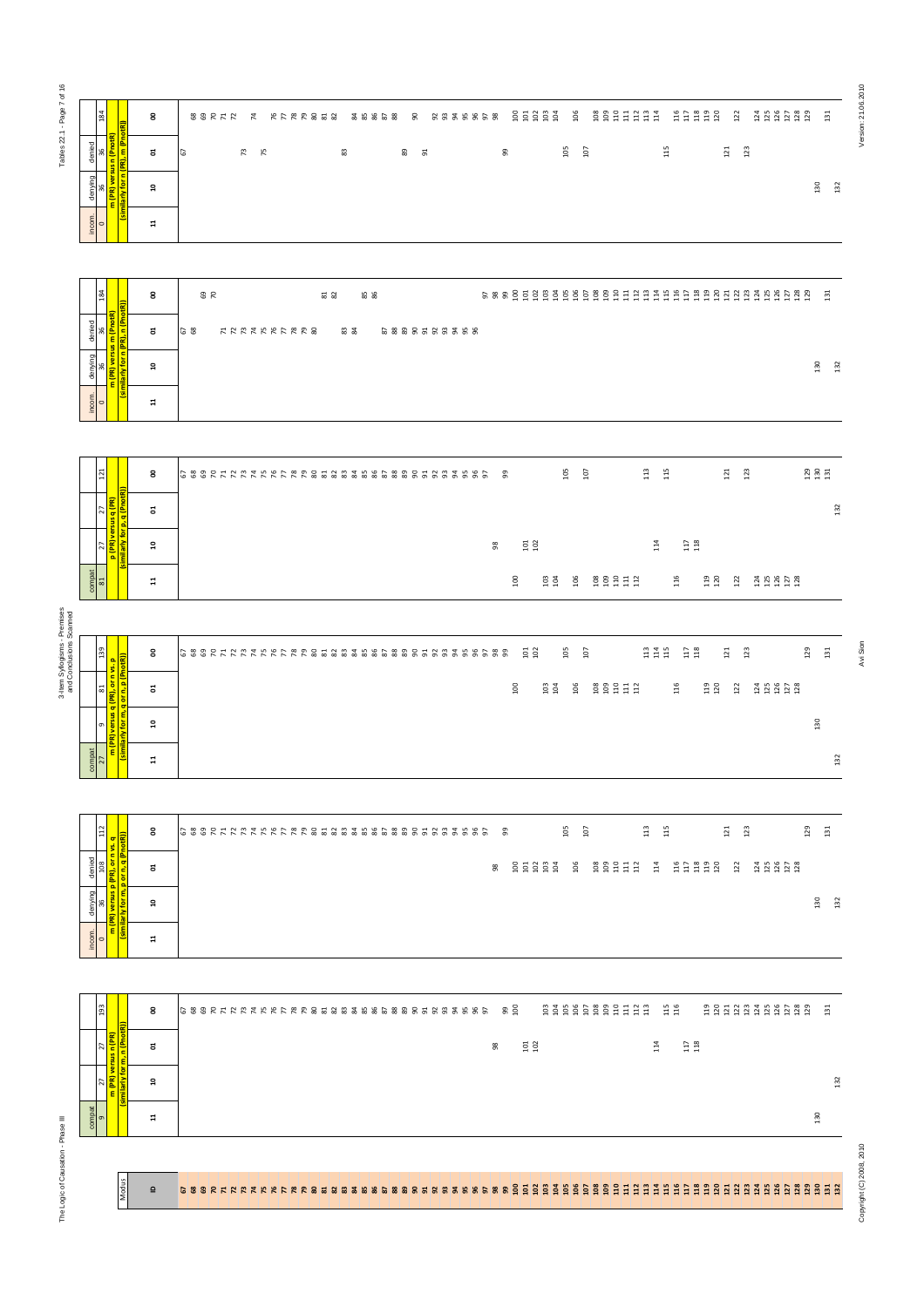Tables 22.1 - Page 7 of 16 Tables 22.1 - Page 7 of 16

|         | 184                               |                                                                                       | 8              | 88888<br>106<br>gggddda<br>11322<br>$122$<br>$1188080$<br>$1181280$<br>$\frac{51}{2}$<br>5555558<br>88222 2 222888<br>2 2 3 2 3 2<br>- 90                                                                                                                                                                                                                                                                                                                |
|---------|-----------------------------------|---------------------------------------------------------------------------------------|----------------|----------------------------------------------------------------------------------------------------------------------------------------------------------------------------------------------------------------------------------------------------------------------------------------------------------------------------------------------------------------------------------------------------------------------------------------------------------|
| denied  | 36                                | n (PnotR                                                                              | E,             | $115$<br>105<br>107<br>121<br>123<br>89<br>99<br>73 75<br>83<br>51<br>67                                                                                                                                                                                                                                                                                                                                                                                 |
| denying | 36                                | (similarly for n (PR), m (Pno<br>PR) versus                                           | <b>្ព</b>      | 130<br>132                                                                                                                                                                                                                                                                                                                                                                                                                                               |
| incom.  | $\circ$                           | Ε                                                                                     | $\overline{1}$ |                                                                                                                                                                                                                                                                                                                                                                                                                                                          |
|         |                                   |                                                                                       |                |                                                                                                                                                                                                                                                                                                                                                                                                                                                          |
|         | 184                               |                                                                                       | 8              | 131<br><b>9 R</b><br><b>81</b><br>82<br><b>85</b><br>86                                                                                                                                                                                                                                                                                                                                                                                                  |
| denied  | 36                                | (PR), n (PnotR))<br>m (PnotR                                                          | ៩              | 68<br>カカ やね た あ カ あ め の<br>ಙ ౙ<br>58885588358                                                                                                                                                                                                                                                                                                                                                                                                            |
| denying | 36                                | <b>PR</b> ) versus<br>similarly for n                                                 | $\mathbf{a}$   | 130<br>132                                                                                                                                                                                                                                                                                                                                                                                                                                               |
| incom.  | $\circ$                           | ε                                                                                     | $\mathbf{r}$   |                                                                                                                                                                                                                                                                                                                                                                                                                                                          |
|         |                                   |                                                                                       |                |                                                                                                                                                                                                                                                                                                                                                                                                                                                          |
|         | 121                               |                                                                                       | 8              | $\begin{array}{c} 29 \\ 30 \\ 131 \end{array}$<br>$rac{105}{107}$<br>$113$<br>123<br>115<br>121<br>- 99                                                                                                                                                                                                                                                                                                                                                  |
|         | 27                                | similarly for p, q (PnotR)                                                            | ៩              | 132                                                                                                                                                                                                                                                                                                                                                                                                                                                      |
|         | 27                                | <mark>b (PR) versus q (PR</mark>                                                      | ្ព             | $\substack{117 \\ 118}$<br>$\frac{101}{102}$<br>14<br>98                                                                                                                                                                                                                                                                                                                                                                                                 |
|         | $\frac{\text{compat}}{\text{81}}$ |                                                                                       | $\overline{u}$ | 119<br>120<br>$\frac{8}{2}$<br>106<br>116<br>1156<br>1157<br>1158<br>$103$<br>$104$<br>122                                                                                                                                                                                                                                                                                                                                                               |
|         |                                   |                                                                                       |                |                                                                                                                                                                                                                                                                                                                                                                                                                                                          |
|         | 139                               |                                                                                       | 8              | $\begin{array}{c} 113 \\ 114 \\ 115 \end{array}$<br>105<br>$\begin{array}{c} 117 \\ 118 \end{array}$<br>129<br>121<br>123<br>$131\,$<br>$\frac{101}{102}$<br>107                                                                                                                                                                                                                                                                                         |
|         | 81                                | <mark>m (PR) versus q (PR), or n vs. p</mark><br>(similarly for m, q or n, p (PnotR)) | ដ              | $\frac{8}{100}$<br>106<br><b>g</b> g g g g g<br>$\begin{array}{c} 119 \\ 120 \end{array}$<br>$\frac{2}{104}$<br>116<br>122                                                                                                                                                                                                                                                                                                                               |
|         | ō                                 |                                                                                       | <b>ុ</b>       | 130                                                                                                                                                                                                                                                                                                                                                                                                                                                      |
| compat  | <b>Z7</b>                         |                                                                                       | $\mathbf{1}$   | 132                                                                                                                                                                                                                                                                                                                                                                                                                                                      |
|         |                                   |                                                                                       |                |                                                                                                                                                                                                                                                                                                                                                                                                                                                          |
|         | 112                               |                                                                                       | 8              | $\begin{array}{c} 105 \\ 107 \end{array}$<br>$113\,$<br>115<br>123<br>129<br>121<br>131                                                                                                                                                                                                                                                                                                                                                                  |
| denied  | 108                               | m (PR) versus p (PR), or n vs. q<br>(similarly for m, p or n, q (PnotR))              | ដ              | $\begin{array}{c} 8 \\ 8 \\ 9 \\ 1 \\ 3 \\ 4 \\ 5 \\ 6 \\ 7 \\ 8 \\ 9 \\ 1 \\ 1 \\ 2 \\ 3 \\ 4 \\ 5 \\ 1 \\ 2 \\ 4 \\ 5 \\ 6 \\ 9 \\ 1 \\ 2 \\ 3 \\ 4 \\ 5 \\ 4 \\ 5 \\ 6 \\ 9 \\ 1 \\ 2 \\ 4 \\ 5 \\ 4 \\ 5 \\ 6 \\ 6 \\ 9 \\ 1 \\ 5 \\ 4 \\ 6 \\ 9 \\ 1 \\ 6 \\ 1 \\ 7 \\ 1 \\ 8 \\ 9 \\ 1 \\ 9 \\ 1 \\ 1 \\ 1 \\ 2 \\ 3 \\ 4 \\ 5 \\ 4 \\ 5 \\ 6 \\ 6 \\ 7 \\ 1 \\ 5 \\ 9 \\ 1 \\$<br>22222<br>$1358$<br>$1253$<br>8 9 9 9 9 9 9 9 9<br>$14$<br>$122$ |
| denying | 36                                |                                                                                       | ្ព             | 130<br>132                                                                                                                                                                                                                                                                                                                                                                                                                                               |
| incom.  | $\circ$                           |                                                                                       | $\overline{1}$ |                                                                                                                                                                                                                                                                                                                                                                                                                                                          |
|         |                                   |                                                                                       |                |                                                                                                                                                                                                                                                                                                                                                                                                                                                          |
|         | 193                               |                                                                                       | 8              | 88888888888<br>$\frac{15}{116}$<br>2212342425<br>$\overline{13}$                                                                                                                                                                                                                                                                                                                                                                                         |
|         | 27                                | (similarly for m, n (PnotR)<br>m (PR) versus n (PR                                    | ៩              | $\begin{array}{c} 117 \\ 118 \end{array}$<br>$114$<br>$\begin{array}{c} 101 \\ 102 \end{array}$<br>88                                                                                                                                                                                                                                                                                                                                                    |
|         | 27                                |                                                                                       | $\mathbf{a}$   | 132                                                                                                                                                                                                                                                                                                                                                                                                                                                      |
| mpat    | $\sigma$                          |                                                                                       | $\mathbf{u}$   | 130                                                                                                                                                                                                                                                                                                                                                                                                                                                      |

| denied                         | <mark>뜅 동</mark> |   | ៩     | <b>G</b> 8 | 12 72 72 72 72 72 82 83 |  |  |  | ಙ ೩ | 58885585588 |  |  |  |  |  |  |  |  |  |                      |
|--------------------------------|------------------|---|-------|------------|-------------------------|--|--|--|-----|-------------|--|--|--|--|--|--|--|--|--|----------------------|
| denying                        | π                |   | ្ព    |            |                         |  |  |  |     |             |  |  |  |  |  |  |  |  |  | 50<br>$\blacksquare$ |
| $rac{1}{\sqrt{1-\frac{1}{2}}}$ |                  | 高 | $\Xi$ |            |                         |  |  |  |     |             |  |  |  |  |  |  |  |  |  |                      |
|                                |                  |   |       |            |                         |  |  |  |     |             |  |  |  |  |  |  |  |  |  |                      |

| $\overline{121}$         | 줄                               | 8     |  |  |  |  |  |  |  |  |  | 99 |                 |               | 105 | $\overline{5}$ | $\overline{11}3$ | $\frac{15}{11}$      |                  | 121        | 123                               |            | $\begin{array}{c} 23 \\ 23 \\ 24 \end{array}$ |
|--------------------------|---------------------------------|-------|--|--|--|--|--|--|--|--|--|----|-----------------|---------------|-----|----------------|------------------|----------------------|------------------|------------|-----------------------------------|------------|-----------------------------------------------|
| $\overline{2}$           | sus q (PR)<br>p, q (Pnotl       | 5     |  |  |  |  |  |  |  |  |  |    |                 |               |     |                |                  |                      |                  |            |                                   |            | 132                                           |
| $\overline{2}$           | ō<br>arly for<br>p (PR) ve<br>Ë | ្ក    |  |  |  |  |  |  |  |  |  | 8  | $\frac{5}{10}$  |               |     |                | 급                |                      | $\frac{17}{118}$ |            |                                   |            |                                               |
| $\frac{1}{\sin 2\theta}$ | ÷                               | $\Xi$ |  |  |  |  |  |  |  |  |  |    | $\frac{8}{100}$ | $rac{3}{104}$ | 106 | ggggg          |                  | 16<br>$\blacksquare$ |                  | ង ន<br>ਚ ਚ | $\sim$<br>$\sim$<br>$\rightarrow$ | 25828<br>. |                                               |

| denyi<br>36                                                             | <mark>o m (PR)</mark><br>Initarly fo<br>$\overline{\mathbf{a}}$                              | $rac{50}{2}$<br>$\frac{32}{2}$                                                                                                                            |
|-------------------------------------------------------------------------|----------------------------------------------------------------------------------------------|-----------------------------------------------------------------------------------------------------------------------------------------------------------|
| $rac{1}{2}$                                                             | $\overline{a}$                                                                               |                                                                                                                                                           |
|                                                                         |                                                                                              |                                                                                                                                                           |
| 184                                                                     | 8                                                                                            | 131<br>$rac{9}{70}$<br><b>22</b><br>22<br><b>85</b>                                                                                                       |
| denied<br>96<br>E                                                       | PhotR<br><mark>n (Pho</mark><br>៩                                                            | <b>68</b><br><b>カカスカカカカカカめ</b><br>ಙ ౙ<br>58885588388                                                                                                      |
| $\frac{\text{denying}}{36}$                                             | <mark>n (PR) versus ı</mark><br><mark>illarly for n (PI</mark><br>្ព                         | 130<br>132                                                                                                                                                |
| Ε<br>incom.<br>$\circ$                                                  | $\boldsymbol{\Xi}$                                                                           |                                                                                                                                                           |
|                                                                         |                                                                                              |                                                                                                                                                           |
| 121                                                                     | 8                                                                                            | $\begin{array}{cc} 105 \\ 107 \end{array}$<br>$\begin{array}{c} 29 \\ 130 \\ 131 \end{array}$<br>$\begin{array}{cc}\n13 \\ 15\n\end{array}$<br>121<br>123 |
| 27                                                                      | ຮ                                                                                            | 132                                                                                                                                                       |
| $\overline{27}$                                                         | imilarly for p, q (PR)<br>imilarly for p, q (Pnot<br>$\mathfrak{a}$                          | $\substack{117 \\ 118}$<br>$\begin{array}{c} 101 \\ 102 \end{array}$<br>114<br>$98$                                                                       |
| $\frac{\text{compat}}{\text{81}}$                                       | $\overline{\mathbf{u}}$                                                                      | $\begin{array}{c} 8894111 \\ 894111 \end{array}$<br><b>119</b><br>120<br>$\frac{0}{2}$<br>$103$<br>$104$<br>106<br>116<br>122<br>$23.252$<br>$25.25$      |
|                                                                         |                                                                                              |                                                                                                                                                           |
|                                                                         |                                                                                              |                                                                                                                                                           |
| 681                                                                     | 8                                                                                            | $\begin{array}{c} 23 \\ 24 \\ 15 \end{array}$<br>$\substack{11 \\ 11 \\ 8}$<br>129<br>$131\,$<br>101<br>105<br>107<br>121<br>123                          |
| $\mathbbm{1}$                                                           | <mark>versus q (PR), or n vs. p</mark><br>y for m, q or n, p (PnotR))<br>ដ                   | 106<br><b>ggggdd</b><br>116<br>119<br>$\frac{8}{100}$<br>103<br>122<br>2480228                                                                            |
| $\sigma$                                                                | ្ព<br>m (PR)<br>(similarl <sub>)</sub>                                                       | 130                                                                                                                                                       |
| compat<br>$\overline{27}$                                               | $\Xi$                                                                                        | $132\,$                                                                                                                                                   |
|                                                                         |                                                                                              |                                                                                                                                                           |
| $\frac{12}{12}$                                                         | 8                                                                                            | $105\,$<br>$107\,$<br>129<br>$\frac{13}{2}$<br>$\frac{15}{15}$<br>$123$<br>131<br>$\overline{21}$                                                         |
| denied<br>108 112<br><mark>PR), or n vs. q</mark><br>o or n, q (PnotR)) | ដ                                                                                            | 99977<br><b>HERER</b><br>$\frac{14}{114}$<br>$122$<br><b>1111128</b><br>98                                                                                |
| denying<br>36                                                           | im (PR) versus p ( <mark>)</mark><br>(similarly for m, p <b>)</b><br>$\overline{\mathbf{a}}$ | 130<br>132                                                                                                                                                |
| incom.<br>$\circ$                                                       | $\Xi$                                                                                        |                                                                                                                                                           |
|                                                                         |                                                                                              |                                                                                                                                                           |
| 193                                                                     | 8                                                                                            | $\begin{array}{c} 15 \\ 116 \end{array}$<br>22123423523<br>្នុង                                                                                           |
| ť<br>R                                                                  | ៩<br>$\blacksquare$                                                                          | $\begin{array}{c} 101 \\ 102 \end{array}$<br>$\substack{117 \\ 118}$<br>114<br>98                                                                         |
| versus n<br>E                                                           | ε<br>milarly<br>្ព                                                                           | 132                                                                                                                                                       |
| Ē<br>$\frac{1}{9}$                                                      | $\mathbf{H}$                                                                                 | 130                                                                                                                                                       |
|                                                                         |                                                                                              |                                                                                                                                                           |
|                                                                         | <i>hodus</i>                                                                                 |                                                                                                                                                           |
|                                                                         | $\mathbf{a}$                                                                                 |                                                                                                                                                           |

Copyright (C) 2010, 2110 Avi Sion Party Copyright (C) 2010, 21.07.09.2010 Avi Sion 21.06.2010, 2010, 2010, 2010, 2010, 2010, 2010, 2010, 2010, 2010, 2010, 2010, 2010, 2010, 2010, 2010, 2110, 2010, 2010, 2010, 2010, 2010, 2

Version: 21.06.2010

| $\overline{ }$             | vs. p                                                 | ິ            |  |  |  |  |  |  |  |  |  |  |  |  |  |    |    |         | -ਜ ਜ |       |               | ÷.            | 급   |                    |                                           | ਜ ਜ ਜ          |     |                   | ਜ ਜ   |                                           |     | $\ddot{ }$ | ÷     |  |                                                                                                               | H.  | $\ddot{ }$ |     |
|----------------------------|-------------------------------------------------------|--------------|--|--|--|--|--|--|--|--|--|--|--|--|--|----|----|---------|------|-------|---------------|---------------|-----|--------------------|-------------------------------------------|----------------|-----|-------------------|-------|-------------------------------------------|-----|------------|-------|--|---------------------------------------------------------------------------------------------------------------|-----|------------|-----|
| $\mathbbm{2}$              | q (PR), or n                                          | ã            |  |  |  |  |  |  |  |  |  |  |  |  |  |    |    | $100\,$ |      | 103   | $\frac{3}{2}$ | 106           |     | <b>g</b> g g g g g |                                           |                |     | 116               |       | $\begin{array}{c} 119 \\ 120 \end{array}$ |     | $122$      |       |  | $\begin{array}{cccccc}\n3 & 12 & 12 & 12 & 13 \\ 1 & 12 & 12 & 12 & 13 \\ 1 & 12 & 12 & 13 & 14\n\end{array}$ |     |            |     |
| $\sigma$                   | (similarly for m, q or n, p (PnotR))<br>m (PR) versus | <b>ុ</b>     |  |  |  |  |  |  |  |  |  |  |  |  |  |    |    |         |      |       |               |               |     |                    |                                           |                |     |                   |       |                                           |     |            |       |  |                                                                                                               |     | 130        |     |
| $\frac{\text{compat}}{27}$ |                                                       | $\Xi$        |  |  |  |  |  |  |  |  |  |  |  |  |  |    |    |         |      |       |               |               |     |                    |                                           |                |     |                   |       |                                           |     |            |       |  |                                                                                                               |     |            | 132 |
|                            |                                                       |              |  |  |  |  |  |  |  |  |  |  |  |  |  |    |    |         |      |       |               |               |     |                    |                                           |                |     |                   |       |                                           |     |            |       |  |                                                                                                               |     |            |     |
| $112$                      | $\sigma$<br>$\bullet$<br>S.                           | 8            |  |  |  |  |  |  |  |  |  |  |  |  |  |    | 99 |         |      |       |               | 105           | 107 |                    |                                           | 113            | 115 |                   |       |                                           |     | $121$      | $123$ |  |                                                                                                               | 129 | 131        |     |
|                            | (similarly for m, p or n, q (PnotR))                  | ã            |  |  |  |  |  |  |  |  |  |  |  |  |  | 98 |    |         |      | 85888 |               | $\frac{6}{2}$ |     | 80B                | $\frac{6}{2}$ $\frac{1}{2}$ $\frac{1}{2}$ | $\frac{3}{14}$ |     | $\frac{116}{117}$ | $118$ | 119                                       | 120 | 122        |       |  | $1358$<br>$1253$                                                                                              |     |            |     |
|                            |                                                       | $\mathbf{a}$ |  |  |  |  |  |  |  |  |  |  |  |  |  |    |    |         |      |       |               |               |     |                    |                                           |                |     |                   |       |                                           |     |            |       |  |                                                                                                               |     | 130        | 132 |
| incom.<br>$0$              | Έ                                                     |              |  |  |  |  |  |  |  |  |  |  |  |  |  |    |    |         |      |       |               |               |     |                    |                                           |                |     |                   |       |                                           |     |            |       |  |                                                                                                               |     |            |     |

| and a state of the state of the state of the state of the state of the state of the state of the state of the state of the state of the state of the state of the state of the state of the state of the state of the state of<br>$\begin{array}{c} 117 \\ 118 \end{array}$<br>$\begin{array}{c} 101 \\ 102 \end{array}$<br>14<br>8<br>៩<br>132<br>្ព<br>compat<br>130<br>$\overline{a}$ | $\frac{193}{2}$ | 8 | $6888272222222222333333333333333553333333$ |  |  |  |  |  |  |  |  |  |  |  |  |  | <b>90</b> |  |  |  |  | 88888888888 | $\frac{15}{116}$ |  |  |  |  | 2233333828 | $\overline{131}$ |  |
|------------------------------------------------------------------------------------------------------------------------------------------------------------------------------------------------------------------------------------------------------------------------------------------------------------------------------------------------------------------------------------------|-----------------|---|--------------------------------------------|--|--|--|--|--|--|--|--|--|--|--|--|--|-----------|--|--|--|--|-------------|------------------|--|--|--|--|------------|------------------|--|
|                                                                                                                                                                                                                                                                                                                                                                                          |                 |   |                                            |  |  |  |  |  |  |  |  |  |  |  |  |  |           |  |  |  |  |             |                  |  |  |  |  |            |                  |  |
|                                                                                                                                                                                                                                                                                                                                                                                          |                 |   |                                            |  |  |  |  |  |  |  |  |  |  |  |  |  |           |  |  |  |  |             |                  |  |  |  |  |            |                  |  |
|                                                                                                                                                                                                                                                                                                                                                                                          |                 |   |                                            |  |  |  |  |  |  |  |  |  |  |  |  |  |           |  |  |  |  |             |                  |  |  |  |  |            |                  |  |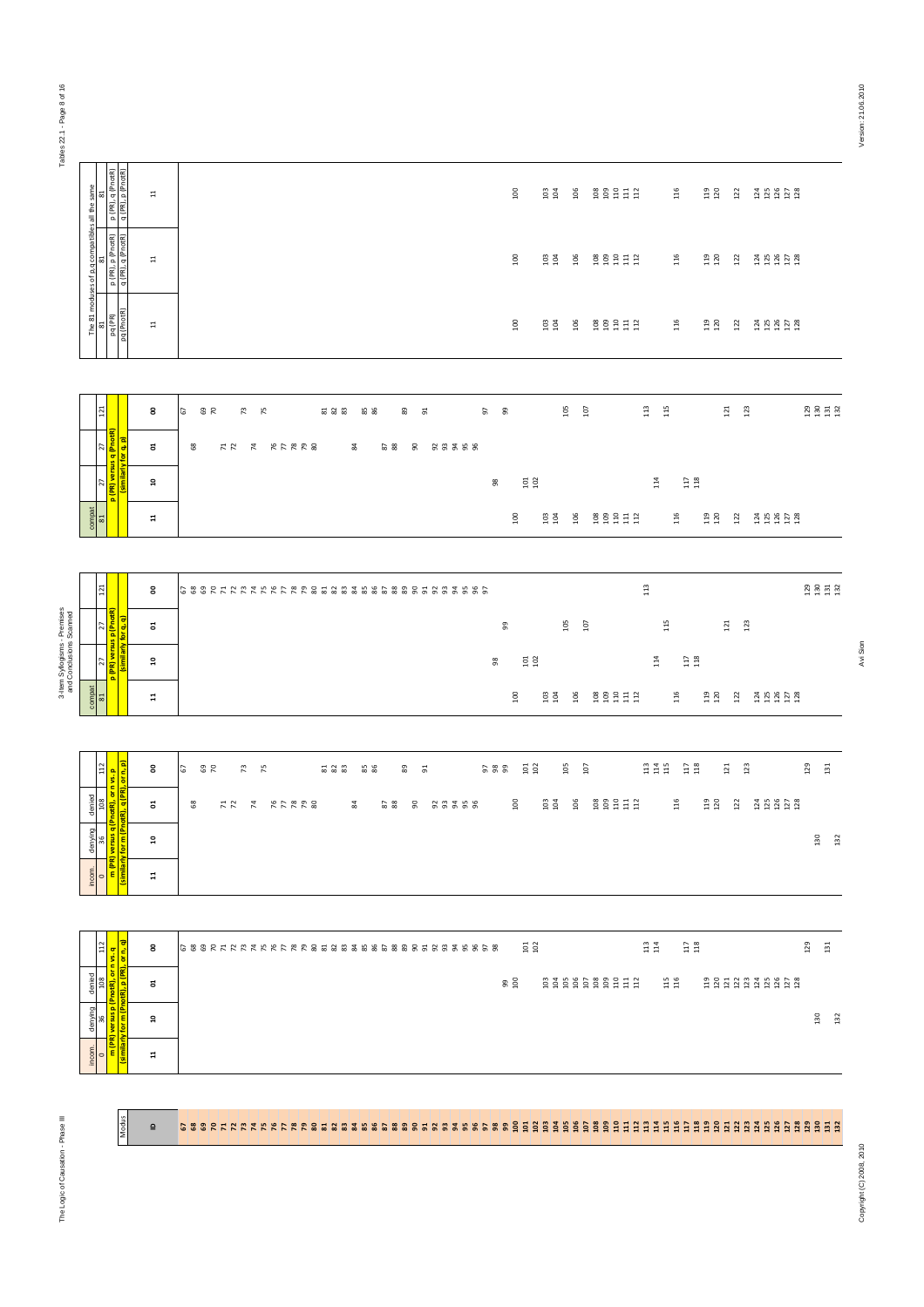| Tables                                                  |                                                |                                                                               |                         |                                                                                                                                                                                                                                                                                                                                              |
|---------------------------------------------------------|------------------------------------------------|-------------------------------------------------------------------------------|-------------------------|----------------------------------------------------------------------------------------------------------------------------------------------------------------------------------------------------------------------------------------------------------------------------------------------------------------------------------------------|
|                                                         |                                                | p (PR), q (PnotR)<br>q (PR), p (PnotR)<br>53                                  | $\Xi$                   | $\overline{\phantom{0}}$<br>106<br><b>g</b> g g g g g<br>$116\,$<br>$\begin{array}{c} 119 \\ 120 \end{array}$<br>$122$<br>$1358$<br>$1253$<br>103                                                                                                                                                                                            |
|                                                         | The 81 moduses of p,q compatibles all the same | p (PR), p (PnotR)<br>  q (PR), q (PnotR)<br>53                                | $\Xi$                   | $100\,$<br>116<br>119<br>120<br>$103$<br>$104$<br>106<br>e e e e e e<br>122<br>125<br>125<br>127<br>128                                                                                                                                                                                                                                      |
|                                                         |                                                | pq (PR)<br>pq (PnotR)<br>53                                                   | $\Xi$                   | $\overline{100}$<br>106<br><b>g</b> g g g g g<br>116<br>$\begin{array}{c} 119 \\ 120 \end{array}$<br>$\frac{103}{104}$<br>$122$<br>38828                                                                                                                                                                                                     |
|                                                         |                                                |                                                                               |                         |                                                                                                                                                                                                                                                                                                                                              |
|                                                         |                                                | $121\,$                                                                       | 8                       | $113\,$<br>105<br>$115$<br>107<br>121<br>123<br>57<br>್ದಿ ನ<br>73<br>75<br>$\begin{smallmatrix} 2\\2\\3\\2\\ \end{smallmatrix}$ & $\begin{smallmatrix} 2\\3\\3\\ \end{smallmatrix}$<br>85<br>86<br>89<br>57<br>- 9<br>51                                                                                                                     |
|                                                         |                                                | q (PnotR)<br>for q, p)<br>27                                                  | ຮ                       | 90<br>68<br>HH H RARRE<br>84<br>$\frac{2}{8}$<br>23228                                                                                                                                                                                                                                                                                       |
|                                                         |                                                | similarly<br>27<br>$\mathbf{R}$                                               | å                       | $\substack{117 \\ 118}$<br>$\frac{10}{10}$<br>$\frac{3}{14}$<br>98                                                                                                                                                                                                                                                                           |
|                                                         | compat                                         | 81                                                                            | $\overline{\mathbf{u}}$ | $\frac{8}{100}$<br>$103$<br>$104$<br>106<br>gggdd<br>116<br>119<br>120<br>125<br>125<br>127<br>128<br>122                                                                                                                                                                                                                                    |
|                                                         |                                                |                                                                               |                         |                                                                                                                                                                                                                                                                                                                                              |
|                                                         |                                                | $121\,$                                                                       | 8                       | 113<br>$130$<br>$131$<br>$132$<br>688855285688888888888888888888                                                                                                                                                                                                                                                                             |
|                                                         |                                                | 27<br><mark>p (PnotR)</mark>                                                  | ដ                       | 105<br>115<br>$121\,$<br>123<br>107<br>99                                                                                                                                                                                                                                                                                                    |
| 3-Item Syllogisms - Premises<br>and Conclusions Scanned |                                                | (similarly for q, q)<br>27<br>冨                                               | ដ                       | $\begin{array}{c} 117 \\ 118 \end{array}$<br>$\begin{array}{c} 101 \\ 102 \end{array}$<br>114<br>8                                                                                                                                                                                                                                           |
|                                                         | compat                                         | <b>B1</b>                                                                     | $\mathfrak{a}$          | 100<br>106<br><b>g</b> g g g g g<br>116<br>$\begin{array}{c} 119 \\ 120 \end{array}$<br>23 23 23<br>$\frac{103}{104}$<br>122                                                                                                                                                                                                                 |
|                                                         |                                                |                                                                               |                         |                                                                                                                                                                                                                                                                                                                                              |
|                                                         |                                                | <mark>, orn vs. p</mark><br><mark>(PR), or n, p)</mark><br>112                | 8                       | $105\,$<br>$\begin{array}{c} 13 \\ 14 \\ 15 \end{array}$<br>$\begin{array}{c} 1.17 \\ 1.18 \end{array}$<br>129<br>$\frac{5}{10}$<br>121<br>123<br>107<br>131<br><b>82</b><br>73<br>75<br>$\begin{smallmatrix} 2\\2\\3\\2\\ \end{smallmatrix}$ & $\begin{smallmatrix} 2\\3\\3\\ \end{smallmatrix}$<br><b>85</b><br>86<br>89<br>588<br>5<br>51 |
|                                                         | denied                                         | 36   108  <br><mark>Irsus q (PnotR), or n \</mark><br>Dr m (PnotR), q (PR), c | ដ                       | <b>B B B E E E E</b><br>$116\,$<br>$\begin{array}{c} 119 \\ 120 \end{array}$<br>$\frac{8}{2}$<br>$\frac{103}{104}$<br>106<br>$122$<br>$68\,$<br>$\frac{1}{2}$<br>$\overline{7}$<br><b>RFRR8</b><br>$\frac{4}{3}$<br>$\frac{5}{8}$<br>90<br>55558                                                                                             |
|                                                         | denying                                        |                                                                               | ă                       | 130<br>132                                                                                                                                                                                                                                                                                                                                   |
|                                                         | incom.                                         | <mark>(similarly)</mark><br>$\circ$ $\frac{1}{\pi}$                           | $\overline{a}$          |                                                                                                                                                                                                                                                                                                                                              |
|                                                         |                                                |                                                                               |                         |                                                                                                                                                                                                                                                                                                                                              |
|                                                         |                                                | $\overline{\text{or n}, \text{q}}$<br>$112$<br>n vs. q                        | 8                       | $\substack{13\\114}$<br>$\substack{11 \\ 118}$<br>$129$<br>$131$<br>$101$<br>$102$                                                                                                                                                                                                                                                           |
|                                                         | denied                                         | õ<br>108<br>notR),                                                            | ຮ                       | 115<br>116<br>2222245223<br><b>8 g</b>                                                                                                                                                                                                                                                                                                       |
|                                                         | denying                                        | for m (PnotR), p (PR),<br>versus p <sup>(P</sup><br>36                        | ្អ                      | $130$<br>$132$                                                                                                                                                                                                                                                                                                                               |
|                                                         | incom.                                         | similarly<br>Similarly<br>$\overline{\phantom{0}}$                            | $\overline{u}$          |                                                                                                                                                                                                                                                                                                                                              |
|                                                         |                                                |                                                                               |                         |                                                                                                                                                                                                                                                                                                                                              |

### $\overline{a}$ **េនខេសស្រុងស្រុសស្រុននេងបាននេះទន្ទន្ទន្ទន្ទន្ទន្ទន្ទ្រី ដូច្នូ** ដូច្នូ ដូច្នូ ដូច្នី ដូច្នី ដូចដូចដូចដូចដូចដូចដូ

Avi Sion

**Modus**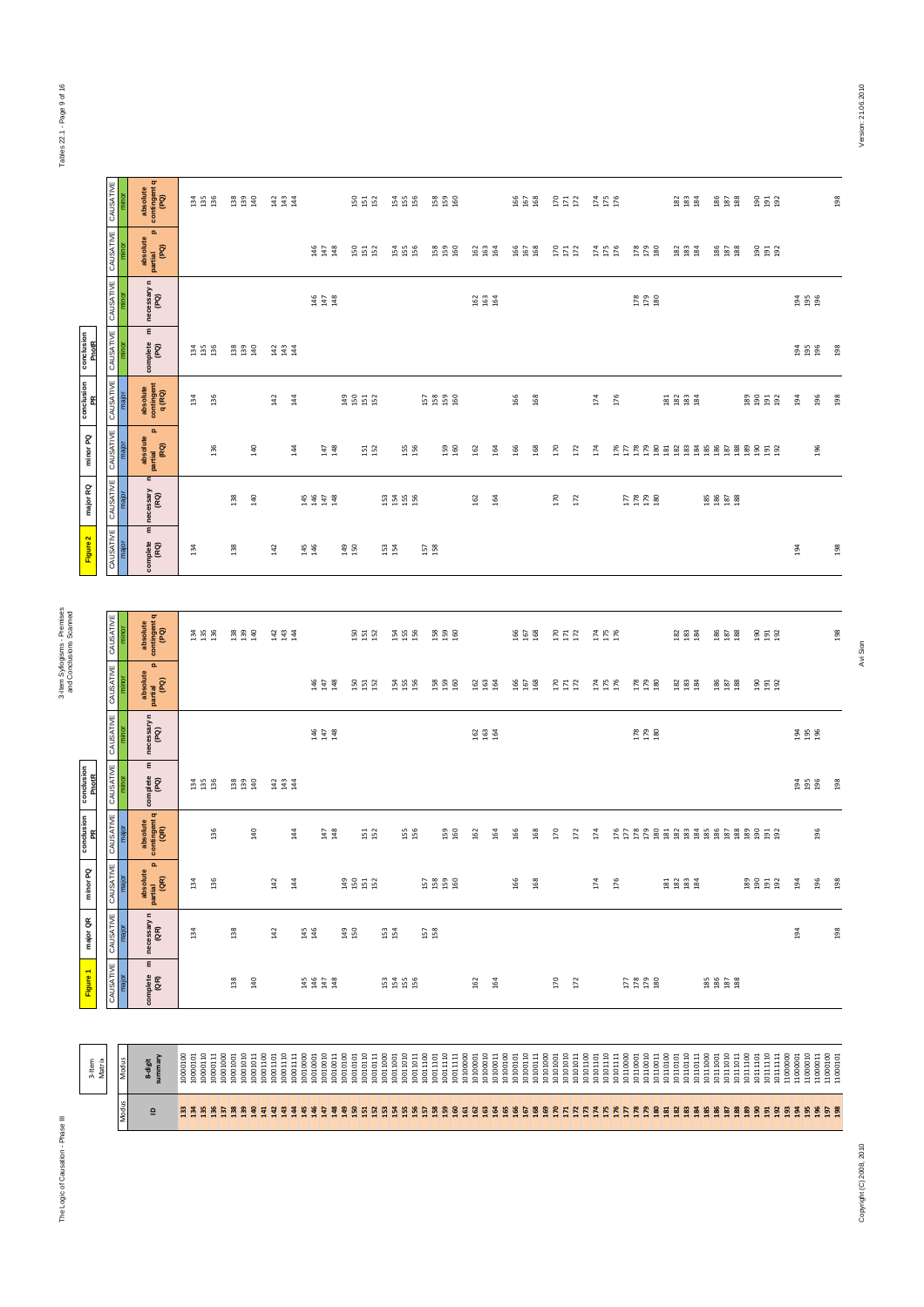# The Logic of Causation - Phase III 3-Item Syllogisms - Premises The Logic of Causation - Phase III

| minor PQ<br>major QR |
|----------------------|
|                      |

|              | 3-Item<br>Matrix                                                | Figure 1              | major QR                                  | minor PQ                                    | conclusion<br>PR                          | conclusion<br>PnotR   |                                                  |                                                  |                                                  | Figure 2              | major RQ                          | minor PQ                                             | conclusion<br>PR                | conclusion<br>PnotR                  |                                                  |                                             |                                                  |
|--------------|-----------------------------------------------------------------|-----------------------|-------------------------------------------|---------------------------------------------|-------------------------------------------|-----------------------|--------------------------------------------------|--------------------------------------------------|--------------------------------------------------|-----------------------|-----------------------------------|------------------------------------------------------|---------------------------------|--------------------------------------|--------------------------------------------------|---------------------------------------------|--------------------------------------------------|
|              |                                                                 | CAUSATIVE             | CAUSATIVE                                 | y<br>CAUSAT                                 | CAUSATIVE                                 | CAUSATIVE             | CAUSATIVE CAUSATIVE                              |                                                  | CAUSATIVE                                        | CAUSATIVE             | CAUSATIVE                         | CAUSATIVE                                            | CAUSATIVE                       | CAUSATIVE                            | CAUSATIVE                                        | CAUSATIVE CAUSATIVE                         |                                                  |
| <b>Aodus</b> | Modus                                                           | major                 | major                                     | major                                       | major                                     | minor                 | minor                                            | minor                                            | minor                                            | major                 | major                             | major                                                | major                           | minor                                | minor                                            | minor                                       | minor                                            |
| $\mathbf{r}$ | summary<br>8-digit                                              | ε<br>complete<br>(QR) | necessary n<br>(QR)                       | $\mathbf{a}$<br>absolute<br>partial<br>(QR) | absolute<br>contingent q<br>(QR)          | ε<br>complete<br>(PQ) | necessary n<br>(PQ)                              | $\mathbf{a}$<br>absolute<br>partial<br>(PQ)      | absolute<br>contingent q<br>(PQ)                 | ε<br>complete<br>(RQ) | $\mathbf{c}$<br>necessary<br>(RQ) | $\mathbf{a}$<br>absolute<br> <br>  partial<br>  (RQ) | absolute<br>contingent<br>q(RQ) | $\pmb{\epsilon}$<br>complete<br>(PQ) | necessary n<br>(PQ)                              | $\mathbf{a}$<br>absolute<br>partial<br>(PQ) | absolute<br>contingent q<br>(PQ)                 |
|              | 10000110<br>10000100<br>10000101                                |                       | $\frac{34}{3}$                            | 134                                         |                                           | 134<br>135<br>136     |                                                  |                                                  | $\frac{3}{2}$ is $\frac{3}{2}$                   | 134                   |                                   |                                                      | $\frac{34}{2}$                  | $134$<br>$135$<br>$136$              |                                                  |                                             | $\begin{array}{c} 134 \\ 136 \end{array}$        |
|              | 10000111<br>10001000                                            |                       |                                           | 136                                         | 136                                       |                       |                                                  |                                                  |                                                  |                       |                                   | 136                                                  | 136                             |                                      |                                                  |                                             |                                                  |
|              | 10001010<br>10001001                                            | 138                   | 138                                       |                                             |                                           | 138<br>139<br>140     |                                                  |                                                  | E 23                                             | 138                   | 138                               |                                                      |                                 | 138<br>139<br>140                    |                                                  |                                             | $\begin{array}{c} 38 \\ 23 \\ 34 \\ \end{array}$ |
|              | 10001011<br>10001100                                            | 140                   |                                           |                                             | 140                                       |                       |                                                  |                                                  |                                                  |                       | $\frac{9}{4}$                     | 140                                                  |                                 |                                      |                                                  |                                             |                                                  |
|              | 10001110<br>10001101                                            |                       | 142                                       | 142                                         |                                           | 143<br>143<br>144     |                                                  |                                                  | 3 3 4<br>3 4 4                                   | 142                   |                                   |                                                      | 142                             | 14<br>14<br>14                       |                                                  |                                             | 3 3 4<br>3 4 4                                   |
|              | 10001111<br>10010000                                            |                       |                                           | 144                                         | $\frac{4}{4}$                             |                       |                                                  |                                                  |                                                  |                       |                                   | 144                                                  | 144                             |                                      |                                                  |                                             |                                                  |
|              | 10010001                                                        | <b>454248</b>         | 145<br>146                                |                                             |                                           |                       |                                                  |                                                  |                                                  | 145<br>146            | <b>44428</b>                      |                                                      |                                 |                                      |                                                  |                                             |                                                  |
|              | 10010010<br>10010011                                            |                       |                                           |                                             | $\begin{array}{c} 147 \\ 148 \end{array}$ |                       | $\begin{array}{c} 146 \\ 147 \\ 148 \end{array}$ | $\begin{array}{c} 146 \\ 147 \\ 148 \end{array}$ |                                                  |                       |                                   | $\begin{array}{c} 147 \\ 148 \end{array}$            |                                 |                                      | $\begin{array}{c} 146 \\ 147 \\ 148 \end{array}$ | 146<br>147<br>148                           |                                                  |
|              | 10010100<br>10010101                                            |                       | 149<br>150                                | 3552                                        |                                           |                       |                                                  |                                                  |                                                  | 149<br>150            |                                   |                                                      | 3853                            |                                      |                                                  |                                             |                                                  |
|              | 10010110<br>10010111                                            |                       |                                           |                                             | 52                                        |                       |                                                  | 55 52                                            | ង ដ ង                                            |                       |                                   | 151<br>152                                           |                                 |                                      |                                                  | <b>SSS</b>                                  | <b>SSS</b>                                       |
|              | 10011000<br>10011001                                            | 5355                  | <b>iS4</b>                                |                                             |                                           |                       |                                                  |                                                  |                                                  | 153<br>154            |                                   |                                                      |                                 |                                      |                                                  |                                             |                                                  |
|              | 10011010<br>10011011                                            |                       |                                           |                                             | 155<br>156                                |                       |                                                  | 154<br>155<br>156                                | ង ង ង                                            |                       | 5355                              | 155<br>156                                           |                                 |                                      |                                                  | 154<br>155<br>156                           | <b>54</b><br>155<br>156                          |
|              | 10011100<br>10011101                                            |                       | $\begin{array}{c} 157 \\ 158 \end{array}$ |                                             |                                           |                       |                                                  |                                                  |                                                  | 157<br>158            |                                   |                                                      |                                 |                                      |                                                  |                                             |                                                  |
|              | 10011110                                                        |                       |                                           | 58888                                       | I59<br>160                                |                       |                                                  | <b>158</b><br>159<br>160                         | <u>ង ង ទ</u>                                     |                       |                                   | 159<br>160                                           | 5888                            |                                      |                                                  | 158<br>159<br>160                           | <b>58 59</b>                                     |
|              | 10011111<br>1010000                                             |                       |                                           |                                             |                                           |                       |                                                  |                                                  |                                                  |                       |                                   |                                                      |                                 |                                      |                                                  |                                             |                                                  |
|              | 10100010<br>10100001                                            | 162                   |                                           |                                             | 162                                       |                       | <b>999</b>                                       | <b>983</b><br>1984                               |                                                  |                       | 162                               | 162                                                  |                                 |                                      | <b>999</b>                                       | <b>999</b><br>999                           |                                                  |
|              | 10100011                                                        | 164                   |                                           |                                             | 164                                       |                       |                                                  |                                                  |                                                  |                       | 164                               | 164                                                  |                                 |                                      |                                                  |                                             |                                                  |
|              | 10100100                                                        |                       |                                           | 166                                         | 166                                       |                       |                                                  |                                                  |                                                  |                       |                                   | 166                                                  | 166                             |                                      |                                                  |                                             |                                                  |
|              | $\begin{array}{c} 10100101 \\ 10100110 \\ 10100111 \end{array}$ |                       |                                           | 168                                         | 168                                       |                       |                                                  | 166<br>167<br>168                                | 166<br>167<br>168                                |                       |                                   | 168                                                  | 168                             |                                      |                                                  | 166<br>167<br>168                           | <b>165</b><br>167<br>168                         |
|              | 10101000<br>10101001                                            | 170                   |                                           |                                             | 170                                       |                       |                                                  |                                                  |                                                  |                       | 170                               | 170                                                  |                                 |                                      |                                                  |                                             |                                                  |
|              | 10101010<br>1010101                                             | 172                   |                                           |                                             | 172                                       |                       |                                                  | $170$<br>$171$<br>$172$                          | $\begin{array}{c} 170 \\ 171 \\ 172 \end{array}$ |                       | 172                               | 172                                                  |                                 |                                      |                                                  | $\frac{170}{171}$                           | $\begin{array}{c} 17 \\ 17 \\ 17 \end{array}$    |
|              | 10101100                                                        |                       |                                           |                                             |                                           |                       |                                                  |                                                  |                                                  |                       |                                   |                                                      |                                 |                                      |                                                  |                                             |                                                  |
|              | 10101110<br>10101101                                            |                       |                                           | 174                                         | 174                                       |                       |                                                  | $174$<br>$175$<br>$176$                          | $174$<br>$175$                                   |                       |                                   | 174                                                  | 174                             |                                      |                                                  | 174<br>175<br>176                           | $174$<br>$175$<br>$176$                          |
|              | 10101111<br>10110000                                            |                       |                                           | 176                                         |                                           |                       |                                                  |                                                  |                                                  |                       |                                   |                                                      | 176                             |                                      |                                                  |                                             |                                                  |
|              | 10110001                                                        | 778080                |                                           |                                             |                                           |                       |                                                  | 178<br>179<br>180                                |                                                  |                       | <b>22222</b>                      |                                                      |                                 |                                      |                                                  | 178<br>179<br>180                           |                                                  |
|              | 10110010<br>10110011                                            |                       |                                           |                                             |                                           |                       | $\begin{array}{c} 178 \\ 279 \\ 80 \end{array}$  |                                                  |                                                  |                       |                                   |                                                      |                                 |                                      | $\begin{array}{c} 178 \\ 179 \\ 80 \end{array}$  |                                             |                                                  |
|              | 10110100<br>10110101                                            |                       |                                           |                                             |                                           |                       |                                                  |                                                  |                                                  |                       |                                   |                                                      |                                 |                                      |                                                  |                                             |                                                  |
|              | 10110110                                                        |                       |                                           | <b>E 2 2 3</b>                              |                                           |                       |                                                  | $\begin{array}{c} 182 \\ 183 \\ 184 \end{array}$ | នី នី ខ្ម                                        |                       |                                   |                                                      | 8888                            |                                      |                                                  | <b>22 23</b><br>28 28 29                    | <b>82 82</b>                                     |
|              | 10110111<br>10111000                                            |                       |                                           |                                             |                                           |                       |                                                  |                                                  |                                                  |                       |                                   |                                                      |                                 |                                      |                                                  |                                             |                                                  |
|              | 10111010<br>10111001                                            |                       |                                           |                                             |                                           |                       |                                                  | 186<br>187<br>188                                | $\begin{array}{c} 186 \\ 187 \\ 188 \end{array}$ |                       | <b>85 88</b><br>186 88            |                                                      |                                 |                                      |                                                  | 186<br>187<br>188                           | 86<br>187<br>188                                 |
|              | 10111011                                                        |                       |                                           |                                             |                                           |                       |                                                  |                                                  |                                                  |                       |                                   |                                                      |                                 |                                      |                                                  |                                             |                                                  |
|              | 10111100<br>10111101                                            |                       |                                           |                                             |                                           |                       |                                                  |                                                  |                                                  |                       |                                   |                                                      |                                 |                                      |                                                  |                                             |                                                  |
|              | $\begin{array}{c} 1011110 \\ 1011111 \\ 11000000 \end{array}$   |                       |                                           | 8953                                        |                                           |                       |                                                  | 90 5 92                                          | $\frac{5}{2}$ $\frac{5}{2}$ $\frac{2}{2}$        |                       |                                   |                                                      | <b>89558</b>                    |                                      |                                                  | 190<br>191<br>192                           | $\frac{5}{2}$ $\frac{5}{2}$ $\frac{2}{2}$        |
|              | 11000001                                                        |                       | 194                                       | 194                                         |                                           |                       |                                                  |                                                  |                                                  | 194                   |                                   |                                                      | $\frac{3}{4}$                   |                                      |                                                  |                                             |                                                  |
|              | 11000010<br>11000011                                            |                       |                                           | 196                                         | 196                                       | 194<br>195<br>196     | <b>94</b><br>195                                 |                                                  |                                                  |                       |                                   | 196                                                  | 196                             | 194<br>195<br>196                    | 3 5 6<br>196                                     |                                             |                                                  |
|              | $11000100$ $11000101$                                           |                       | 198                                       | 198                                         |                                           | 198                   |                                                  |                                                  | 198                                              | 198                   |                                   |                                                      | 198                             | 198                                  |                                                  |                                             | 198                                              |

Tables 22.1 - Page 9 of 16 Tables 22.1 - Page 9 of 16

and Conclusions Scanned

3-Item Syllogisms - Premises<br>and Conclusions Scanned

Copyright (C) 2008, 2010

198

198 Avi Sion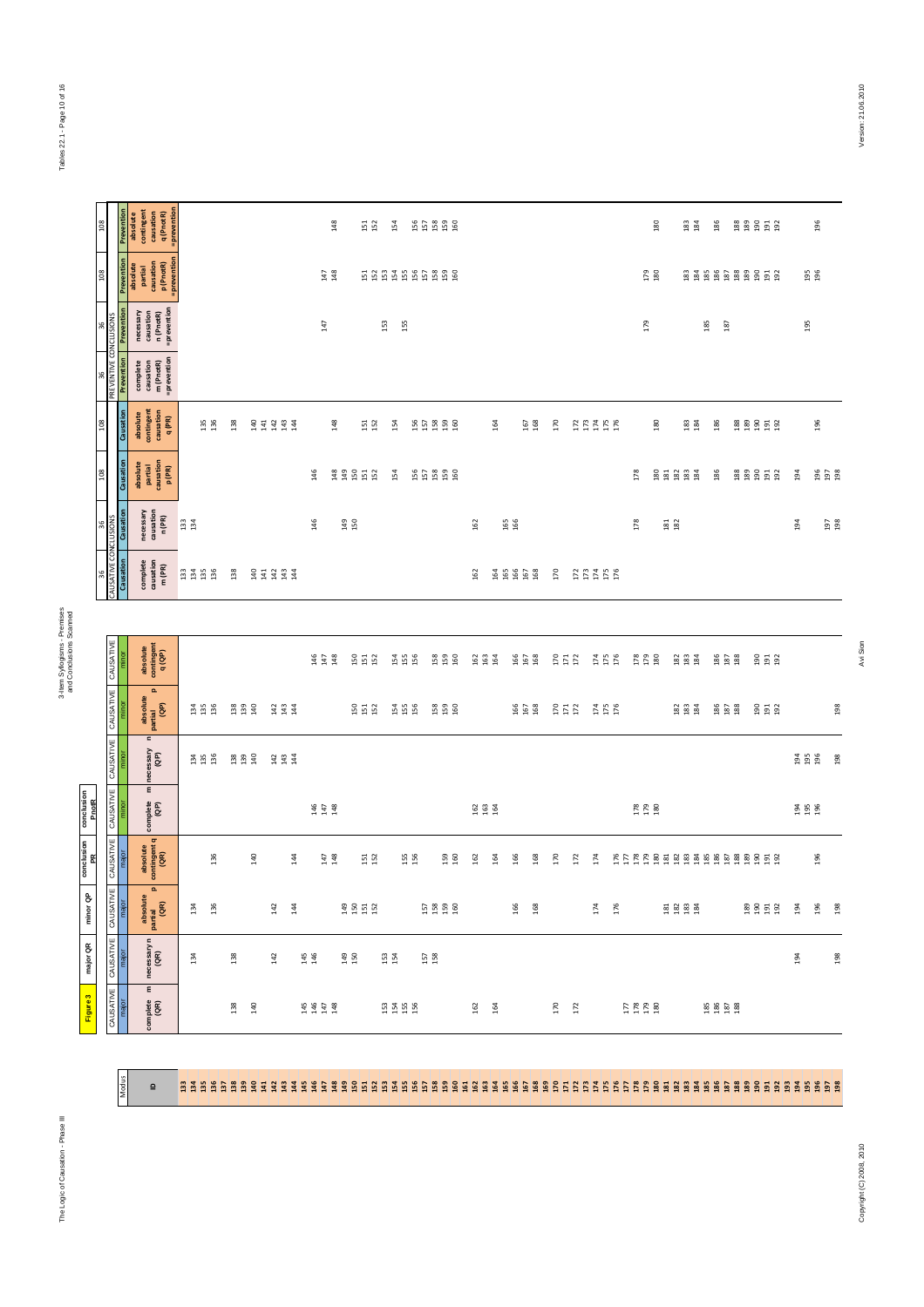Figure 3 major QR minor QP conclusion conclusion<br>PR PhotR

| $^{8}$                      |                                  | contingent<br>causation<br>q (PnotR)<br>Preventio<br>absolute                                                                 | =preventior                                   |                   |                       | 148                                              | 151<br>152                                | 154                    | 55888                    |                       |                   |                   |                                           | 180                                             | $\begin{array}{c} 183 \\ 184 \end{array}$                    | 186                             | 8898532       |
|-----------------------------|----------------------------------|-------------------------------------------------------------------------------------------------------------------------------|-----------------------------------------------|-------------------|-----------------------|--------------------------------------------------|-------------------------------------------|------------------------|--------------------------|-----------------------|-------------------|-------------------|-------------------------------------------|-------------------------------------------------|--------------------------------------------------------------|---------------------------------|---------------|
| 80                          |                                  | Prevention<br>causation<br>p (PnotR)<br>absolute<br>partial                                                                   | =prevention                                   |                   |                       | $147$<br>$48$                                    |                                           | 5885886888             |                          |                       |                   |                   |                                           | 179<br>180                                      |                                                              | 888888858                       |               |
|                             | CONCLUS                          | =prevention<br>Prevention<br>necessary<br>causation<br>n (PnotR)                                                              |                                               |                   |                       | 147                                              |                                           | 153<br>155             |                          |                       |                   |                   |                                           | 179                                             |                                                              | 185<br>187                      |               |
|                             | 96<br>PREVENTIVE (               | =prevention<br>Prevention<br>complete<br>causation<br>m (PnotR)<br>contingent<br>causation<br>q (PR)<br>Causation<br>absolute | 135<br>136                                    | 138               | 33333                 | 148                                              | $\begin{array}{c} 151 \\ 152 \end{array}$ | 154                    | 55888                    | 164                   | 167<br>168        | 170               | 173<br>174<br>175                         | 180                                             | $\begin{array}{c} 183 \\ 184 \end{array}$                    | 186                             | <b>888558</b> |
|                             |                                  | Causation<br>partial<br>causation<br>p (PR)<br>absolute                                                                       |                                               |                   |                       | 146                                              | <b>33552</b>                              | 154                    | 55888                    |                       |                   |                   |                                           | 178                                             | 88888                                                        | 186                             | <b>888558</b> |
| 36                          |                                  | necessary<br>causation<br>Causation<br>n (PR)                                                                                 | 133<br>134                                    |                   |                       | 146                                              | 149<br>150                                |                        |                          | 162                   | 165<br>166        |                   |                                           | 178                                             | $\begin{array}{c} 181 \\ 182 \end{array}$                    |                                 |               |
| 96                          |                                  | complete<br>causation<br>m (PR)<br>Causation                                                                                  | <b>3358</b>                                   | 138               | 33333                 |                                                  |                                           |                        |                          | 162                   | \$\$\$\$\$        | 170               | 277758                                    |                                                 |                                                              |                                 |               |
|                             |                                  |                                                                                                                               |                                               |                   |                       |                                                  |                                           |                        |                          |                       |                   |                   |                                           |                                                 |                                                              |                                 |               |
|                             | CAUSATIVE                        | absolute<br>contingent<br>q(QP)<br>minor                                                                                      |                                               |                   |                       | $146$<br>$147$<br>$148$                          | 555                                       | 154<br>155<br>156      | <b>158</b><br>159<br>160 | 9994                  | 166<br>167<br>168 | $170$<br>$172$    | <b>175</b><br>175<br>176                  | <b>178</b><br>179<br>180                        | <b>B</b> B B                                                 | <b>186</b><br>187<br>188        | 9 9 9 9       |
|                             | CAUSATIVE                        | $\mathbf{a}$<br>absolute<br>partial<br>(GP)<br>minor                                                                          | 134<br>135<br>136                             | 138<br>139<br>140 | $143$<br>$143$        |                                                  | 555                                       | 154<br>155<br>156      | <b>53 56</b>             |                       | 166<br>167<br>168 | $\frac{170}{171}$ | 174<br>175<br>176                         |                                                 | $\frac{2}{3}$ $\frac{2}{3}$ $\frac{3}{4}$                    | 186<br>187<br>188               | 99 92         |
|                             | CAUSATIVE                        | $\blacksquare$<br>necessary<br>(QP)<br>minor                                                                                  | $\begin{array}{c} 34 \\ 21 \\ 36 \end{array}$ | 38<br>139<br>140  | 334<br>334            |                                                  |                                           |                        |                          |                       |                   |                   |                                           |                                                 |                                                              |                                 |               |
|                             |                                  |                                                                                                                               |                                               |                   |                       |                                                  |                                           |                        |                          |                       |                   |                   |                                           |                                                 |                                                              |                                 |               |
| conclusion<br>PnotR         | ¥<br>CAUSAT                      | $\pmb{\epsilon}$<br>complete<br>(QP)<br>minor                                                                                 |                                               |                   |                       | $\begin{array}{c} 146 \\ 147 \\ 148 \end{array}$ |                                           |                        |                          | 162<br>163<br>164     |                   |                   |                                           | $\begin{array}{c} 178 \\ 179 \\ 80 \end{array}$ |                                                              |                                 |               |
| conclusion<br>PR            | <b>JSATIVE</b><br>ड              | absolute<br>contingent q<br>(QR)<br>major                                                                                     | 136                                           | 140               | $\frac{4}{4}$         | $\begin{array}{c} 147 \\ 148 \end{array}$        | $\begin{array}{c} 151 \\ 152 \end{array}$ | 155<br>156             | 159<br>160               | 162<br>$\overline{3}$ | 166<br>168        | 170<br>172        | 174                                       |                                                 |                                                              | EFFFF B E E B B B B B B B E E B |               |
| $\mathsf{\hat{g}}$<br>minor | <b>ATIVE</b><br>CAUSA            | $\mathbf{a}$<br>absolute<br> <br>  partial<br>  (GR)<br>$\overline{a}$                                                        | 136<br>$134\,$                                |                   | $^{\rm 142}$<br>$144$ |                                                  | <b>35552</b>                              |                        | $1539$<br>$159$          |                       | 166<br>168        |                   | $\begin{array}{c} 174 \\ 176 \end{array}$ |                                                 | $\begin{array}{c} 51 \\ 52 \\ 13 \\ 13 \\ 14 \\ \end{array}$ |                                 |               |
| major QR<br>Figure 3        | <b>ISATIV</b><br><b>UKO</b><br>™ | necessary n<br>(QR)<br>major<br>$\epsilon$                                                                                    | 134                                           | 138               | $142\,$               | 145<br>146                                       | 149<br>150                                | $\substack{53 \\ 154}$ | 157<br>158               |                       |                   |                   |                                           |                                                 |                                                              |                                 |               |

133 134 135 136 137 138 139 140 141 142 143 144 145 146 147 148 149 150 151 152 153 154 155 156 157 158 159 160 161 162 163 164 165 166 167 168 169 170 171 172 173 174 175 176 177 178 179 180 181 182 183 184 185 186 187 188 189 190 191 192 193 194 195 196 197 198

198

Avi Sion 

Modus

 $\overline{a}$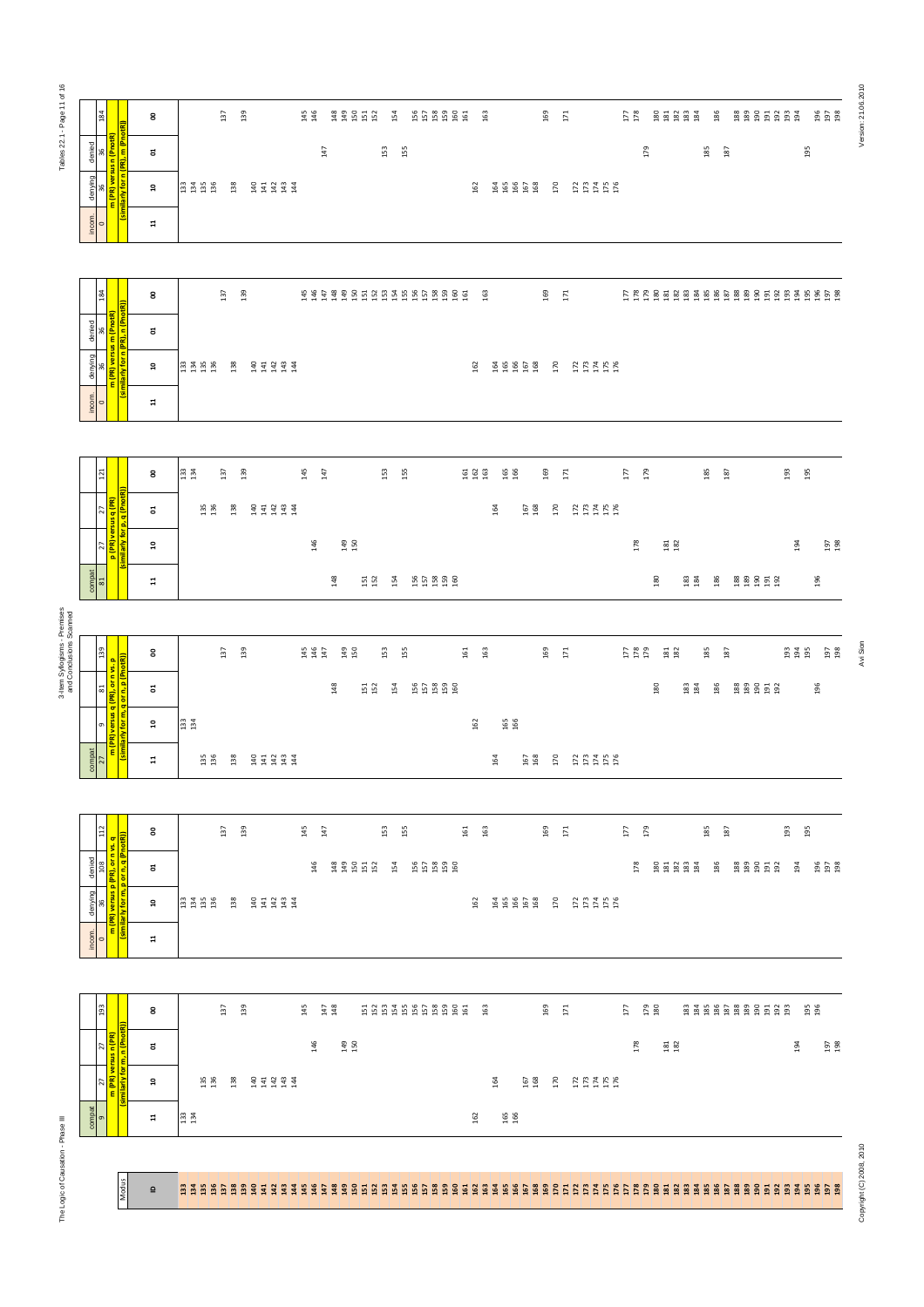| Tables 22.1 - Page 11 of 1                              | 184                                                                                                                                                                                                                                                                                                                                                                                                                                    | 8                        | 139<br>137                                                | $145$<br>$146$<br>$\begin{array}{c} 43 \\ 43 \\ 15 \\ 15 \\ 2 \end{array}$<br>154 | 553999<br>163                                    | 169<br>$171\,$                                       | $\begin{array}{c} 177 \\ 178 \end{array}$<br>88888<br>186 | Version: 21.06.201<br><b>88855885</b><br>196<br>197<br>198                 |
|---------------------------------------------------------|----------------------------------------------------------------------------------------------------------------------------------------------------------------------------------------------------------------------------------------------------------------------------------------------------------------------------------------------------------------------------------------------------------------------------------------|--------------------------|-----------------------------------------------------------|-----------------------------------------------------------------------------------|--------------------------------------------------|------------------------------------------------------|-----------------------------------------------------------|----------------------------------------------------------------------------|
|                                                         | denied<br>36<br>ε<br>ē                                                                                                                                                                                                                                                                                                                                                                                                                 | ដ                        |                                                           | 147<br>$153\,$                                                                    | 155                                              |                                                      | 179<br>185<br>187                                         | 195                                                                        |
|                                                         | denying<br>36<br>æ                                                                                                                                                                                                                                                                                                                                                                                                                     | ្ព                       | 33<br>134<br>136<br>138<br>33333                          |                                                                                   | 162<br>\$\$\$\$\$                                | 170<br>$1774$<br>$174$<br>$176$                      |                                                           |                                                                            |
|                                                         | incom.<br>$\frac{1}{0}$                                                                                                                                                                                                                                                                                                                                                                                                                | $\mathbf{r}$             |                                                           |                                                                                   |                                                  |                                                      |                                                           |                                                                            |
|                                                         |                                                                                                                                                                                                                                                                                                                                                                                                                                        |                          |                                                           |                                                                                   |                                                  |                                                      |                                                           |                                                                            |
|                                                         | 184                                                                                                                                                                                                                                                                                                                                                                                                                                    | 8                        | 137<br>139                                                | <b>SSSSSSSSSSSSSSSSSSSSSSSSSSSSSSS</b>                                            | 163                                              | 169<br>171                                           | FFFF 2 2 3 3 3 3 4 5 5 6 8 9 9 5 5 5 5 5 5 6 5 6          |                                                                            |
|                                                         | denied                                                                                                                                                                                                                                                                                                                                                                                                                                 | ៩                        |                                                           |                                                                                   |                                                  |                                                      |                                                           |                                                                            |
|                                                         | versus<br>$\frac{\text{denying}}{36}$<br>ε                                                                                                                                                                                                                                                                                                                                                                                             | ្ព                       | 33 35 36<br>33 35 36<br>138<br>777777                     |                                                                                   | 162<br><b>ESSES</b>                              | 170<br>777788                                        |                                                           |                                                                            |
|                                                         | incom.<br>$\frac{1}{0}$                                                                                                                                                                                                                                                                                                                                                                                                                | $\mathbf{r}$             |                                                           |                                                                                   |                                                  |                                                      |                                                           |                                                                            |
|                                                         |                                                                                                                                                                                                                                                                                                                                                                                                                                        |                          |                                                           |                                                                                   |                                                  |                                                      |                                                           |                                                                            |
|                                                         | $121\,$                                                                                                                                                                                                                                                                                                                                                                                                                                | 8                        | 133<br>134<br>137<br>139                                  | 145<br>147<br>53 <sub>5</sub>                                                     | <b>E 2 8</b><br>165<br>166                       | 169<br>171                                           | 177<br>179<br>185<br>187                                  | 193<br>195                                                                 |
|                                                         | <br>  27<br><mark>  sus q (PR)</mark><br>ಕ<br>27<br><mark>(PR) ve</mark>                                                                                                                                                                                                                                                                                                                                                               | ៩                        | 135<br>136<br>138<br><b>SERS</b><br>SERS                  |                                                                                   | 164                                              | 167<br>168<br>170<br>$1774$<br>$174$<br>$176$        |                                                           |                                                                            |
|                                                         | $\overline{\mathbf{a}}$                                                                                                                                                                                                                                                                                                                                                                                                                | ្ព                       |                                                           | 146<br>149<br>150                                                                 |                                                  |                                                      | 178<br>$\frac{18}{18}$                                    | 197<br>198<br>194                                                          |
|                                                         | $rac{1}{\sqrt{2}}$                                                                                                                                                                                                                                                                                                                                                                                                                     | $\Xi$                    |                                                           | 148<br>151<br>152<br>154                                                          | 55338                                            |                                                      | 180<br>$\begin{array}{c} 183 \\ 184 \end{array}$<br>186   | <b>888552</b><br>196                                                       |
| 3-Item Syllogisms - Premises<br>and Conclusions Scanned |                                                                                                                                                                                                                                                                                                                                                                                                                                        |                          |                                                           |                                                                                   |                                                  |                                                      |                                                           |                                                                            |
|                                                         | 81 139<br><mark>(PR), or n vs. p</mark><br>or n, p (PnotR))                                                                                                                                                                                                                                                                                                                                                                            | 8                        | 139<br>137                                                | $\begin{array}{c} 145 \\ 146 \\ 147 \end{array}$<br>149<br>150<br>153             | 161<br>163<br>155                                | 169<br>$171\,$                                       | 177<br>178<br>179<br>185<br>181<br>182<br>187             | Avi Sion<br>193<br>194<br>195<br>$\begin{array}{c} 197 \\ 198 \end{array}$ |
|                                                         | a a a<br>ಕ<br>ersus<br>$\overline{9}$                                                                                                                                                                                                                                                                                                                                                                                                  | ដ                        |                                                           | 148<br>154<br>151<br>152                                                          | 55388                                            |                                                      | 186<br>180<br>$\begin{array}{c} 183 \\ 184 \end{array}$   | <b>888558</b><br>196                                                       |
|                                                         | $\epsilon$                                                                                                                                                                                                                                                                                                                                                                                                                             | ុ<br>អ                   | $133$<br>$134$                                            |                                                                                   | $\begin{array}{c} 165 \\ 166 \end{array}$<br>162 |                                                      |                                                           |                                                                            |
|                                                         | $rac{\text{compat}}{27}$                                                                                                                                                                                                                                                                                                                                                                                                               | $\mathbf{r}$             | 135<br>136<br>138<br>음 표 담 땀 ほ                            |                                                                                   | 164                                              | $\begin{array}{c} 167 \\ 168 \end{array}$<br>R REARS |                                                           |                                                                            |
|                                                         | $\frac{112}{1}$                                                                                                                                                                                                                                                                                                                                                                                                                        | g                        | 137<br>139                                                | $\frac{145}{147}$<br>ដ្ឋ ដូ                                                       | $161\,$<br>163                                   | 169<br>$171\,$                                       | $\frac{67}{17}$<br>185<br>187                             | 195<br>193                                                                 |
|                                                         | <u>ज।</u><br>ś.<br>denied<br>108<br><mark>PR), or n v</mark><br>o<br>orn,                                                                                                                                                                                                                                                                                                                                                              | ៩                        |                                                           | 146<br><b>អ្នក ដូច</b><br>154                                                     | ង្នួង និង                                        |                                                      | 178<br>88888<br>186                                       | <b>888558</b><br><u>ងួ</u><br>១១ និ<br>្ទុង                                |
|                                                         | o.<br>denying<br>versus<br>$\frac{1}{10}$                                                                                                                                                                                                                                                                                                                                                                                              | å                        | 33455                                                     |                                                                                   | 162<br>55658                                     | $\overline{170}$<br>1737158                          |                                                           |                                                                            |
|                                                         | $rac{1}{\sqrt{1-\frac{1}{\sqrt{1-\frac{1}{\sqrt{1-\frac{1}{\sqrt{1-\frac{1}{\sqrt{1-\frac{1}{\sqrt{1-\frac{1}{\sqrt{1-\frac{1}{\sqrt{1-\frac{1}{\sqrt{1-\frac{1}{\sqrt{1-\frac{1}{\sqrt{1-\frac{1}{\sqrt{1-\frac{1}{\sqrt{1-\frac{1}{\sqrt{1-\frac{1}{\sqrt{1-\frac{1}{\sqrt{1-\frac{1}{\sqrt{1-\frac{1}{\sqrt{1-\frac{1}{\sqrt{1-\frac{1}{\sqrt{1-\frac{1}{\sqrt{1-\frac{1}{\sqrt{1-\frac{1}{\sqrt{1-\frac{1}{\sqrt{1-\frac{1}{$<br>ε | $\Xi$                    |                                                           |                                                                                   |                                                  |                                                      |                                                           |                                                                            |
|                                                         |                                                                                                                                                                                                                                                                                                                                                                                                                                        |                          |                                                           |                                                                                   |                                                  |                                                      |                                                           |                                                                            |
|                                                         | 193                                                                                                                                                                                                                                                                                                                                                                                                                                    | 8                        | 137<br>139                                                | 145<br>$\frac{147}{148}$                                                          | 5 5 5 5 5 5 6 6 6 6 5<br>- 63                    | 169<br>$\overline{17}$                               | 179<br>180<br>$\overline{17}$                             | <b>95</b><br>196<br>83888888588                                            |
|                                                         | 27<br><mark>n (PR)</mark><br>똭                                                                                                                                                                                                                                                                                                                                                                                                         | ៩                        |                                                           | 146<br>149<br>150                                                                 |                                                  |                                                      | 178<br>$\begin{array}{c} 181 \\ 182 \end{array}$          | 197<br>198<br>194                                                          |
|                                                         | 27<br>ε                                                                                                                                                                                                                                                                                                                                                                                                                                | ្ព                       | $\begin{array}{c} 135 \\ 136 \end{array}$<br>138<br>33333 |                                                                                   | 164                                              | 167<br>168<br>170<br>2221                            |                                                           |                                                                            |
|                                                         | compat<br>$\sigma$                                                                                                                                                                                                                                                                                                                                                                                                                     | $\mathbf{H}$             | 1334                                                      |                                                                                   | 165<br>166<br>162                                |                                                      |                                                           |                                                                            |
| The Logic of Causation - Phase III                      |                                                                                                                                                                                                                                                                                                                                                                                                                                        |                          |                                                           |                                                                                   |                                                  |                                                      |                                                           |                                                                            |
|                                                         | Modus                                                                                                                                                                                                                                                                                                                                                                                                                                  | $\mathbf{\underline{o}}$ |                                                           |                                                                                   |                                                  |                                                      |                                                           | Copyright (C) 2008, 2010                                                   |
|                                                         |                                                                                                                                                                                                                                                                                                                                                                                                                                        |                          |                                                           |                                                                                   |                                                  |                                                      |                                                           |                                                                            |

Version: 21.06.2010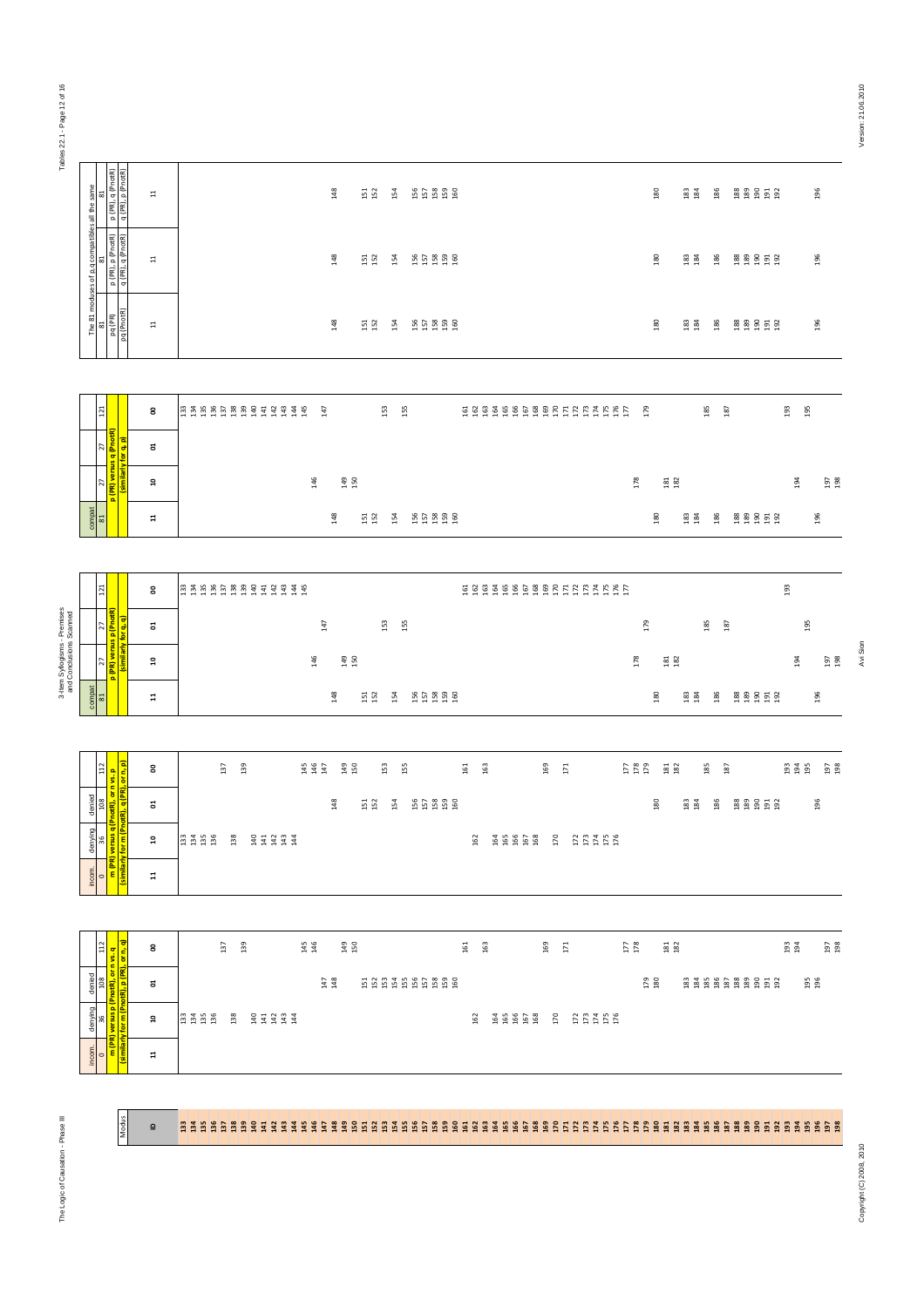Tables 22.1 - Page 12 of 16 Tables 22.1 - Page 12 of 16

| 5                                                   | p (PR), q (PhotR)<br>q (PR), p (PhotR)                                                        | $\Xi$                   | 148<br>$\begin{array}{c} 13 \\ 152 \end{array}$<br>55358<br>154                                                                                          | 180                                       | 183<br>184                                | 186 | 88858         |            | 196                   |
|-----------------------------------------------------|-----------------------------------------------------------------------------------------------|-------------------------|----------------------------------------------------------------------------------------------------------------------------------------------------------|-------------------------------------------|-------------------------------------------|-----|---------------|------------|-----------------------|
| The 81 moduses of p,q compatibles all the same<br>ඍ | p (PR), p (PnotR)<br>q (PR), q (PnotR)                                                        | $\Xi$                   | 148<br>55358<br>$\begin{array}{c} 151 \\ 152 \end{array}$<br>154                                                                                         | 180                                       | $\begin{array}{c} 183 \\ 184 \end{array}$ | 186 | <b>888558</b> |            | 196                   |
|                                                     | 81<br>pq (PhotR)<br>pq (PhotR)                                                                | $\Xi$                   | 148<br>$151\phantom{1}$<br>154<br>55888                                                                                                                  | 180                                       | $\begin{array}{c} 183 \\ 184 \end{array}$ | 186 | <b>888558</b> |            | 196                   |
|                                                     |                                                                                               |                         |                                                                                                                                                          |                                           |                                           |     |               |            |                       |
| 121                                                 |                                                                                               | 8                       | <b>BABBBBBBBBBBBB</b><br>585456688555555555<br>147<br>153<br>155                                                                                         | 179                                       |                                           | 185 | 187           | 193        | 195                   |
| <sup>27</sup>                                       |                                                                                               | ៩                       |                                                                                                                                                          |                                           |                                           |     |               |            |                       |
| 27                                                  | p (PR) versus q (PnotR)<br>(similarly for q, p)                                               | $\mathsf{a}$            | 146<br>149<br>150                                                                                                                                        | 178                                       | $\frac{18}{2}$                            |     |               | 194        | 197                   |
| compat<br>81                                        |                                                                                               | Ħ                       | 148<br>55388<br>151<br>152<br>154                                                                                                                        | 180                                       | $\begin{array}{c} 183 \\ 184 \end{array}$ | 186 | <b>888558</b> |            | 196                   |
|                                                     |                                                                                               |                         |                                                                                                                                                          |                                           |                                           |     |               |            |                       |
| 121                                                 |                                                                                               | 8                       | 5885686885555555555                                                                                                                                      |                                           |                                           |     |               | 193        |                       |
| 27                                                  |                                                                                               | $\overline{\mathtt{c}}$ | $147\,$<br>153<br>155                                                                                                                                    | 179                                       |                                           | 185 | 187           |            | 195                   |
| 27                                                  | PR) versus p (PnotR<br>(similarly for q, q)                                                   | ă                       | 146<br>149<br>150                                                                                                                                        | 178                                       | $\begin{array}{c} 181 \\ 182 \end{array}$ |     |               |            | 197<br>194            |
| $\frac{\text{compat}}{\text{81}}$                   |                                                                                               | $\mathbf{1}$            | 148<br>$151\phantom{1}$<br>154<br>55888                                                                                                                  | 180                                       | $\begin{array}{c} 183 \\ 184 \end{array}$ | 186 | 88858         |            | 196                   |
|                                                     |                                                                                               |                         |                                                                                                                                                          |                                           |                                           |     |               |            |                       |
| 112                                                 |                                                                                               | $\tt S$                 | $\begin{array}{c} 145 \\ 147 \end{array}$<br>137<br>139<br>149<br>150<br>153<br>155<br>161<br>163<br>169<br>171                                          | $178$<br>$178$                            | $\begin{array}{c} 181 \\ 182 \end{array}$ | 185 | 187           |            | <b>B</b> 2 5 5<br>197 |
| 108<br>denied                                       | <mark>q (PnotR), or n vs. p</mark><br><mark>(PnotR), q (PR), or n, p)</mark>                  | ៩                       | 148<br>55888<br>151<br>154                                                                                                                               | 180                                       | 183<br>184                                | 186 | <b>88858</b>  |            | 196                   |
| denying<br>36                                       |                                                                                               | $\mathbf{a}$            | $\begin{array}{c} 33 \\ 23 \\ 34 \\ 136 \\ \end{array}$<br>$138\,$<br>$34334$<br>$4434$<br>162<br>165<br>166<br>167<br>168<br>170<br>$173400$<br>$17450$ |                                           |                                           |     |               |            |                       |
| incom.<br>$\overline{\phantom{0}}$                  | <mark>(similarly for m (F</mark>                                                              | $\mathbf{1}$            |                                                                                                                                                          |                                           |                                           |     |               |            |                       |
|                                                     |                                                                                               |                         |                                                                                                                                                          |                                           |                                           |     |               |            |                       |
|                                                     |                                                                                               | 8                       | $\frac{2}{13}$<br>$\begin{array}{c} 145 \\ 146 \end{array}$<br>149<br>150<br>$15 - 12$<br>137                                                            | $\begin{array}{c} 177 \\ 178 \end{array}$ | $\begin{array}{c} 181 \\ 182 \end{array}$ |     |               | 193<br>194 | 197                   |
| $112$                                               |                                                                                               |                         | 161<br>163                                                                                                                                               |                                           |                                           |     |               |            |                       |
|                                                     |                                                                                               |                         |                                                                                                                                                          |                                           |                                           |     |               |            |                       |
| 801<br>denied                                       |                                                                                               | ຮ                       | $147 \atop 148$<br>5335986888                                                                                                                            | 179<br>180                                |                                           |     | 8888888588    |            | 195<br>196            |
| denying<br>36                                       | <mark>m (PR) versus p (PnotR), or n vs. q<br/>imilarly for m (PnotR), p (PR), or n, q)</mark> | $\mathsf{a}$            | <b>3358</b><br>3 9 3 3 3 4<br><b>ABBG 8 R REARS</b><br>162                                                                                               |                                           |                                           |     |               |            |                       |

| 121            |                                                             | 8              | <b>BABBBBBBBBBBBBB</b> |  |  |  | 147 |                                 |            | 153    | 155 |       |  |  |  |  |  |     | 179 |                        |            | 185 | 187 |        | 193      | 195 |    |
|----------------|-------------------------------------------------------------|----------------|------------------------|--|--|--|-----|---------------------------------|------------|--------|-----|-------|--|--|--|--|--|-----|-----|------------------------|------------|-----|-----|--------|----------|-----|----|
|                | 27   <br><mark>sus q (PnotR)</mark><br>(similarly for q, p) | ៩              |                        |  |  |  |     |                                 |            |        |     |       |  |  |  |  |  |     |     |                        |            |     |     |        |          |     |    |
|                | 27<br><mark>  p (PR) versu</mark>                           | ្ព             |                        |  |  |  | 146 | $\frac{49}{150}$                |            |        |     |       |  |  |  |  |  | 178 |     | <b>B1</b><br><b>B2</b> |            |     |     |        | $^{194}$ |     | 97 |
| $\frac{1}{81}$ |                                                             | $\overline{a}$ |                        |  |  |  |     | $\frac{8}{3}$<br>$\overline{ }$ | 151<br>152 | ᢦ<br>Ĥ |     | 55888 |  |  |  |  |  |     |     | 180                    | 183<br>184 | 186 |     | 888552 |          | 196 |    |

| P (PR) V                                      | ្ព                                                                                                                                           | $\frac{46}{2}$<br>$\frac{9}{4}$ $\frac{5}{4}$                                            | 178                               | ឌី ឌី                     |                                           |                                                               |               | $^{194}$ | ង ឆ្ន                          |                        |
|-----------------------------------------------|----------------------------------------------------------------------------------------------------------------------------------------------|------------------------------------------------------------------------------------------|-----------------------------------|---------------------------|-------------------------------------------|---------------------------------------------------------------|---------------|----------|--------------------------------|------------------------|
|                                               | $\mathbf{r}$                                                                                                                                 | 148<br>55359<br>$\begin{array}{c} 151 \\ 152 \end{array}$<br>154                         |                                   | 180                       | $\begin{array}{c} 183 \\ 184 \end{array}$ | 186                                                           | <b>889552</b> |          | 196                            |                        |
|                                               |                                                                                                                                              |                                                                                          |                                   |                           |                                           |                                                               |               |          |                                |                        |
|                                               | 8                                                                                                                                            |                                                                                          |                                   |                           |                                           |                                                               |               | 193      |                                |                        |
| <u>ਰਿ</u><br>for q,                           | ã                                                                                                                                            | $147\,$<br>153<br>155                                                                    |                                   |                           |                                           | 187                                                           |               |          |                                |                        |
| (similarly                                    | $\mathbf{r}$                                                                                                                                 | 149<br>150<br>146                                                                        | 178                               |                           |                                           |                                                               |               | 194      | <b>197</b><br>198              | Avi Sion               |
|                                               | $\overline{a}$                                                                                                                               | 148<br>55388<br>$151\phantom{1}$<br>154                                                  |                                   | 180                       | $\begin{array}{c} 183 \\ 184 \end{array}$ | 186                                                           |               |          | 196                            |                        |
| or n, p)                                      | 8                                                                                                                                            | $146$<br>$147$<br>169<br>137<br>139<br>149<br>150<br>153<br>155<br>$161\,$<br>163<br>171 |                                   |                           |                                           | 187                                                           |               |          | 197                            |                        |
|                                               | $\overline{\mathtt{c}}$                                                                                                                      | $148$<br>$\begin{array}{c} 15 \\ 152 \end{array}$<br>55858<br>154                        |                                   | 30                        | $\begin{array}{c} 183 \\ 184 \end{array}$ | 186                                                           |               |          | 196                            |                        |
|                                               | ្ព                                                                                                                                           | 138<br>33333<br>165<br>166<br>167<br>168<br>170<br>162                                   |                                   |                           |                                           |                                                               |               |          |                                |                        |
| incom.<br>0<br><mark>m (PR)</mark><br>similar | $\mathbf{1}$                                                                                                                                 |                                                                                          |                                   |                           |                                           |                                                               |               |          |                                |                        |
|                                               | denying   denied  <br>  36   108   112<br><mark>  versus q (PnotR), or n vs. p  </mark><br><mark>  v for m (PnotR), q (PR), or n, p  </mark> |                                                                                          | n 3 5 6 6 7 8 9 9 9 4 9 3 4 5 5 6 | $1734$<br>$1745$<br>$176$ | 179<br>278                                | $\begin{array}{c} 181 \\ 182 \end{array}$<br>$181\phantom{1}$ | 185<br>185    |          | <b>888558</b><br><b>888558</b> | 195<br><u>ទី ទី ទី</u> |

| $\overline{21}$                                            |                                                                                                                        | 8                       |                          | $\frac{45}{2}$<br>147                           | 53<br>55                                                        | 58949998855555555                     |                   | $^{179}$                                                        | 185<br>187 |               | 93<br>$\frac{5}{2}$                               |            |
|------------------------------------------------------------|------------------------------------------------------------------------------------------------------------------------|-------------------------|--------------------------|-------------------------------------------------|-----------------------------------------------------------------|---------------------------------------|-------------------|-----------------------------------------------------------------|------------|---------------|---------------------------------------------------|------------|
|                                                            |                                                                                                                        | $\boldsymbol{\Xi}$      |                          |                                                 |                                                                 |                                       |                   |                                                                 |            |               |                                                   |            |
|                                                            | 27   27  <br><mark>p (PR) versus q (PnotR)</mark><br>similarly for q, p)                                               | $\overline{\mathbf{a}}$ |                          | 146                                             | 149<br>150                                                      |                                       | 178               | $\frac{181}{282}$                                               |            |               | 194                                               | 197<br>198 |
| $\begin{array}{c} \text{compact} \\ \text{81} \end{array}$ |                                                                                                                        | $\mathbf{H}$            |                          |                                                 | 55388<br>148<br>151<br>152<br>154                               |                                       |                   | 180<br>183<br>184                                               | 186        | <b>888552</b> |                                                   | 196        |
|                                                            |                                                                                                                        |                         |                          |                                                 |                                                                 |                                       |                   |                                                                 |            |               |                                                   |            |
| 121                                                        |                                                                                                                        | 8                       |                          |                                                 |                                                                 |                                       |                   |                                                                 |            |               | 193                                               |            |
|                                                            |                                                                                                                        | $\overline{\mathtt{c}}$ |                          | $147\,$                                         | 153<br>155                                                      |                                       |                   | 179                                                             | 185<br>187 |               | 195                                               |            |
|                                                            | 27    27   <br>  <mark>  P (PR) versus p (PnotR)</mark><br>   (similarly for q, q)                                     | ă                       |                          | 146                                             | 149<br>150                                                      |                                       | 178               | $\begin{array}{c} 181 \\ 182 \end{array}$                       |            |               | 194                                               | 197<br>198 |
| $\frac{\text{compat}}{\text{81}}$                          |                                                                                                                        | $\Xi$                   |                          |                                                 | 148<br>55388<br>$151\phantom{1}$<br>154                         |                                       |                   | 180<br>$\begin{smallmatrix} 1 & 83 \\ 1 & 84 \end{smallmatrix}$ | 186        | <b>888558</b> |                                                   | 196        |
|                                                            |                                                                                                                        |                         |                          |                                                 |                                                                 |                                       |                   |                                                                 |            |               |                                                   |            |
|                                                            |                                                                                                                        | $\tt S$                 | 137<br>139               | $\begin{array}{c} 44 \\ 140 \\ 147 \end{array}$ | 149<br>150<br>153<br>155                                        | 169<br>161<br>163<br>$171\,$          | $178$<br>$178$    | $\begin{array}{c} 181 \\ 182 \end{array}$                       | 185<br>187 |               | $\begin{array}{c} 23 \\ 24 \\ 194 \\ \end{array}$ | 197<br>198 |
|                                                            |                                                                                                                        | ដ                       |                          |                                                 | 148<br>$\begin{array}{c} 15 \\ 152 \end{array}$<br>154<br>55888 |                                       |                   | 30<br>183<br>184                                                | 186        | <b>88858</b>  |                                                   | 196        |
|                                                            |                                                                                                                        | $\mathfrak{a}$          | 33458<br>138<br>33333    |                                                 |                                                                 | \$\$\$\$\$<br>170<br>162<br>177408    |                   |                                                                 |            |               |                                                   |            |
|                                                            | incom.   denying   denied  <br>  0 36   108   108   112<br>  <mark>isimilarly for m (Pnotfl), d (PR), or n, p  </mark> | $\mathbb{1}$            |                          |                                                 |                                                                 |                                       |                   |                                                                 |            |               |                                                   |            |
|                                                            |                                                                                                                        |                         |                          |                                                 |                                                                 |                                       |                   |                                                                 |            |               |                                                   |            |
|                                                            |                                                                                                                        | 8                       | $\overline{37}$<br>139   | $\begin{array}{c} 145 \\ 146 \end{array}$       | 149<br>150                                                      | 161<br>163<br>169<br>171              | $\frac{177}{178}$ | $\frac{181}{182}$                                               |            |               | $\substack{193 \\ 194}$                           | 197<br>198 |
|                                                            | nying denied<br>36 108 112<br><mark>13us p (Pnotfl), or nvs. q<br/>- m (Pnotfl), p (PR), or n, q)</mark>               | ຮ                       |                          | $\begin{array}{c} 147 \\ 148 \end{array}$       | 588586888                                                       |                                       |                   | <b>179</b><br>180                                               |            | 8888888858    |                                                   | 195<br>196 |
|                                                            |                                                                                                                        | ă                       | 33 35 36<br>138<br>37334 |                                                 |                                                                 | 162<br>38868<br>170<br>EEARR<br>EEARR |                   |                                                                 |            |               |                                                   |            |



The Logic of Causation - Phase III

Modus

## ID 133 134 135 136 137 138 139 140 141 142 143 144 145 146 147 148 149 150 151 152 153 154 155 156 157 158 159 160 161 162 163 164 165 166 167 168 169 170 171 172 173 174 175 176 177 178 179 180 181 182 183 184 185 186 187 188 189 190 191 192 193 194 195 196 197 198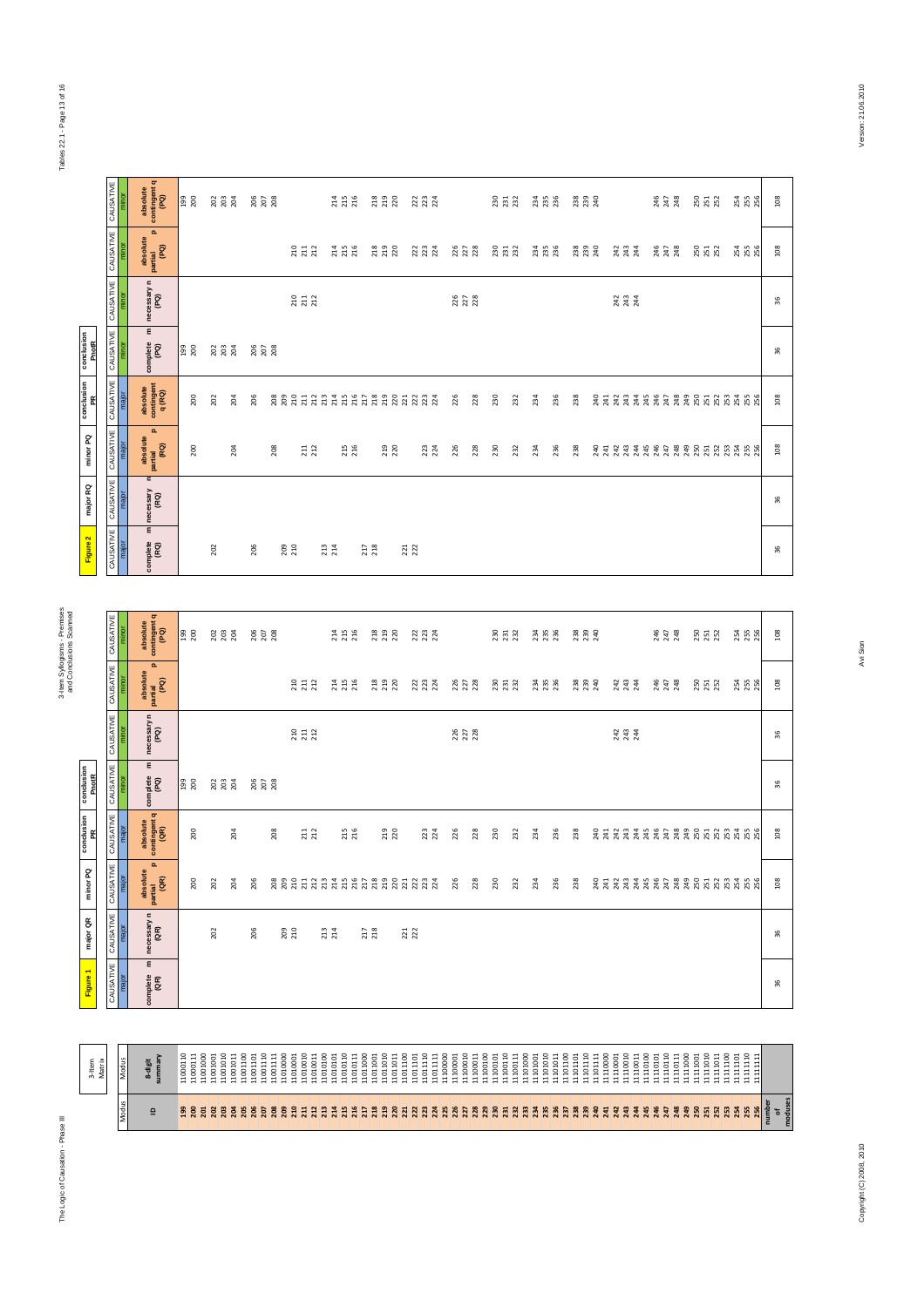# Tables 22.1 - Page 13 of 16 Tables 22.1 - Page 13 of 16

|                     | CAUSATIVE                   | minor              | absolute<br>contingent q<br>(PQ)               | 199<br>200                   | នី ខ្លួ ដ            |                                  | $\frac{8}{20}$ $\frac{2}{20}$ |                                                                 |                                                             |                      | 21 5<br>21 5<br>21 6             |                      | 218<br>219<br>220    |                      | 22 324               |          |                      |                      | <b>REG</b><br>REG    |          |                      | $\frac{3}{2}$ $\frac{3}{2}$ $\frac{3}{2}$ |                          | <b>EXE 25</b>        |     |                                                                 |          |                      | 245<br>247<br>248 |                          | <b>SS 32</b>             |          | 254<br>255<br>256                |          | 108                    |
|---------------------|-----------------------------|--------------------|------------------------------------------------|------------------------------|----------------------|----------------------------------|-------------------------------|-----------------------------------------------------------------|-------------------------------------------------------------|----------------------|----------------------------------|----------------------|----------------------|----------------------|----------------------|----------|----------------------|----------------------|----------------------|----------|----------------------|-------------------------------------------|--------------------------|----------------------|-----|-----------------------------------------------------------------|----------|----------------------|-------------------|--------------------------|--------------------------|----------|----------------------------------|----------|------------------------|
|                     | CAUSATIVE                   | minor              | $\Omega$<br>absolute<br>partial<br>(PQ)        |                              |                      |                                  |                               |                                                                 |                                                             |                      | 214<br>215<br>216                |                      | 218<br>219<br>220    |                      | 223<br>223<br>224    |          | 226<br>227<br>228    |                      | 230<br>231<br>232    |          |                      | 234<br>235<br>236                         |                          | 238<br>239<br>240    |     | 243<br>243<br>244                                               |          |                      | 245<br>247<br>248 |                          | 250<br>251<br>252        |          | 254<br>255<br>256                |          | 108                    |
|                     | CAUSATIVE                   | minor              | necessary n<br>(PQ)                            |                              |                      |                                  |                               |                                                                 | 211<br>211<br>212                                           |                      |                                  |                      |                      |                      |                      |          | 225<br>227<br>228    |                      |                      |          |                      |                                           |                          |                      |     | 243<br>243<br>244                                               |          |                      |                   |                          |                          |          |                                  |          | 36                     |
| conclusion<br>PnotR |                             | CAUSATIVE          | $\mathsf E$<br>complete<br>(PQ)                | 199<br>200                   | 202<br>203<br>204    |                                  | 206<br>207<br>208             |                                                                 |                                                             |                      |                                  |                      |                      |                      |                      |          |                      |                      |                      |          |                      |                                           |                          |                      |     |                                                                 |          |                      |                   |                          |                          |          |                                  |          | 36                     |
| conclusion<br>PR    |                             | CAUSATIVE<br>major | absolute<br>contingent<br>q(RQ)                | 200                          | 202                  | 204                              | 206                           |                                                                 |                                                             |                      |                                  |                      |                      |                      |                      |          | 226                  | 228                  | 230                  | 232      | 234                  | 236                                       | 238                      |                      |     |                                                                 |          |                      |                   |                          |                          |          |                                  |          | 108                    |
| minor PQ            | CAUSATIVE                   | major              | o.<br>absolute<br> <br>  partial<br>  (RQ)     | 200                          |                      | 204                              |                               | 208                                                             | $\begin{array}{c} \textbf{211} \\ \textbf{212} \end{array}$ |                      | 215                              |                      | 219<br>220           |                      | 223<br>224           |          | 226                  | 228                  | 230                  | 232      | 234                  | 236                                       | 238                      |                      |     |                                                                 |          |                      |                   |                          |                          |          |                                  |          | 108                    |
| major RQ            | CAUSATIVE                   | major              | n<br>necessary<br>(RQ)                         |                              |                      |                                  |                               |                                                                 |                                                             |                      |                                  |                      |                      |                      |                      |          |                      |                      |                      |          |                      |                                           |                          |                      |     |                                                                 |          |                      |                   |                          |                          |          |                                  |          | 36                     |
| Figure 2            |                             | CAUSATIVE<br>major | Ε<br>complete<br>(RQ)                          |                              | 202                  |                                  | 206                           | 209<br>210                                                      |                                                             | 213<br>214           |                                  | <b>217</b><br>218    |                      | <b>221</b><br>222    |                      |          |                      |                      |                      |          |                      |                                           |                          |                      |     |                                                                 |          |                      |                   |                          |                          |          |                                  |          | 36                     |
|                     |                             |                    |                                                |                              |                      |                                  |                               |                                                                 |                                                             |                      |                                  |                      |                      |                      |                      |          |                      |                      |                      |          |                      |                                           |                          |                      |     |                                                                 |          |                      |                   |                          |                          |          |                                  |          |                        |
|                     | CAUSATIVE                   | minor              | absolute<br>contingent q<br>(PQ)               | 199<br>200                   | 202<br>203<br>204    |                                  | 206<br>207<br>208             |                                                                 |                                                             |                      | 214<br>215<br>216                |                      | 218<br>219<br>220    |                      | 22 324               |          |                      |                      |                      |          |                      | 23<br>23<br>23<br>23                      |                          |                      |     |                                                                 |          |                      | 245<br>247<br>248 |                          | <b>250</b><br>251<br>252 |          | 254<br>255<br>256                |          | $\frac{8}{2}$          |
|                     | CAUSATIVE                   | minor              | $\mathbf{a}$<br>absolute<br>partial<br>(PQ)    |                              |                      |                                  |                               |                                                                 | $\begin{array}{c} 210 \\ 211 \end{array}$                   | 212                  | 214<br>215<br>216                |                      | 218<br>219<br>220    |                      | 223<br>223<br>224    |          | 226<br>227<br>228    |                      | 230<br>231<br>232    |          |                      | 234<br>235<br>236                         |                          | 238<br>239<br>240    |     | 243<br>243<br>244                                               |          |                      | 245<br>247<br>248 |                          | 250<br>251<br>252        |          | 254<br>255<br>256                |          | 108                    |
|                     | CAUSATIVE                   | minor              | necessary n<br>(PQ)                            |                              |                      |                                  |                               |                                                                 |                                                             |                      |                                  |                      |                      |                      |                      |          | 226<br>227<br>228    |                      |                      |          |                      |                                           |                          |                      |     | 243<br>243<br>244                                               |          |                      |                   |                          |                          |          |                                  |          | 36                     |
| conclusion<br>PnotR |                             | CAUSATIVE          | $\mathsf E$<br>complete<br>(PQ)                | 199<br>200                   |                      | 202<br>203<br>204                | 206<br>207<br>208             |                                                                 |                                                             |                      |                                  |                      |                      |                      |                      |          |                      |                      |                      |          |                      |                                           |                          |                      |     |                                                                 |          |                      |                   |                          |                          |          |                                  |          | 36                     |
| conclusion<br>PR    | CAUSATIVE                   | major              | absolute<br>contingent q<br>(QR)               | 200                          |                      | 204                              |                               | 208                                                             | <b>211</b><br>212                                           |                      | 215<br>216                       |                      | <b>219</b><br>220    |                      | 223<br>224           |          | 226                  | 228                  | 230                  | 232      | 234                  | 236                                       | 238                      |                      |     |                                                                 |          |                      |                   |                          |                          |          |                                  |          | $\frac{8}{2}$          |
| g<br>minor          | <b>HALL</b><br><b>CAUSA</b> | major              | $\mathbf{a}$<br>£<br>absolu<br>(aR)<br>partial | 200                          | 202                  | 204                              | 206                           | 208<br>209<br>210                                               | 211                                                         | 212<br>213           | 214<br>215<br>216                | 217<br>218           | 219<br>220<br>221    |                      | 223<br>224           |          | 226                  | 228                  | 230                  | 232      | 234                  | 236                                       | 238                      | 240                  | 241 | 242<br>243                                                      | 244      | 245<br>246           | 247               |                          |                          |          | **********                       |          | 108                    |
| major QR            | CAUSATIVE                   | major              | necessary n<br>(AR)                            |                              | 202                  |                                  | 206                           | 209<br>210                                                      |                                                             | 213<br>214           |                                  | <b>217</b><br>218    |                      | <b>221</b><br>222    |                      |          |                      |                      |                      |          |                      |                                           |                          |                      |     |                                                                 |          |                      |                   |                          |                          |          |                                  |          | 36                     |
| Figure 1            | CAUSATIVE                   | major              | ε<br>complete<br>(QR)                          |                              |                      |                                  |                               |                                                                 |                                                             |                      |                                  |                      |                      |                      |                      |          |                      |                      |                      |          |                      |                                           |                          |                      |     |                                                                 |          |                      |                   |                          |                          |          |                                  |          | 36                     |
|                     |                             |                    |                                                |                              |                      |                                  |                               |                                                                 |                                                             |                      |                                  |                      |                      |                      |                      |          |                      |                      |                      |          |                      |                                           |                          |                      |     |                                                                 |          |                      |                   |                          |                          |          |                                  |          |                        |
|                     | 3-Item<br>Matrix            | Modus              | 8-digit<br>summary                             | 11000110<br>11000111         | 11001000<br>11001001 | 11001010<br>11001011<br>11001100 | 11001110<br>11001101          | 11001111<br>$\begin{array}{c} 11010000 \\ 11010001 \end{array}$ | 11010010                                                    | 11010011<br>11010100 | 11010110<br>11010111<br>11010101 | 11011000<br>11011001 | 11011010<br>11011011 | 11011100<br>11011101 | 11011110<br>11011111 | 11100000 | 11100010<br>11100001 | 11100011<br>11100100 | 11100110<br>11100101 | 11100111 | 11101000<br>11101001 | 11101010<br>11101011                      | 11101100<br>11101101     | 11101110<br>11101111 |     | $\begin{array}{c} 11110000 \\ 11110001 \\ 11110010 \end{array}$ | 11110011 | 11110100<br>11110101 | 11110110          | 11110111<br>11111000     | 11111010<br>11111001     | 11111011 | 11111101<br>11111110<br>11111100 | 11111111 |                        |
|                     |                             | Modus              | $\mathbf{r}$                                   | <b><u><b>ESSERES</b></u></b> |                      |                                  |                               |                                                                 |                                                             | 212<br>213           | 214<br>215<br>216                | <b>217</b><br>218    |                      | 21222                | 223<br>224           |          |                      |                      | <b>22222223222</b>   |          | 234                  | <b>235</b>                                | <b>257</b><br>257<br>258 |                      | 240 | 242 245                                                         |          |                      |                   | 247<br>243<br>249<br>250 | 251                      |          | 353 355                          | 256      | of<br>noduses<br>umber |

The Logic of Causation - Phase III

The Logic of Causation - Phase III 3-Item Syllogisms - Premises

Avi Sion

Version: 21.06.2010

Copyright (C) 2010, 2110 Avi Sion Party Copyright (C) 2010, 21.07.09.2010 Avi Sion 2010, 2010, 2010, 2010, 2010, 2010, 2010, 2010, 2010, 2010, 2010, 2010, 2010, 2010, 2010, 2010, 2010, 2010, 2010, 2010, 2010, 2010, 2010, 2 Copyright (C) 2008, 2010

number of moduses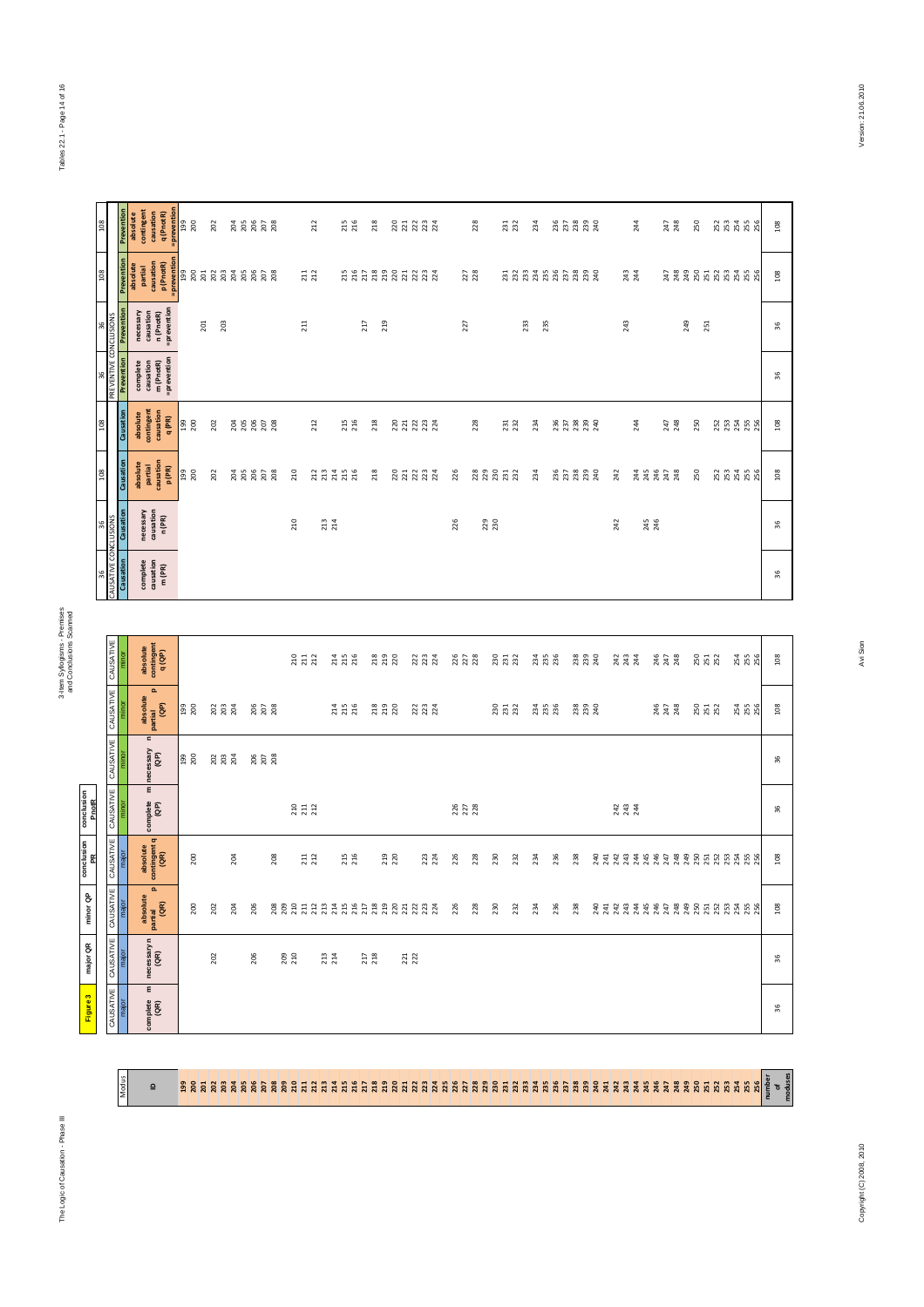Modus

 $\overline{a}$ 

3-Item Syllogisms - Premises<br>and Conclusions Scanned and Conclusions Scanned

Figure 3

| $\overline{5}$               |                               | Prevention<br>absolute | contingent<br>causation                                                             | =prevention<br>q (PnotR) | 199<br>200 |     | 202               |            |     | 288888                        |                   | 212                                       |                         | 215               | 218                                         |                   |                | 222332            |     | 228               |            | 231               |     | 234               |     | 357<br>2332<br>242     |                   |     |                   | 244        |            | 247<br>248        |     | 250               |  | 253<br>253<br>255<br>256 | 108  |
|------------------------------|-------------------------------|------------------------|-------------------------------------------------------------------------------------|--------------------------|------------|-----|-------------------|------------|-----|-------------------------------|-------------------|-------------------------------------------|-------------------------|-------------------|---------------------------------------------|-------------------|----------------|-------------------|-----|-------------------|------------|-------------------|-----|-------------------|-----|------------------------|-------------------|-----|-------------------|------------|------------|-------------------|-----|-------------------|--|--------------------------|------|
| <b>PO1</b>                   |                               | Prevention<br>absolute | partial<br>causation<br>p (PnotR)                                                   | =prevention              |            |     |                   |            |     | 3888888888                    |                   | $\begin{array}{c} 211 \\ 212 \end{array}$ |                         |                   |                                             |                   |                | 2222222222        |     | 227<br>228        |            |                   |     | ERRARARARR        |     |                        |                   |     |                   | 243<br>244 |            |                   |     |                   |  | ***********              | 108  |
|                              |                               | Prevention             | causation<br>n (PnotR)<br>necessary                                                 | =prevention              |            | 201 | 203               |            |     |                               | 211               |                                           |                         |                   | 217                                         | 219               |                |                   |     | 227               |            |                   | 233 | 235               |     |                        |                   |     | 243               |            |            |                   | 249 | 251               |  |                          | 36   |
| 36<br>PREVENTIVE CONCLUSIONS |                               | Prevention             | complete<br>causation<br>m (PnotR)                                                  | =prevention              |            |     |                   |            |     |                               |                   |                                           |                         |                   |                                             |                   |                |                   |     |                   |            |                   |     |                   |     |                        |                   |     |                   |            |            |                   |     |                   |  |                          | 36   |
| <b>302</b>                   |                               | Causation              | absolute<br>contingent<br>causation                                                 | q(PR)                    | 199<br>200 |     | 202               |            |     | 38808                         |                   | 212                                       |                         | 215<br>216        | 218                                         |                   |                | 221234            |     | 228               |            | 231               |     | 234               |     | 35<br>233<br>234<br>24 |                   |     |                   | 244        |            | 247<br>248        |     | 250               |  | 252<br>253<br>255<br>256 | 108  |
| <b>SO1</b>                   |                               | Causation              | partial<br>causation<br>absolute                                                    | p(PR)                    | 199<br>200 |     | 202               | 204<br>205 |     | $\frac{8}{20}$ $\frac{8}{20}$ | 210               | <b>212</b><br>213                         | 214                     | 215<br>216        | 218                                         |                   |                | <b>222322</b>     | 226 |                   |            | <b>2222222</b>    |     | 234               |     | <b>BRBBB</b>           |                   | 242 |                   |            |            |                   |     | 250               |  | 88888                    | 108  |
| 36                           | <b>CLUSIONS</b>               | Causation              | necessary<br>causation<br>n (PR)                                                    |                          |            |     |                   |            |     |                               | 210               |                                           | 213                     |                   |                                             |                   |                |                   | 226 |                   | 229<br>230 |                   |     |                   |     |                        |                   |     | 242               |            | 245<br>246 |                   |     |                   |  |                          | 36   |
| CAUSATIVE CONO               |                               | Causation              | $\begin{array}{c} \text{complete} \\ \text{causation} \\ \text{m (PR)} \end{array}$ |                          |            |     |                   |            |     |                               |                   |                                           |                         |                   |                                             |                   |                |                   |     |                   |            |                   |     |                   |     |                        |                   |     |                   |            |            |                   |     |                   |  |                          | 36   |
|                              |                               |                        |                                                                                     |                          |            |     |                   |            |     |                               |                   |                                           |                         |                   |                                             |                   |                |                   |     |                   |            |                   |     |                   |     |                        |                   |     |                   |            |            |                   |     |                   |  |                          |      |
|                              | CAUSATIVE                     | minor                  | absolute<br>contingent<br>q(QP)                                                     |                          |            |     |                   |            |     |                               | 210               | 211<br>212                                |                         | 214<br>215<br>216 |                                             | 218<br>219<br>220 |                | 222<br>223<br>224 |     | 226<br>227<br>228 |            | 230<br>231<br>232 |     | 234<br>235<br>236 |     |                        | 238<br>239<br>240 |     | 243<br>243<br>244 |            |            | 247<br>247<br>248 |     | 250<br>251<br>252 |  |                          | 108  |
|                              | CAUSATIVE                     | minor                  | $\mathbf{a}$<br>absolute<br>partial<br>(QP)                                         |                          | 199<br>200 |     | 202<br>203<br>204 |            |     | 206<br>207<br>208             |                   |                                           |                         | 214<br>215<br>216 |                                             | 218<br>219<br>220 |                | 223<br>223<br>224 |     |                   |            | 230<br>231<br>232 |     | 234<br>235<br>236 |     |                        | 238<br>239<br>240 |     |                   |            |            | 245<br>247<br>248 |     | 250<br>251<br>252 |  | 254<br>255<br>256        | 108  |
|                              | CAUSATIVE                     | minor                  | $\mathord{\text{\rm c}}$<br>necessary<br>(QP)                                       |                          | 199<br>200 |     | 203<br>203<br>204 |            |     | 206<br>207<br>208             |                   |                                           |                         |                   |                                             |                   |                |                   |     |                   |            |                   |     |                   |     |                        |                   |     |                   |            |            |                   |     |                   |  |                          | 36   |
|                              | CAUSATIVE                     | minor                  | $\mathsf E$<br>complete<br>(QP)                                                     |                          |            |     |                   |            |     |                               | 210<br>211<br>212 |                                           |                         |                   |                                             |                   |                |                   |     | 226<br>227<br>228 |            |                   |     |                   |     |                        |                   |     | 243<br>243<br>244 |            |            |                   |     |                   |  |                          | 36   |
|                              |                               | major                  | absolute                                                                            | contingent q<br>(QR)     | 200        |     |                   | 204        |     | 208                           |                   | $\begin{array}{c} 211 \\ 212 \end{array}$ |                         | 215<br>216        |                                             | <b>219</b><br>220 |                | 223               | 226 | 228               |            | 230               | 232 | 234               | 236 | 238                    |                   |     |                   |            |            |                   |     |                   |  |                          | 108  |
|                              | CAUSATIVE CAUSATIVE CAUSATIVE | major                  | o.<br>absolute<br> <br>  partial<br>  (GR)                                          |                          | 200        |     | 202               | 204        | 206 |                               |                   |                                           |                         |                   |                                             |                   |                |                   | 226 | 228               |            | 230               | 232 | 234               | 236 | 238                    |                   |     |                   |            |            |                   |     |                   |  |                          | 108  |
|                              |                               | major                  | necessary n<br>(QR)                                                                 |                          |            |     | 202               |            | 206 |                               | 209<br>210        |                                           | $\substack{213 \\ 214}$ |                   | $\begin{array}{c} 2.17 \\ 2.18 \end{array}$ |                   | $221$<br>$222$ |                   |     |                   |            |                   |     |                   |     |                        |                   |     |                   |            |            |                   |     |                   |  |                          | 36   |
|                              | <b>JSATIVE</b>                | major                  | Ε<br>$\frac{p}{(AR)}$                                                               |                          |            |     |                   |            |     |                               |                   |                                           |                         |                   |                                             |                   |                |                   |     |                   |            |                   |     |                   |     |                        |                   |     |                   |            |            |                   |     |                   |  |                          | $36$ |

|                                               | Preventio  | necessar |           | causation<br>n (PnotR<br>= preventio                                                |                           |            | 201 | 203               |     |                       |                   |     |     | $\overline{a}$                            |            |                   |            | 217                                       | 219               |     |                      |     | 227               |     |            |                   | 233 | 235               |     |                        |                   |     | 243                     |     |            |                   | 249 | 251 |                   |  |                                         | 36     |
|-----------------------------------------------|------------|----------|-----------|-------------------------------------------------------------------------------------|---------------------------|------------|-----|-------------------|-----|-----------------------|-------------------|-----|-----|-------------------------------------------|------------|-------------------|------------|-------------------------------------------|-------------------|-----|----------------------|-----|-------------------|-----|------------|-------------------|-----|-------------------|-----|------------------------|-------------------|-----|-------------------------|-----|------------|-------------------|-----|-----|-------------------|--|-----------------------------------------|--------|
| PREVENTIVE CONCLUSIONS                        | Prevention |          |           | complete<br>causation<br>m (PnotR)                                                  | <i><b>=prevention</b></i> |            |     |                   |     |                       |                   |     |     |                                           |            |                   |            |                                           |                   |     |                      |     |                   |     |            |                   |     |                   |     |                        |                   |     |                         |     |            |                   |     |     |                   |  |                                         | $36\,$ |
|                                               | Causation  | absolute |           | contingent<br>causation                                                             | q (PR)                    | 199<br>200 |     | 202               |     |                       |                   |     |     | 212                                       |            |                   | 215        | 218                                       |                   |     | 2223324              |     |                   | 228 |            | 231               |     | 234               |     | 35<br>233<br>234<br>24 |                   |     |                         | 244 |            | 247<br>248        |     | 250 |                   |  | 2334556                                 | 108    |
|                                               | Causation  | absolute |           | partial<br>causation<br>p (PR)                                                      |                           | 199<br>200 |     | 202               |     | <u>ដូ</u> ដូ ដូ ដូ ដូ |                   |     | 210 |                                           |            | 223228            |            | 218                                       |                   |     | <b>222322</b>        | 226 |                   |     |            | 88858             |     | 234               |     | <b>BRBBB</b>           |                   | 242 |                         |     |            |                   |     | 250 |                   |  | <b>23</b><br>23<br>25<br>25<br>25<br>25 | $108$  |
|                                               | Causation  |          | necessary | causation<br>n (PR)                                                                 |                           |            |     |                   |     |                       |                   |     | 210 |                                           | 213<br>214 |                   |            |                                           |                   |     |                      | 226 |                   |     | 229<br>230 |                   |     |                   |     |                        |                   | 242 |                         |     | 245<br>246 |                   |     |     |                   |  |                                         | 36     |
| SATIVE CONCLUSIONS                            | Causation  |          |           | $\begin{array}{c} \text{complete} \\ \text{causation} \\ \text{m (PR)} \end{array}$ |                           |            |     |                   |     |                       |                   |     |     |                                           |            |                   |            |                                           |                   |     |                      |     |                   |     |            |                   |     |                   |     |                        |                   |     |                         |     |            |                   |     |     |                   |  |                                         | 36     |
|                                               |            |          |           |                                                                                     |                           |            |     |                   |     |                       |                   |     |     |                                           |            |                   |            |                                           |                   |     |                      |     |                   |     |            |                   |     |                   |     |                        |                   |     |                         |     |            |                   |     |     |                   |  |                                         |        |
|                                               | minor      |          |           | absolute<br>contingent<br>q(QP)                                                     |                           |            |     |                   |     |                       |                   |     |     | $\begin{array}{c} 211 \\ 212 \end{array}$ |            | 214<br>215<br>216 |            |                                           | 218<br>219<br>220 |     | 223<br>23<br>234     |     | 226<br>227<br>228 |     |            | 230<br>231<br>232 |     | 234<br>235<br>236 |     |                        | 238<br>239<br>240 |     | $243$<br>$243$<br>$244$ |     |            | 245<br>247<br>248 |     |     | 250<br>251<br>252 |  | 254<br>255<br>256                       | 108    |
| CAUSATIVE   CAUSATIVE   CAUSATIVE   CAUSATIVE | minor      |          |           | o.<br>absolute<br> <br>  partial<br>  (GP)                                          |                           | 199<br>200 |     | 202<br>203<br>204 |     |                       | 206<br>207<br>208 |     |     |                                           |            | 214<br>215<br>216 |            |                                           | 218<br>219<br>220 |     | 223<br>223<br>224    |     |                   |     |            | 230<br>231<br>232 |     | 234<br>235<br>236 |     |                        | 238<br>239<br>240 |     |                         |     |            | 245<br>247<br>248 |     |     | 250<br>251<br>252 |  | 254<br>255<br>256                       | 108    |
|                                               | minor      |          | n         | necessary<br>(QP)                                                                   |                           | 00Z        |     | 202<br>203<br>204 |     |                       | 206<br>207<br>208 |     |     |                                           |            |                   |            |                                           |                   |     |                      |     |                   |     |            |                   |     |                   |     |                        |                   |     |                         |     |            |                   |     |     |                   |  |                                         | 36     |
|                                               | minor      |          | E         | complete<br>(QP)                                                                    |                           |            |     |                   |     |                       |                   |     |     | 210<br>211<br>212                         |            |                   |            |                                           |                   |     |                      |     | 226<br>227<br>228 |     |            |                   |     |                   |     |                        |                   |     | 243<br>243<br>244       |     |            |                   |     |     |                   |  |                                         | 96     |
|                                               | major      |          |           | absolute<br>contingent q<br>(QR)                                                    |                           | 200        |     |                   | 204 |                       |                   | 208 |     | <b>211</b><br>212                         |            |                   | 215<br>216 |                                           | 219<br>220        |     | 223<br>224           | 226 |                   | 228 | 230        | 232               |     | 234               | 236 | 238                    |                   |     |                         |     |            |                   |     |     |                   |  |                                         | 108    |
|                                               | major      |          | absolute  | $\mathbf{a}$<br>partial<br>(QR)                                                     |                           | 200        |     | 202               | 204 | 206                   |                   |     |     |                                           |            |                   |            |                                           |                   |     | 88981231315258981233 | 226 |                   | 228 | 230        | 232               |     | 234               | 236 | 238                    |                   |     |                         |     |            |                   |     |     |                   |  |                                         | 108    |
|                                               | major      |          |           | necessary n $(QR)$                                                                  |                           |            |     | 202               |     | 206                   |                   |     | 209 |                                           | 213        |                   |            | $\begin{array}{c} 217 \\ 218 \end{array}$ |                   | 221 |                      |     |                   |     |            |                   |     |                   |     |                        |                   |     |                         |     |            |                   |     |     |                   |  |                                         | 36     |
| CAUSATIVE   CAUSATIVE   CAUSATIVE   CAUSATIVE | major      |          | E         | complete<br>(GR)                                                                    |                           |            |     |                   |     |                       |                   |     |     |                                           |            |                   |            |                                           |                   |     |                      |     |                   |     |            |                   |     |                   |     |                        |                   |     |                         |     |            |                   |     |     |                   |  |                                         | 36     |

# 199 200 201 202 203 204 205 206 207 208 209 210 211 212 213 214 215 216 217 218 219 220 221 222 223 224 225 226 227 228 229 230 231 232 233 234 235 236 237 238 239 240 241 242 243 244 245 246 247 248 249 250 251 252 253 254 255 256 number of moduses

Tables 22.1 - Page 14 of 16 Tables 22.1 - Page 14 of 16

Version: 21.06.2010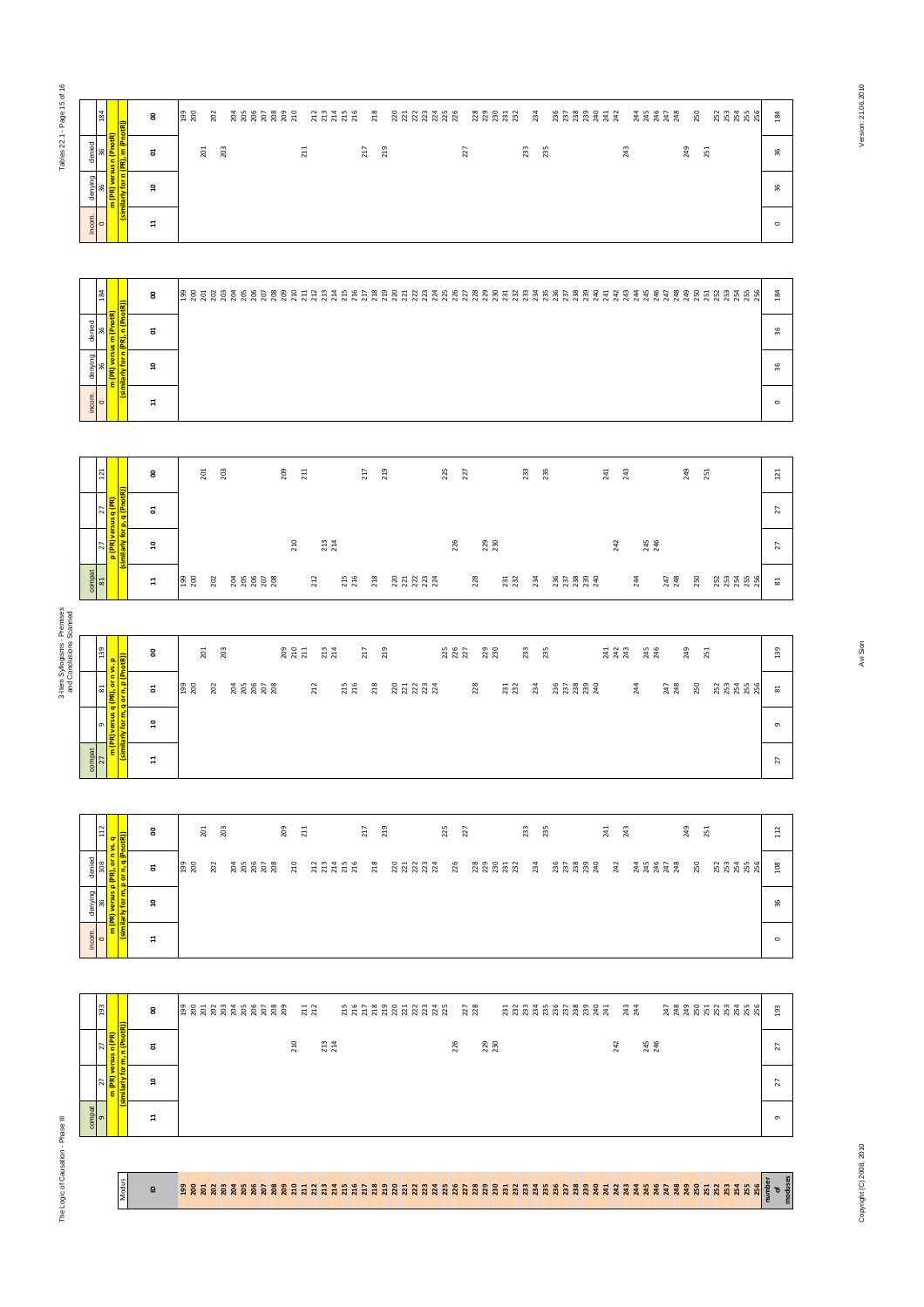| 184         |                                                | 8              | 199<br>200     |                  | 202 |     |     | <b>2222222</b> |     | 210 |                          | 223456 |  | 218           |     |  |  | 22232322                                       |    |  |  |     | 234 | 236 |                   |     | 23<br>23<br>24<br>24<br>24<br>24<br>2 |            | 244<br>245 | 246 | 247<br>248 |            | 250 |     |      | 2534856                  | 184     |
|-------------|------------------------------------------------|----------------|----------------|------------------|-----|-----|-----|----------------|-----|-----|--------------------------|--------|--|---------------|-----|--|--|------------------------------------------------|----|--|--|-----|-----|-----|-------------------|-----|---------------------------------------|------------|------------|-----|------------|------------|-----|-----|------|--------------------------|---------|
|             |                                                | ã              |                | $\overline{201}$ | 203 |     |     |                |     | 211 |                          |        |  | 217           | 219 |  |  |                                                | 27 |  |  | 233 | 235 |     |                   |     |                                       | 243        |            |     |            | 249        |     | 251 |      |                          | 36      |
|             | <mark>(similarly for n (PR), m (PnotR))</mark> | <b>ុ</b>       |                |                  |     |     |     |                |     |     |                          |        |  |               |     |  |  |                                                |    |  |  |     |     |     |                   |     |                                       |            |            |     |            |            |     |     |      |                          | 36      |
| $rac{1}{2}$ |                                                | $\overline{a}$ |                |                  |     |     |     |                |     |     |                          |        |  |               |     |  |  |                                                |    |  |  |     |     |     |                   |     |                                       |            |            |     |            |            |     |     |      |                          | $\circ$ |
|             |                                                |                |                |                  |     |     |     |                |     |     |                          |        |  |               |     |  |  |                                                |    |  |  |     |     |     |                   |     |                                       |            |            |     |            |            |     |     |      |                          |         |
| 184         |                                                | 8              | $\frac{8}{20}$ | 201              | 202 | 203 | 205 | 25, 28         | 209 | 210 | <b>211</b><br>212<br>213 |        |  | <b>ABBBBB</b> |     |  |  | .<br>. 3 3 3 3 3 3 3 3 3 3 3 4 5 5 6 7 8 7 9 7 |    |  |  |     |     |     | <b>238</b><br>239 | 240 | 241<br>242                            | 243<br>244 | 245        | 246 | 247        | 248<br>249 |     |     | 8588 | <b>255</b><br>255<br>256 | 184     |
|             |                                                | ã              |                |                  |     |     |     |                |     |     |                          |        |  |               |     |  |  |                                                |    |  |  |     |     |     |                   |     |                                       |            |            |     |            |            |     |     |      |                          | 36      |
|             | similarly for n (PR), n (PnotR))               | $\mathbf{a}$   |                |                  |     |     |     |                |     |     |                          |        |  |               |     |  |  |                                                |    |  |  |     |     |     |                   |     |                                       |            |            |     |            |            |     |     |      |                          | 36      |
| $\leq$      |                                                |                |                |                  |     |     |     |                |     |     |                          |        |  |               |     |  |  |                                                |    |  |  |     |     |     |                   |     |                                       |            |            |     |            |            |     |     |      |                          |         |

|                                                                         |                                            | ដ              |      | 201 | 203 |  | 211 |  | 217 | 219 |  |  | 227 |  | 233 | 235 |  |  | 243 |                          |  | 249 | 251 |  |             | 96      |
|-------------------------------------------------------------------------|--------------------------------------------|----------------|------|-----|-----|--|-----|--|-----|-----|--|--|-----|--|-----|-----|--|--|-----|--------------------------|--|-----|-----|--|-------------|---------|
|                                                                         | <mark>(similarly for n (PR), m (Pno</mark> | $\mathbf{a}$   |      |     |     |  |     |  |     |     |  |  |     |  |     |     |  |  |     |                          |  |     |     |  |             | 36      |
| $rac{1}{2}$                                                             |                                            | $\mathbf{1}$   |      |     |     |  |     |  |     |     |  |  |     |  |     |     |  |  |     |                          |  |     |     |  |             | $\circ$ |
|                                                                         |                                            |                |      |     |     |  |     |  |     |     |  |  |     |  |     |     |  |  |     |                          |  |     |     |  |             |         |
| 184                                                                     |                                            |                |      |     |     |  |     |  |     |     |  |  |     |  |     |     |  |  |     |                          |  |     |     |  |             |         |
|                                                                         |                                            | 8              | 3852 |     | 203 |  |     |  |     |     |  |  |     |  |     |     |  |  |     | 243<br>245<br>246<br>246 |  |     |     |  | *********** | 184     |
|                                                                         |                                            | ដ              |      |     |     |  |     |  |     |     |  |  |     |  |     |     |  |  |     |                          |  |     |     |  |             | 36      |
| denying   denied<br>  36   36<br><mark>  m (PR) versus m (PnotR)</mark> | (similarly for n (PR), n (PnotR))          | $\overline{a}$ |      |     |     |  |     |  |     |     |  |  |     |  |     |     |  |  |     |                          |  |     |     |  |             | 36      |

| 121                  |                                                                                |   | 8              |            | 201 | 203 | 209 | 211 |     |     | 217 | 219                | 225 | 27  |                   | 233 |     | 235                 | 241 | 243 |            | 249 | 251     | 121             |
|----------------------|--------------------------------------------------------------------------------|---|----------------|------------|-----|-----|-----|-----|-----|-----|-----|--------------------|-----|-----|-------------------|-----|-----|---------------------|-----|-----|------------|-----|---------|-----------------|
|                      |                                                                                |   | ຮ              |            |     |     |     |     |     |     |     |                    |     |     |                   |     |     |                     |     |     |            |     |         | $\overline{z}$  |
|                      | 27   27  <br><mark>p (PR) versus q (PR)  </mark><br> milarly for p, q (PnotR)) |   | $\overline{a}$ |            |     |     |     | 210 | 213 |     |     |                    |     | 226 | <b>229</b><br>230 |     |     |                     | 242 |     | 245<br>246 |     |         | $\overline{z}$  |
| $\frac{1}{\sqrt{2}}$ |                                                                                | 慢 | $\overline{a}$ | 199<br>200 | 202 |     |     |     | 212 | 215 | 218 | 221<br>2223<br>223 |     |     | 228               | 231 | 234 | $737390$<br>$73339$ |     | 244 | 247<br>248 | 250 | 2534856 | $\overline{81}$ |

|                         | 34                         |                                                                           |                             | 8                       | $\frac{199}{200}$ | 202     |     |                     | 2222232 |                   |                   | 22222      |       | <b>218</b> | 22233222                 |     |                   |                   |                   | 234 | 22222422                |                   |          |            | 22222 |            | 250 |     | 222228                   | 184                      |
|-------------------------|----------------------------|---------------------------------------------------------------------------|-----------------------------|-------------------------|-------------------|---------|-----|---------------------|---------|-------------------|-------------------|------------|-------|------------|--------------------------|-----|-------------------|-------------------|-------------------|-----|-------------------------|-------------------|----------|------------|-------|------------|-----|-----|--------------------------|--------------------------|
|                         | denied<br>96<br>م          | (similarly for n (PR), m (PnotR))<br><mark>m (PR) versus n (PnotR)</mark> |                             | ដ                       |                   | $201\,$ | 203 |                     |         | $211$             |                   |            | $217$ | 219        |                          |     | 227               |                   | 233               | 235 |                         |                   | $^{243}$ |            |       | 249        |     | 251 |                          | $36\,$                   |
|                         | denying<br>æ,              |                                                                           |                             | ន                       |                   |         |     |                     |         |                   |                   |            |       |            |                          |     |                   |                   |                   |     |                         |                   |          |            |       |            |     |     |                          | $36$                     |
|                         | incom.<br>$\circ$          |                                                                           |                             | $\Xi$                   |                   |         |     |                     |         |                   |                   |            |       |            |                          |     |                   |                   |                   |     |                         |                   |          |            |       |            |     |     |                          | $\circ$                  |
|                         |                            |                                                                           |                             |                         |                   |         |     |                     |         |                   |                   |            |       |            |                          |     |                   |                   |                   |     |                         |                   |          |            |       |            |     |     |                          |                          |
|                         | 184                        |                                                                           |                             | 8                       |                   |         |     |                     |         |                   |                   |            |       |            |                          |     |                   |                   |                   |     |                         |                   |          |            |       |            |     |     |                          | 184                      |
|                         | denied<br>96               | (similarly for n (PR), n (PnotR))<br>m (PR) versus m (PnotR)              |                             | ដ                       |                   |         |     |                     |         |                   |                   |            |       |            |                          |     |                   |                   |                   |     |                         |                   |          |            |       |            |     |     |                          | 36                       |
|                         | denying<br>å,              |                                                                           |                             | ្ព                      |                   |         |     |                     |         |                   |                   |            |       |            |                          |     |                   |                   |                   |     |                         |                   |          |            |       |            |     |     |                          | $36$                     |
|                         | incom.<br>$\circ$          |                                                                           |                             | $\Xi$                   |                   |         |     |                     |         |                   |                   |            |       |            |                          |     |                   |                   |                   |     |                         |                   |          |            |       |            |     |     |                          | $\circ$                  |
|                         |                            |                                                                           |                             |                         |                   |         |     |                     |         |                   |                   |            |       |            |                          |     |                   |                   |                   |     |                         |                   |          |            |       |            |     |     |                          |                          |
|                         | 121                        |                                                                           |                             | 8                       |                   | $201\,$ | 203 |                     | 209     | 211               |                   |            | $217$ | 219        |                          | 225 | 227               |                   | 233               | 235 |                         | 241               | 243      |            |       | 249        |     | 251 |                          | $121\,$                  |
|                         | $\overline{z}$             |                                                                           | similarly for p, q (PnotR)) | ៩                       |                   |         |     |                     |         |                   |                   |            |       |            |                          |     |                   |                   |                   |     |                         |                   |          |            |       |            |     |     |                          | 27                       |
|                         | $\overline{z}$             | p (PR) versus q (PR)                                                      |                             | ្ព                      |                   |         |     |                     |         | 210               | <b>213</b><br>214 |            |       |            |                          |     | 226               | <b>229</b><br>230 |                   |     |                         | 242               |          | 245<br>246 |       |            |     |     |                          | $\overline{\mathbf{27}}$ |
|                         | compat<br>$\mathbbm{S}$    |                                                                           |                             | $\overline{\mathbf{u}}$ | 199<br>200        | 202     |     |                     |         |                   | 212               | 215        |       | 218        | 221<br>221<br>223<br>224 |     |                   | 228               | <b>231</b><br>232 | 234 | 257<br>252<br>252<br>24 |                   |          | 244        |       | 247<br>248 | 250 |     | 253<br>253<br>255<br>256 | $\overline{\textrm{3}}$  |
|                         |                            |                                                                           |                             |                         |                   |         |     |                     |         |                   |                   |            |       |            |                          |     |                   |                   |                   |     |                         |                   |          |            |       |            |     |     |                          |                          |
| and Conclusions Scanned | 139                        |                                                                           |                             | 8                       |                   | 201     | 203 |                     |         | 209<br>210<br>211 | 213<br>214        |            | 217   | 219        |                          |     | 225<br>226<br>227 | 229<br>230        | 233               | 235 |                         | 241<br>242<br>243 |          | 245<br>246 |       | 249        |     | 251 |                          | 139                      |
|                         | $\overline{\phantom{0}}$   | m (PR) versus q (PR), or n vs. p<br>(similarly for m, q or n, p (PnotR))  |                             | ៩                       | 199<br>200        | 202     |     | <b>288288</b>       |         |                   | 212               | 215<br>216 |       | 218        | 2212324                  |     |                   | 228               | <b>231</b><br>232 | 234 |                         |                   |          | 244        |       | 247<br>248 | 250 |     | <b>233555</b>            | $\overline{\phantom{a}}$ |
|                         | G)                         |                                                                           |                             | $\mathbf{a}$            |                   |         |     |                     |         |                   |                   |            |       |            |                          |     |                   |                   |                   |     |                         |                   |          |            |       |            |     |     |                          | $\circ$                  |
|                         | $\frac{\text{compat}}{27}$ |                                                                           |                             | $\boldsymbol{\Xi}$      |                   |         |     |                     |         |                   |                   |            |       |            |                          |     |                   |                   |                   |     |                         |                   |          |            |       |            |     |     |                          | 27                       |
|                         |                            |                                                                           |                             |                         |                   |         |     |                     |         |                   |                   |            |       |            |                          |     |                   |                   |                   |     |                         |                   |          |            |       |            |     |     |                          |                          |
|                         | 112                        |                                                                           |                             | 8                       |                   | 201     | 203 |                     | 209     | $211$             |                   |            | 217   | 219        |                          | 225 | 227               |                   | 233               | 235 |                         | 241               | 243      |            |       | 249        |     | 251 |                          | 112                      |
|                         | 108<br>denied              | m (PR) versus p (PR), or n vs. q<br>(similarly for m, p or n, q (PnotR))  |                             | đ                       | <b>99</b><br>200  | 202     |     | <u>ដូ</u> ង ដូន ដូន |         | 210               |                   | 2777728    |       | 218        | <b>222322</b>            |     | 226               | 33353             |                   | 234 | 373332                  | 242               |          |            |       |            | 250 |     | <b>2334256</b>           | 108                      |
|                         | denying<br>36<br>0         |                                                                           |                             | $\mathsf{a}$            |                   |         |     |                     |         |                   |                   |            |       |            |                          |     |                   |                   |                   |     |                         |                   |          |            |       |            |     |     |                          | 36                       |
|                         | incom.<br>$\circ$          |                                                                           |                             | $\mathbb{1}$            |                   |         |     |                     |         |                   |                   |            |       |            |                          |     |                   |                   |                   |     |                         |                   |          |            |       |            |     |     |                          | $\circ$                  |
|                         |                            |                                                                           |                             |                         |                   |         |     |                     |         |                   |                   |            |       |            |                          |     |                   |                   |                   |     |                         |                   |          |            |       |            |     |     |                          |                          |
|                         | 193                        |                                                                           |                             | 8                       |                   |         |     |                     |         |                   | 211<br>212        |            |       |            |                          |     |                   |                   |                   |     | <b>ANAAKAARAAR</b>      |                   |          |            |       |            |     |     | **********               | 193                      |
|                         |                            |                                                                           |                             |                         |                   |         |     |                     |         |                   |                   |            |       |            |                          |     |                   | <b>229</b><br>230 |                   |     |                         |                   |          |            |       |            |     |     |                          | 27                       |
|                         | $\overline{z}$             |                                                                           |                             | ຮ                       |                   |         |     |                     |         | 210               | 213               |            |       |            |                          |     | 226               |                   |                   |     |                         | 242               |          | 245<br>246 |       |            |     |     |                          |                          |
|                         | <b>z</b>                   | (similarly for m, n (PnotR))<br><mark>m (PR) versus n (PR)</mark>         |                             | ្ព                      |                   |         |     |                     |         |                   |                   |            |       |            |                          |     |                   |                   |                   |     |                         |                   |          |            |       |            |     |     |                          | $\overline{z}$           |

| $\frac{12}{1}$ | $\frac{1}{\text{atR}}$  | g              |                 | $\frac{201}{203}$ |  |  | 209<br>211 |  |          | E 23 |  |  | 225<br>227 |  |  | 233<br>235 |  |  | 241<br>243 |  |  |                        | 249<br>251 |  |               | $\overline{11}$ |  |
|----------------|-------------------------|----------------|-----------------|-------------------|--|--|------------|--|----------|------|--|--|------------|--|--|------------|--|--|------------|--|--|------------------------|------------|--|---------------|-----------------|--|
| denied<br>108  | g                       | ã              | <b>B</b><br>200 | 202               |  |  |            |  | ដ ដូងដូង |      |  |  |            |  |  |            |  |  |            |  |  | 858889 3 3 3 3 3 3 3 4 | 250        |  | ន្ត្រី និង និ | 108             |  |
| denying<br>36  | $\overline{\mathbf{r}}$ | ្ព             |                 |                   |  |  |            |  |          |      |  |  |            |  |  |            |  |  |            |  |  |                        |            |  |               | 36              |  |
| $rac{1}{2}$    |                         | $\overline{1}$ |                 |                   |  |  |            |  |          |      |  |  |            |  |  |            |  |  |            |  |  |                        |            |  |               | $\circ$         |  |

| 193    |                                                       | 8  |  |  |  |  |  |     |  |     |  |  |  |  |  |     | 227 |            |  |  |  |  | <b>AAAAAAAAAA</b> | 243<br>244 |            |  |  |  | *********** | 193            |
|--------|-------------------------------------------------------|----|--|--|--|--|--|-----|--|-----|--|--|--|--|--|-----|-----|------------|--|--|--|--|-------------------|------------|------------|--|--|--|-------------|----------------|
|        | <br>  versus n (PR)<br><mark>for m, n (PnotR))</mark> | 5  |  |  |  |  |  | 210 |  | 213 |  |  |  |  |  | 226 |     | 229<br>230 |  |  |  |  |                   | 242        | 245<br>246 |  |  |  |             | $\overline{z}$ |
|        |                                                       | ្ព |  |  |  |  |  |     |  |     |  |  |  |  |  |     |     |            |  |  |  |  |                   |            |            |  |  |  |             | $\overline{a}$ |
| compat |                                                       | Ħ  |  |  |  |  |  |     |  |     |  |  |  |  |  |     |     |            |  |  |  |  |                   |            |            |  |  |  |             | $\sigma$       |

**Modus** 

 $\overline{a}$ 

# .<br>ខាន្តដូន និន្តនិន្តនិដូដូដូដូដូដូដូដូដូដូដូនីដូដូដូងូដូងីដូងីដូដូដូដូដូងូដូងីនី ដូនីនី និងីនីនី និងីដូដូដូងីដូ

Copyright (C) 2008, 2010